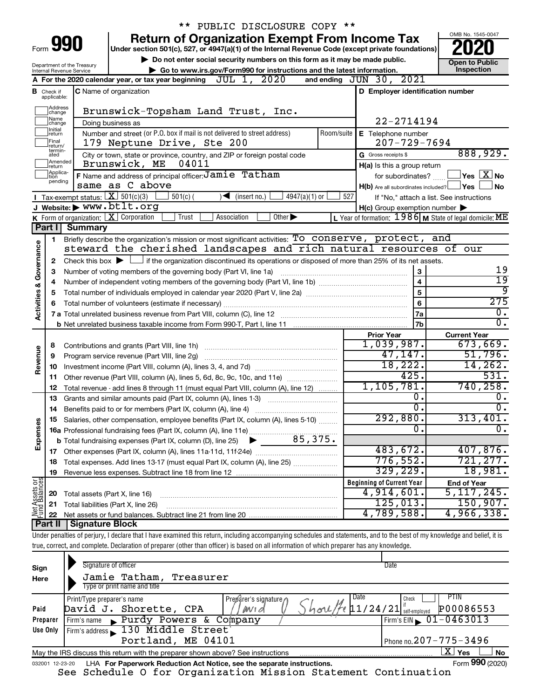|                         |                                         |                                                        | ** PUBLIC DISCLOSURE COPY **                                                                                                                                               |            |                                                     |                                                                                     |  |  |
|-------------------------|-----------------------------------------|--------------------------------------------------------|----------------------------------------------------------------------------------------------------------------------------------------------------------------------------|------------|-----------------------------------------------------|-------------------------------------------------------------------------------------|--|--|
|                         |                                         |                                                        | <b>Return of Organization Exempt From Income Tax</b>                                                                                                                       |            |                                                     | OMB No. 1545-0047                                                                   |  |  |
|                         |                                         | Form 990                                               | Under section 501(c), 527, or 4947(a)(1) of the Internal Revenue Code (except private foundations)                                                                         |            |                                                     |                                                                                     |  |  |
|                         |                                         |                                                        | Do not enter social security numbers on this form as it may be made public.                                                                                                |            |                                                     | <b>Open to Public</b>                                                               |  |  |
|                         |                                         | Department of the Treasury<br>Internal Revenue Service | Go to www.irs.gov/Form990 for instructions and the latest information.                                                                                                     |            |                                                     | Inspection                                                                          |  |  |
|                         |                                         |                                                        | JUL 1, 2020<br>A For the 2020 calendar year, or tax year beginning                                                                                                         |            | and ending JUN 30, 2021                             |                                                                                     |  |  |
|                         | <b>B</b> Check if applicable:           |                                                        | <b>C</b> Name of organization                                                                                                                                              |            | D Employer identification number                    |                                                                                     |  |  |
|                         | ]Address<br>]change                     |                                                        | Brunswick-Topsham Land Trust, Inc.                                                                                                                                         |            |                                                     |                                                                                     |  |  |
|                         | Name<br>change                          |                                                        | Doing business as                                                                                                                                                          |            | 22-2714194                                          |                                                                                     |  |  |
|                         | Initial<br> return<br> Final<br>return/ |                                                        | Number and street (or P.O. box if mail is not delivered to street address)<br>179 Neptune Drive, Ste 200                                                                   | Room/suite | E Telephone number<br>$207 - 729 - 7694$            |                                                                                     |  |  |
|                         | termin-<br>ated                         |                                                        | City or town, state or province, country, and ZIP or foreign postal code                                                                                                   |            | G Gross receipts \$                                 | 888,929.                                                                            |  |  |
|                         | Amended<br>Ireturn                      |                                                        | Brunswick, ME<br>04011                                                                                                                                                     |            | H(a) Is this a group return                         |                                                                                     |  |  |
|                         | Applica-<br>Ition                       |                                                        | F Name and address of principal officer: Jamie Tatham                                                                                                                      |            | for subordinates?                                   | $ {\mathsf Y}\mathsf{es} \mathrel{\mathop{\perp\!\!\!\!\!\! \perp} \mathbf{X}} $ No |  |  |
|                         | pending                                 |                                                        | same as C above                                                                                                                                                            |            | $H(b)$ Are all subordinates included? $\Box$ Yes    | <b>No</b>                                                                           |  |  |
|                         |                                         |                                                        | Tax-exempt status: $X \overline{3} 501(c)(3)$<br>$501(c)$ (<br>$\sqrt{\bullet}$ (insert no.)<br>$4947(a)(1)$ or                                                            | 527        |                                                     | If "No," attach a list. See instructions                                            |  |  |
|                         |                                         |                                                        | J Website: WWW.btlt.org                                                                                                                                                    |            | $H(c)$ Group exemption number $\blacktriangleright$ |                                                                                     |  |  |
|                         |                                         |                                                        | K Form of organization:   X Corporation<br>$\overline{Other}$<br>Trust<br>Association                                                                                      |            |                                                     | L Year of formation: $1986$ M State of legal domicile: ME                           |  |  |
|                         | Part I                                  | <b>Summary</b>                                         |                                                                                                                                                                            |            |                                                     |                                                                                     |  |  |
|                         | 1                                       |                                                        | Briefly describe the organization's mission or most significant activities: To conserve, protect, and                                                                      |            |                                                     |                                                                                     |  |  |
| Governance              |                                         |                                                        | steward the cherished landscapes and rich natural resources of                                                                                                             |            |                                                     | our                                                                                 |  |  |
|                         | 2                                       |                                                        | Check this box $\blacktriangleright$ $\Box$ if the organization discontinued its operations or disposed of more than 25% of its net assets.                                |            |                                                     |                                                                                     |  |  |
|                         | 3                                       |                                                        | Number of voting members of the governing body (Part VI, line 1a)                                                                                                          |            | 3                                                   | 19                                                                                  |  |  |
|                         | 4                                       |                                                        |                                                                                                                                                                            |            | $\overline{\mathbf{4}}$                             | $\overline{19}$                                                                     |  |  |
|                         |                                         | 5<br>5                                                 |                                                                                                                                                                            |            |                                                     |                                                                                     |  |  |
|                         | 6                                       |                                                        |                                                                                                                                                                            |            | 6                                                   | व<br>$\overline{275}$                                                               |  |  |
| <b>Activities &amp;</b> |                                         |                                                        |                                                                                                                                                                            |            | <b>7a</b>                                           | $\overline{0}$ .                                                                    |  |  |
|                         |                                         |                                                        |                                                                                                                                                                            |            | 7 <sub>b</sub>                                      | $\overline{0}$ .                                                                    |  |  |
|                         |                                         |                                                        |                                                                                                                                                                            |            | <b>Prior Year</b>                                   | <b>Current Year</b>                                                                 |  |  |
|                         | 8                                       |                                                        |                                                                                                                                                                            |            | 1,039,987.                                          | 673,669.                                                                            |  |  |
|                         | 9                                       |                                                        | Program service revenue (Part VIII, line 2g)                                                                                                                               |            | 47, 147.                                            | 51,796.                                                                             |  |  |
| Revenue                 | 10                                      |                                                        |                                                                                                                                                                            |            | 18,222.                                             | 14, 262.                                                                            |  |  |
|                         | 11                                      |                                                        | Other revenue (Part VIII, column (A), lines 5, 6d, 8c, 9c, 10c, and 11e)                                                                                                   |            | 425.                                                | 531.                                                                                |  |  |
|                         | 12                                      |                                                        | Total revenue - add lines 8 through 11 (must equal Part VIII, column (A), line 12)                                                                                         |            | 1, 105, 781.                                        | 740, 258.                                                                           |  |  |
|                         | 13                                      |                                                        | Grants and similar amounts paid (Part IX, column (A), lines 1-3)                                                                                                           |            | 0.                                                  | Ο.                                                                                  |  |  |
|                         |                                         |                                                        |                                                                                                                                                                            |            | σ.                                                  | $\overline{0}$ .                                                                    |  |  |
|                         |                                         |                                                        | Salaries, other compensation, employee benefits (Part IX, column (A), lines 5-10)                                                                                          |            | 292,880.                                            | 313,401 <b>.</b>                                                                    |  |  |
| Expenses                |                                         |                                                        |                                                                                                                                                                            |            | $\overline{0}$ .                                    | $\overline{0}$ .                                                                    |  |  |
|                         |                                         |                                                        |                                                                                                                                                                            |            |                                                     |                                                                                     |  |  |
|                         |                                         |                                                        |                                                                                                                                                                            |            | 483,672.                                            | 407,876.                                                                            |  |  |
|                         | 18                                      |                                                        |                                                                                                                                                                            |            | 776,552.                                            | 721, 277.                                                                           |  |  |
|                         | 19                                      |                                                        |                                                                                                                                                                            |            | 329,229.                                            | 18,981.                                                                             |  |  |
|                         |                                         |                                                        |                                                                                                                                                                            |            | <b>Beginning of Current Year</b>                    | <b>End of Year</b>                                                                  |  |  |
|                         | 20                                      | Total assets (Part X, line 16)                         |                                                                                                                                                                            |            | 4,914,601.                                          | 5, 117, 245.                                                                        |  |  |
|                         | 21                                      |                                                        | Total liabilities (Part X, line 26)                                                                                                                                        |            | 125,013.                                            | 150, 907.                                                                           |  |  |
| Net Assets or           | 22                                      |                                                        |                                                                                                                                                                            |            | 4,789,588.                                          | 4,966,338.                                                                          |  |  |
|                         | Part II                                 | <b>Signature Block</b>                                 |                                                                                                                                                                            |            |                                                     |                                                                                     |  |  |
|                         |                                         |                                                        | Under penalties of perjury, I declare that I have examined this return, including accompanying schedules and statements, and to the best of my knowledge and belief, it is |            |                                                     |                                                                                     |  |  |
|                         |                                         |                                                        | true, correct, and complete. Declaration of preparer (other than officer) is based on all information of which preparer has any knowledge.                                 |            |                                                     |                                                                                     |  |  |
|                         |                                         |                                                        |                                                                                                                                                                            |            |                                                     |                                                                                     |  |  |
| Sign                    |                                         |                                                        | Signature of officer                                                                                                                                                       |            | Date                                                |                                                                                     |  |  |

| əıgrı           |                                                                                                              |                                                                             |  |  |  |  |  |  |  |  |
|-----------------|--------------------------------------------------------------------------------------------------------------|-----------------------------------------------------------------------------|--|--|--|--|--|--|--|--|
| Here            | Jamie Tatham,<br>Treasurer                                                                                   |                                                                             |  |  |  |  |  |  |  |  |
|                 | Type or print name and title                                                                                 |                                                                             |  |  |  |  |  |  |  |  |
|                 | Date<br>Print/Type preparer's name<br>Preparer's signature∧                                                  | PTIN<br>Check                                                               |  |  |  |  |  |  |  |  |
| Paid            | David J. Shorette, CPA<br>MV1d                                                                               | P00086553<br>$\left[11/24/21\right]$ $_{\rm self\text{-}employed}^{\rm tf}$ |  |  |  |  |  |  |  |  |
| Preparer        | Purdy Powers & Company<br>Firm's name                                                                        | Firm's EIN $\sqrt{01-0463013}$                                              |  |  |  |  |  |  |  |  |
| Use Only        | Firm's address 130 Middle Street                                                                             |                                                                             |  |  |  |  |  |  |  |  |
|                 | Portland, ME 04101                                                                                           | Phone no. $207 - 775 - 3496$                                                |  |  |  |  |  |  |  |  |
|                 | $\mathbf{X}$<br>Yes<br>No<br>May the IRS discuss this return with the preparer shown above? See instructions |                                                                             |  |  |  |  |  |  |  |  |
| 032001 12-23-20 | LHA For Paperwork Reduction Act Notice, see the separate instructions.                                       | Form 990 (2020)                                                             |  |  |  |  |  |  |  |  |

See Schedule O for Organization Mission Statement Continuation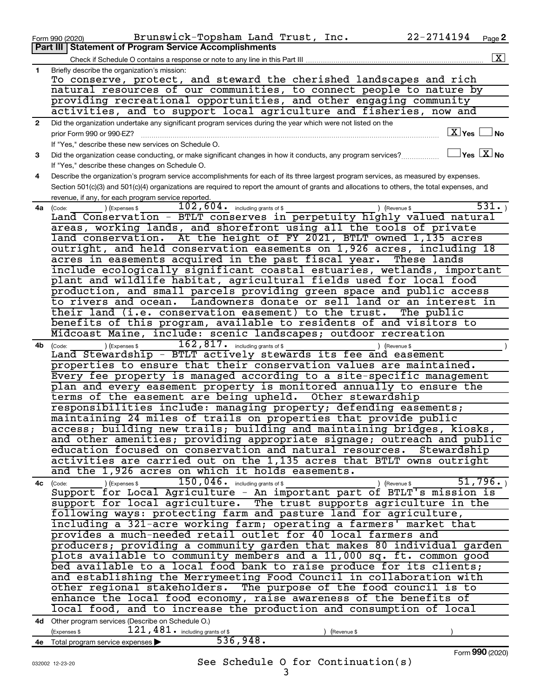|                | 22-2714194<br>Brunswick-Topsham Land Trust, Inc.<br>Form 990 (2020)                                                                                   | Page 2             |
|----------------|-------------------------------------------------------------------------------------------------------------------------------------------------------|--------------------|
|                | <b>Part III   Statement of Program Service Accomplishments</b>                                                                                        |                    |
|                | Check if Schedule O contains a response or note to any line in this Part III                                                                          | $\boxed{\text{X}}$ |
| $\mathbf{1}$   | Briefly describe the organization's mission:                                                                                                          |                    |
|                | To conserve, protect, and steward the cherished landscapes and rich                                                                                   |                    |
|                | natural resources of our communities, to connect people to nature by                                                                                  |                    |
|                | providing recreational opportunities, and other engaging community                                                                                    |                    |
|                | activities, and to support local agriculture and fisheries, now and                                                                                   |                    |
| $\overline{2}$ | Did the organization undertake any significant program services during the year which were not listed on the<br>$\boxed{\text{X}}$ Yes $\boxed{\ }$   | $\blacksquare$ No  |
|                | prior Form 990 or 990-EZ?<br>If "Yes," describe these new services on Schedule O.                                                                     |                    |
| 3              | $\Box$ Yes $~\boxtimes~$ No<br>Did the organization cease conducting, or make significant changes in how it conducts, any program services?           |                    |
|                | If "Yes," describe these changes on Schedule O.                                                                                                       |                    |
| 4              | Describe the organization's program service accomplishments for each of its three largest program services, as measured by expenses.                  |                    |
|                | Section 501(c)(3) and 501(c)(4) organizations are required to report the amount of grants and allocations to others, the total expenses, and          |                    |
|                | revenue, if any, for each program service reported.                                                                                                   |                    |
| 4a             | $102, 604$ $\cdot$ including grants of \$<br>) (Revenue \$<br>(Expenses \$<br>(Code:                                                                  | 531.               |
|                | Land Conservation - BTLT conserves in perpetuity highly valued natural                                                                                |                    |
|                | areas, working lands, and shorefront using all the tools of private                                                                                   |                    |
|                | land conservation. At the height of FY 2021, BTLT owned 1,135 acres                                                                                   |                    |
|                | outright, and held conservation easements on 1,926 acres, including 18<br>acres in easements acquired in the past fiscal year.<br>These lands         |                    |
|                | include ecologically significant coastal estuaries, wetlands, important                                                                               |                    |
|                | plant and wildlife habitat, agricultural fields used for local food                                                                                   |                    |
|                | production, and small parcels providing green space and public access                                                                                 |                    |
|                | Landowners donate or sell land or an interest in<br>to rivers and ocean.                                                                              |                    |
|                | their land (i.e. conservation easement) to the trust. The public                                                                                      |                    |
|                | benefits of this program, available to residents of and visitors to                                                                                   |                    |
|                | Midcoast Maine, include: scenic landscapes; outdoor recreation                                                                                        |                    |
| 4b             | $162,817$ $\cdot$ including grants of \$<br>(Expenses \$<br>) (Revenue \$<br>(Code:<br>Land Stewardship - BTLT actively stewards its fee and easement |                    |
|                | properties to ensure that their conservation values are maintained.                                                                                   |                    |
|                | Every fee property is managed according to a site-specific management                                                                                 |                    |
|                | plan and every easement property is monitored annually to ensure the                                                                                  |                    |
|                | terms of the easement are being upheld. Other stewardship                                                                                             |                    |
|                | responsibilities include: managing property; defending easements;                                                                                     |                    |
|                | maintaining 24 miles of trails on properties that provide public                                                                                      |                    |
|                | access; building new trails; building and maintaining bridges, kiosks,                                                                                |                    |
|                | and other amenities; providing appropriate signage; outreach and public                                                                               |                    |
|                | education focused on conservation and natural resources. Stewardship<br>activities are carried out on the 1,135 acres that BTLT owns outright         |                    |
|                | and the 1,926 acres on which it holds easements.                                                                                                      |                    |
| 4с             | 150,046. including grants of \$<br>(Expenses \$<br>(Code:<br>) (Revenue \$                                                                            | 51,796.            |
|                |                                                                                                                                                       |                    |
|                | Support for Local Agriculture - An important part of BTLT's mission is<br>support for local agriculture. The trust supports agriculture in the        |                    |
|                | following ways: protecting farm and pasture land for agriculture,                                                                                     |                    |
|                | including a 321-acre working farm; operating a farmers' market that                                                                                   |                    |
|                | provides a much-needed retail outlet for 40 local farmers and                                                                                         |                    |
|                | producers; providing a community garden that makes 80 individual garden                                                                               |                    |
|                | plots available to community members and a 11,000 sq. ft. common good<br>bed available to a local food bank to raise produce for its clients;         |                    |
|                | and establishing the Merrymeeting Food Council in collaboration with                                                                                  |                    |
|                | other regional stakeholders. The purpose of the food council is to                                                                                    |                    |
|                | enhance the local food economy, raise awareness of the benefits of                                                                                    |                    |
|                | local food, and to increase the production and consumption of local                                                                                   |                    |
| 4d             | Other program services (Describe on Schedule O.)                                                                                                      |                    |
|                | $121$ , $481$ $\cdot$ including grants of \$<br>(Expenses \$<br>(Revenue \$                                                                           |                    |
|                | 536,948.<br>4e Total program service expenses                                                                                                         |                    |
|                |                                                                                                                                                       | Form 990 (2020)    |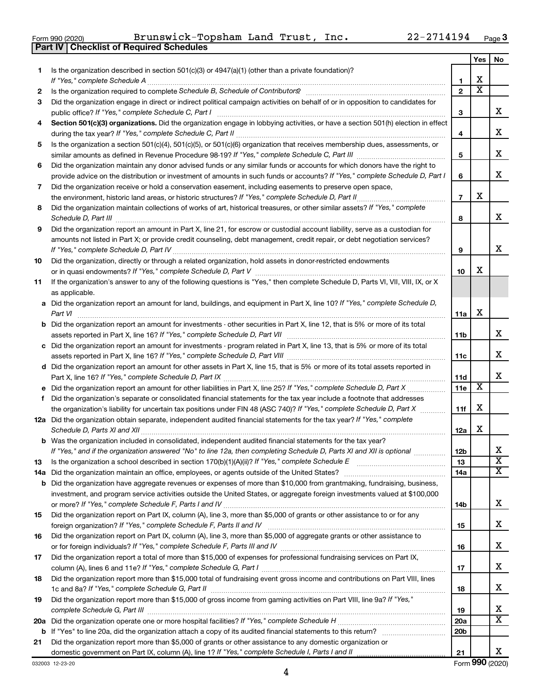|  | Form 990 (2020) |  |
|--|-----------------|--|
|  |                 |  |

**Part IV Checklist of Required Schedules**

 $\epsilon$  Form 990 (2020) Brunswick-Topsham Land Trust, Inc.  $22-2114194$  Page Brunswick-Topsham Land Trust, Inc. 22-2714194

|    |                                                                                                                                                    |                 | Yes                   | No                           |
|----|----------------------------------------------------------------------------------------------------------------------------------------------------|-----------------|-----------------------|------------------------------|
| 1. | Is the organization described in section 501(c)(3) or 4947(a)(1) (other than a private foundation)?                                                |                 |                       |                              |
|    | If "Yes," complete Schedule A                                                                                                                      | 1               | х                     |                              |
| 2  |                                                                                                                                                    | $\overline{2}$  | $\overline{\text{x}}$ |                              |
| 3  | Did the organization engage in direct or indirect political campaign activities on behalf of or in opposition to candidates for                    |                 |                       |                              |
|    | public office? If "Yes," complete Schedule C, Part I                                                                                               | 3               |                       | х                            |
| 4  | Section 501(c)(3) organizations. Did the organization engage in lobbying activities, or have a section 501(h) election in effect                   | 4               |                       | х                            |
| 5  | Is the organization a section 501(c)(4), 501(c)(5), or 501(c)(6) organization that receives membership dues, assessments, or                       |                 |                       |                              |
|    |                                                                                                                                                    | 5               |                       | х                            |
| 6  | Did the organization maintain any donor advised funds or any similar funds or accounts for which donors have the right to                          |                 |                       |                              |
|    | provide advice on the distribution or investment of amounts in such funds or accounts? If "Yes," complete Schedule D, Part I                       | 6               |                       | x                            |
| 7  | Did the organization receive or hold a conservation easement, including easements to preserve open space,                                          |                 |                       |                              |
|    | the environment, historic land areas, or historic structures? If "Yes," complete Schedule D, Part II                                               | $\overline{7}$  | х                     |                              |
| 8  | Did the organization maintain collections of works of art, historical treasures, or other similar assets? If "Yes," complete                       | 8               |                       | х                            |
| 9  | Did the organization report an amount in Part X, line 21, for escrow or custodial account liability, serve as a custodian for                      |                 |                       |                              |
|    | amounts not listed in Part X; or provide credit counseling, debt management, credit repair, or debt negotiation services?                          |                 |                       |                              |
|    |                                                                                                                                                    | 9               |                       | x                            |
| 10 | Did the organization, directly or through a related organization, hold assets in donor-restricted endowments                                       |                 |                       |                              |
|    |                                                                                                                                                    | 10              | х                     |                              |
| 11 | If the organization's answer to any of the following questions is "Yes," then complete Schedule D, Parts VI, VII, VIII, IX, or X<br>as applicable. |                 |                       |                              |
|    | a Did the organization report an amount for land, buildings, and equipment in Part X, line 10? If "Yes," complete Schedule D,                      |                 |                       |                              |
|    | Part VI                                                                                                                                            | 11a             | х                     |                              |
|    | <b>b</b> Did the organization report an amount for investments - other securities in Part X, line 12, that is 5% or more of its total              | 11b             |                       | х                            |
|    | c Did the organization report an amount for investments - program related in Part X, line 13, that is 5% or more of its total                      |                 |                       |                              |
|    |                                                                                                                                                    | 11c             |                       | х                            |
|    | d Did the organization report an amount for other assets in Part X, line 15, that is 5% or more of its total assets reported in                    |                 |                       |                              |
|    |                                                                                                                                                    | 11d             |                       | х                            |
|    | e Did the organization report an amount for other liabilities in Part X, line 25? If "Yes," complete Schedule D, Part X                            | 11e             | $\overline{\text{X}}$ |                              |
| f  | Did the organization's separate or consolidated financial statements for the tax year include a footnote that addresses                            |                 |                       |                              |
|    | the organization's liability for uncertain tax positions under FIN 48 (ASC 740)? If "Yes," complete Schedule D, Part X                             | 11f             | х                     |                              |
|    | 12a Did the organization obtain separate, independent audited financial statements for the tax year? If "Yes," complete                            |                 |                       |                              |
|    | Schedule D, Parts XI and XII                                                                                                                       | 12a             | х                     |                              |
|    | <b>b</b> Was the organization included in consolidated, independent audited financial statements for the tax year?                                 |                 |                       |                              |
|    | If "Yes," and if the organization answered "No" to line 12a, then completing Schedule D, Parts XI and XII is optional                              | 12b             |                       | ┻<br>$\overline{\textbf{x}}$ |
| 13 | Is the organization a school described in section 170(b)(1)(A)(ii)? If "Yes," complete Schedule E                                                  | 13              |                       | x                            |
|    | 14a Did the organization maintain an office, employees, or agents outside of the United States?                                                    | 14a             |                       |                              |
|    | <b>b</b> Did the organization have aggregate revenues or expenses of more than \$10,000 from grantmaking, fundraising, business,                   |                 |                       |                              |
|    | investment, and program service activities outside the United States, or aggregate foreign investments valued at \$100,000                         |                 |                       | х                            |
| 15 | Did the organization report on Part IX, column (A), line 3, more than \$5,000 of grants or other assistance to or for any                          | 14b             |                       |                              |
|    |                                                                                                                                                    | 15              |                       | X.                           |
| 16 | Did the organization report on Part IX, column (A), line 3, more than \$5,000 of aggregate grants or other assistance to                           |                 |                       |                              |
|    |                                                                                                                                                    | 16              |                       | x                            |
| 17 | Did the organization report a total of more than \$15,000 of expenses for professional fundraising services on Part IX,                            |                 |                       |                              |
|    |                                                                                                                                                    | 17              |                       | x                            |
| 18 | Did the organization report more than \$15,000 total of fundraising event gross income and contributions on Part VIII, lines                       |                 |                       |                              |
|    |                                                                                                                                                    | 18              |                       | x                            |
| 19 | Did the organization report more than \$15,000 of gross income from gaming activities on Part VIII, line 9a? If "Yes,"                             |                 |                       |                              |
|    |                                                                                                                                                    | 19              |                       | х<br>$\overline{\textbf{X}}$ |
|    |                                                                                                                                                    | 20a             |                       |                              |
|    | Did the organization report more than \$5,000 of grants or other assistance to any domestic organization or                                        | 20 <sub>b</sub> |                       |                              |
| 21 |                                                                                                                                                    | 21              |                       | х                            |
|    |                                                                                                                                                    |                 |                       |                              |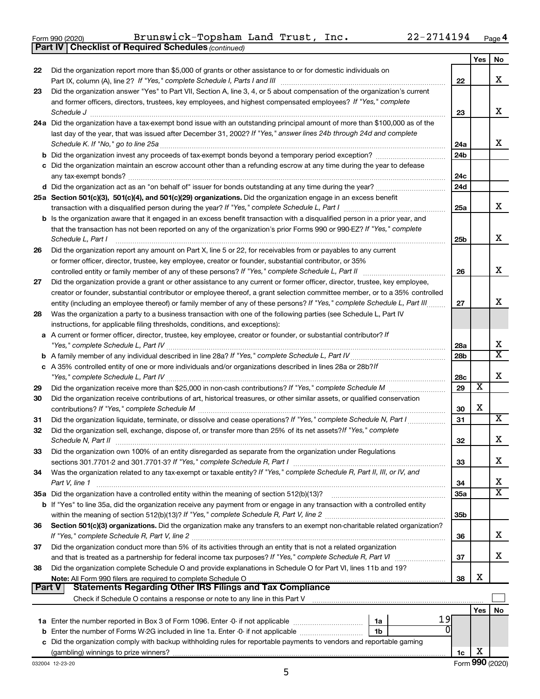|  | Form 990 (2020) |
|--|-----------------|
|  |                 |

**Part IV Checklist of Required Schedules**

*(continued)*

|               |                                                                                                                                                                                                                                              |                 | Yes | No                    |
|---------------|----------------------------------------------------------------------------------------------------------------------------------------------------------------------------------------------------------------------------------------------|-----------------|-----|-----------------------|
| 22            | Did the organization report more than \$5,000 of grants or other assistance to or for domestic individuals on                                                                                                                                |                 |     |                       |
|               |                                                                                                                                                                                                                                              | 22              |     | x                     |
| 23            | Did the organization answer "Yes" to Part VII, Section A, line 3, 4, or 5 about compensation of the organization's current<br>and former officers, directors, trustees, key employees, and highest compensated employees? If "Yes," complete |                 |     |                       |
|               | Schedule J                                                                                                                                                                                                                                   | 23              |     | x                     |
|               | 24a Did the organization have a tax-exempt bond issue with an outstanding principal amount of more than \$100,000 as of the                                                                                                                  |                 |     |                       |
|               | last day of the year, that was issued after December 31, 2002? If "Yes," answer lines 24b through 24d and complete                                                                                                                           |                 |     |                       |
|               | Schedule K. If "No," go to line 25a                                                                                                                                                                                                          | 24a             |     | x                     |
|               |                                                                                                                                                                                                                                              | 24 <sub>b</sub> |     |                       |
|               | c Did the organization maintain an escrow account other than a refunding escrow at any time during the year to defease                                                                                                                       |                 |     |                       |
|               | any tax-exempt bonds?                                                                                                                                                                                                                        | 24c             |     |                       |
|               | d Did the organization act as an "on behalf of" issuer for bonds outstanding at any time during the year?                                                                                                                                    | 24d             |     |                       |
|               | 25a Section 501(c)(3), 501(c)(4), and 501(c)(29) organizations. Did the organization engage in an excess benefit                                                                                                                             | 25a             |     | x                     |
|               | <b>b</b> Is the organization aware that it engaged in an excess benefit transaction with a disqualified person in a prior year, and                                                                                                          |                 |     |                       |
|               | that the transaction has not been reported on any of the organization's prior Forms 990 or 990-EZ? If "Yes," complete                                                                                                                        |                 |     |                       |
|               | Schedule L, Part I                                                                                                                                                                                                                           | 25b             |     | х                     |
| 26            | Did the organization report any amount on Part X, line 5 or 22, for receivables from or payables to any current                                                                                                                              |                 |     |                       |
|               | or former officer, director, trustee, key employee, creator or founder, substantial contributor, or 35%                                                                                                                                      |                 |     |                       |
|               | controlled entity or family member of any of these persons? If "Yes," complete Schedule L, Part II                                                                                                                                           | 26              |     | x                     |
| 27            | Did the organization provide a grant or other assistance to any current or former officer, director, trustee, key employee,                                                                                                                  |                 |     |                       |
|               | creator or founder, substantial contributor or employee thereof, a grant selection committee member, or to a 35% controlled                                                                                                                  |                 |     |                       |
|               | entity (including an employee thereof) or family member of any of these persons? If "Yes," complete Schedule L, Part III                                                                                                                     | 27              |     | x                     |
| 28            | Was the organization a party to a business transaction with one of the following parties (see Schedule L, Part IV                                                                                                                            |                 |     |                       |
|               | instructions, for applicable filing thresholds, conditions, and exceptions):<br>a A current or former officer, director, trustee, key employee, creator or founder, or substantial contributor? If                                           |                 |     |                       |
|               |                                                                                                                                                                                                                                              | 28a             |     | х                     |
|               |                                                                                                                                                                                                                                              | 28 <sub>b</sub> |     | X                     |
|               | c A 35% controlled entity of one or more individuals and/or organizations described in lines 28a or 28b?If                                                                                                                                   |                 |     |                       |
|               |                                                                                                                                                                                                                                              | 28c             |     | X                     |
| 29            |                                                                                                                                                                                                                                              | 29              | х   |                       |
| 30            | Did the organization receive contributions of art, historical treasures, or other similar assets, or qualified conservation                                                                                                                  |                 |     |                       |
|               |                                                                                                                                                                                                                                              | 30              | X   |                       |
| 31            | Did the organization liquidate, terminate, or dissolve and cease operations? If "Yes," complete Schedule N, Part I                                                                                                                           | 31              |     | х                     |
| 32            | Did the organization sell, exchange, dispose of, or transfer more than 25% of its net assets? If "Yes," complete<br>Schedule N, Part II                                                                                                      | 32              |     | х                     |
| 33            | Did the organization own 100% of an entity disregarded as separate from the organization under Regulations                                                                                                                                   |                 |     |                       |
|               |                                                                                                                                                                                                                                              | 33              |     | х                     |
| 34            | Was the organization related to any tax-exempt or taxable entity? If "Yes," complete Schedule R, Part II, III, or IV, and                                                                                                                    |                 |     |                       |
|               | Part V, line 1                                                                                                                                                                                                                               | 34              |     | х                     |
|               |                                                                                                                                                                                                                                              | 35a             |     | $\overline{\text{X}}$ |
|               | b If "Yes" to line 35a, did the organization receive any payment from or engage in any transaction with a controlled entity                                                                                                                  |                 |     |                       |
|               |                                                                                                                                                                                                                                              | 35 <sub>b</sub> |     |                       |
| 36            | Section 501(c)(3) organizations. Did the organization make any transfers to an exempt non-charitable related organization?                                                                                                                   |                 |     | х                     |
|               |                                                                                                                                                                                                                                              | 36              |     |                       |
| 37            | Did the organization conduct more than 5% of its activities through an entity that is not a related organization<br>and that is treated as a partnership for federal income tax purposes? If "Yes," complete Schedule R, Part VI             | 37              |     | x                     |
| 38            | Did the organization complete Schedule O and provide explanations in Schedule O for Part VI, lines 11b and 19?                                                                                                                               |                 |     |                       |
|               |                                                                                                                                                                                                                                              | 38              | X   |                       |
| <b>Part V</b> | <b>Statements Regarding Other IRS Filings and Tax Compliance</b>                                                                                                                                                                             |                 |     |                       |
|               |                                                                                                                                                                                                                                              |                 |     |                       |
|               |                                                                                                                                                                                                                                              |                 | Yes | No                    |
|               | 19<br>1a                                                                                                                                                                                                                                     |                 |     |                       |
|               | b Enter the number of Forms W-2G included in line 1a. Enter -0- if not applicable<br>1b<br>c Did the organization comply with backup withholding rules for reportable payments to vendors and reportable gaming                              |                 |     |                       |
|               |                                                                                                                                                                                                                                              | 1c              | х   |                       |
|               |                                                                                                                                                                                                                                              |                 |     |                       |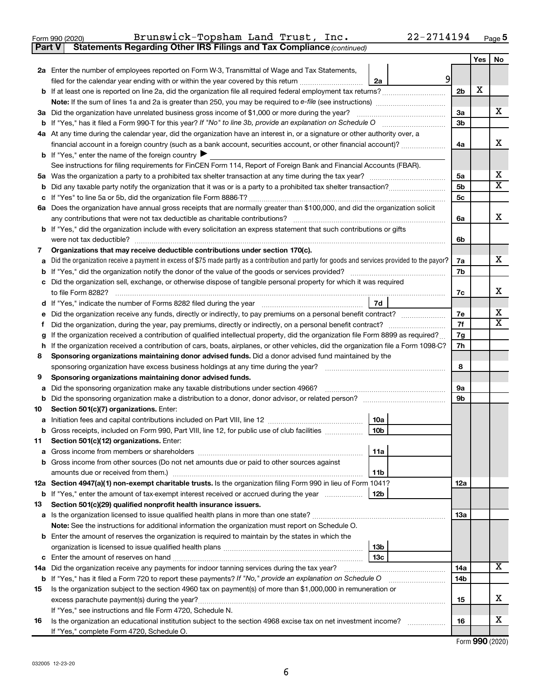$\epsilon$  Form 990 (2020) Brunswick-Topsham Land Trust, Inc.  $22-2114194$  Page **5** Brunswick-Topsham Land Trust, Inc. 22-2714194

|     |                                                                                                                                                              |                | Yes | No                      |  |  |  |  |
|-----|--------------------------------------------------------------------------------------------------------------------------------------------------------------|----------------|-----|-------------------------|--|--|--|--|
|     | 2a Enter the number of employees reported on Form W-3, Transmittal of Wage and Tax Statements,                                                               |                |     |                         |  |  |  |  |
|     | 9<br>filed for the calendar year ending with or within the year covered by this return<br>2a                                                                 |                |     |                         |  |  |  |  |
|     |                                                                                                                                                              | 2 <sub>b</sub> | х   |                         |  |  |  |  |
|     |                                                                                                                                                              |                |     |                         |  |  |  |  |
| За  | Did the organization have unrelated business gross income of \$1,000 or more during the year?                                                                | За             |     | х                       |  |  |  |  |
| b   |                                                                                                                                                              | 3 <sub>b</sub> |     |                         |  |  |  |  |
|     | 4a At any time during the calendar year, did the organization have an interest in, or a signature or other authority over, a                                 |                |     |                         |  |  |  |  |
|     | financial account in a foreign country (such as a bank account, securities account, or other financial account)?                                             | 4a             |     | х                       |  |  |  |  |
|     | <b>b</b> If "Yes," enter the name of the foreign country $\blacktriangleright$                                                                               |                |     |                         |  |  |  |  |
|     | See instructions for filing requirements for FinCEN Form 114, Report of Foreign Bank and Financial Accounts (FBAR).                                          |                |     |                         |  |  |  |  |
| 5a  |                                                                                                                                                              |                |     |                         |  |  |  |  |
| b   |                                                                                                                                                              | 5 <sub>b</sub> |     | $\overline{\texttt{X}}$ |  |  |  |  |
| с   |                                                                                                                                                              | 5c             |     |                         |  |  |  |  |
|     | 6a Does the organization have annual gross receipts that are normally greater than \$100,000, and did the organization solicit                               |                |     |                         |  |  |  |  |
|     |                                                                                                                                                              | 6a             |     | х                       |  |  |  |  |
|     | <b>b</b> If "Yes," did the organization include with every solicitation an express statement that such contributions or gifts                                |                |     |                         |  |  |  |  |
|     |                                                                                                                                                              | 6b             |     |                         |  |  |  |  |
| 7   | Organizations that may receive deductible contributions under section 170(c).                                                                                |                |     |                         |  |  |  |  |
| а   | Did the organization receive a payment in excess of \$75 made partly as a contribution and partly for goods and services provided to the payor?              | 7a             |     | x.                      |  |  |  |  |
| b   |                                                                                                                                                              | 7b             |     |                         |  |  |  |  |
|     | c Did the organization sell, exchange, or otherwise dispose of tangible personal property for which it was required                                          |                |     |                         |  |  |  |  |
|     |                                                                                                                                                              | 7c             |     | x.                      |  |  |  |  |
|     | 7d                                                                                                                                                           |                |     |                         |  |  |  |  |
|     | Did the organization receive any funds, directly or indirectly, to pay premiums on a personal benefit contract?<br>е                                         |                |     |                         |  |  |  |  |
|     | f.                                                                                                                                                           |                |     |                         |  |  |  |  |
|     | If the organization received a contribution of qualified intellectual property, did the organization file Form 8899 as required?<br>g                        |                |     |                         |  |  |  |  |
|     | If the organization received a contribution of cars, boats, airplanes, or other vehicles, did the organization file a Form 1098-C?<br>h                      |                |     |                         |  |  |  |  |
| 8   | Sponsoring organizations maintaining donor advised funds. Did a donor advised fund maintained by the                                                         |                |     |                         |  |  |  |  |
|     |                                                                                                                                                              | 8              |     |                         |  |  |  |  |
| 9   | Sponsoring organizations maintaining donor advised funds.                                                                                                    |                |     |                         |  |  |  |  |
| а   | Did the sponsoring organization make any taxable distributions under section 4966?                                                                           | 9а             |     |                         |  |  |  |  |
| b   |                                                                                                                                                              | 9b             |     |                         |  |  |  |  |
| 10  | Section 501(c)(7) organizations. Enter:                                                                                                                      |                |     |                         |  |  |  |  |
| а   | 10a                                                                                                                                                          |                |     |                         |  |  |  |  |
|     | 10 <sub>b</sub><br><b>b</b> Gross receipts, included on Form 990, Part VIII, line 12, for public use of club facilities <i>manumum</i>                       |                |     |                         |  |  |  |  |
| 11  | Section 501(c)(12) organizations. Enter:                                                                                                                     |                |     |                         |  |  |  |  |
| а   | 11a                                                                                                                                                          |                |     |                         |  |  |  |  |
| b   | Gross income from other sources (Do not net amounts due or paid to other sources against                                                                     |                |     |                         |  |  |  |  |
|     | amounts due or received from them.)<br>11b<br>12a Section 4947(a)(1) non-exempt charitable trusts. Is the organization filing Form 990 in lieu of Form 1041? | 12a            |     |                         |  |  |  |  |
|     | 12b<br><b>b</b> If "Yes," enter the amount of tax-exempt interest received or accrued during the year                                                        |                |     |                         |  |  |  |  |
| 13  | Section 501(c)(29) qualified nonprofit health insurance issuers.                                                                                             |                |     |                         |  |  |  |  |
|     | a Is the organization licensed to issue qualified health plans in more than one state?                                                                       | 13a            |     |                         |  |  |  |  |
|     | Note: See the instructions for additional information the organization must report on Schedule O.                                                            |                |     |                         |  |  |  |  |
|     | <b>b</b> Enter the amount of reserves the organization is required to maintain by the states in which the                                                    |                |     |                         |  |  |  |  |
|     | 13b                                                                                                                                                          |                |     |                         |  |  |  |  |
| с   | 13с                                                                                                                                                          |                |     |                         |  |  |  |  |
| 14a | Did the organization receive any payments for indoor tanning services during the tax year?                                                                   | 14a            |     | х                       |  |  |  |  |
| b   | If "Yes," has it filed a Form 720 to report these payments? If "No," provide an explanation on Schedule O                                                    | 14b            |     |                         |  |  |  |  |
| 15  | Is the organization subject to the section 4960 tax on payment(s) of more than \$1,000,000 in remuneration or                                                |                |     |                         |  |  |  |  |
|     | excess parachute payment(s) during the year?                                                                                                                 | 15             |     | x                       |  |  |  |  |
|     | If "Yes," see instructions and file Form 4720, Schedule N.                                                                                                   |                |     |                         |  |  |  |  |
| 16  | Is the organization an educational institution subject to the section 4968 excise tax on net investment income?                                              | 16             |     | x                       |  |  |  |  |
|     | If "Yes," complete Form 4720, Schedule O.                                                                                                                    |                |     |                         |  |  |  |  |

Form (2020) **990**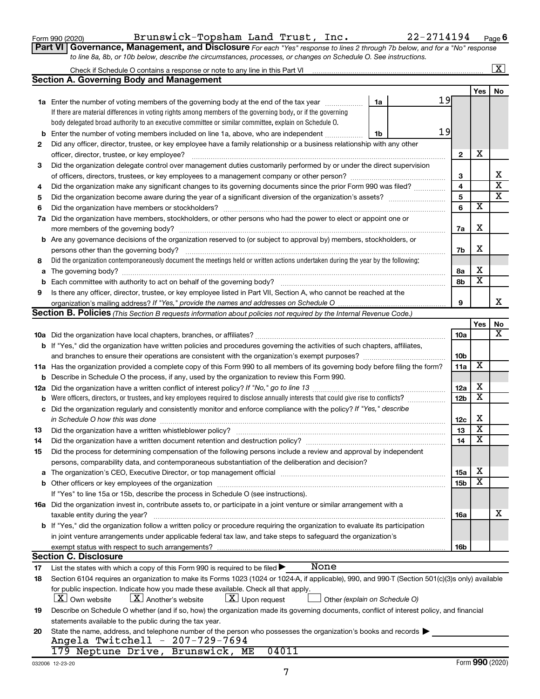| Form 990 (2020) |  |
|-----------------|--|
|-----------------|--|

Form 990 (2020)  ${\tt Brunswick-Topsham\ Land\ Trust}$ ,  ${\tt Inc.}$   $22-2714194$   $_{\tt Page}$ 

**Part VI** Governance, Management, and Disclosure For each "Yes" response to lines 2 through 7b below, and for a "No" response *to line 8a, 8b, or 10b below, describe the circumstances, processes, or changes on Schedule O. See instructions.*

|     |                                                                                                                                                                                                                                |                               |    |                 |                         | $\mathbf{X}$            |  |  |  |
|-----|--------------------------------------------------------------------------------------------------------------------------------------------------------------------------------------------------------------------------------|-------------------------------|----|-----------------|-------------------------|-------------------------|--|--|--|
|     | Section A. Governing Body and Management                                                                                                                                                                                       |                               |    |                 |                         |                         |  |  |  |
|     |                                                                                                                                                                                                                                |                               |    |                 | Yes                     | No                      |  |  |  |
|     | <b>1a</b> Enter the number of voting members of the governing body at the end of the tax year                                                                                                                                  | 1a                            | 19 |                 |                         |                         |  |  |  |
|     | If there are material differences in voting rights among members of the governing body, or if the governing                                                                                                                    |                               |    |                 |                         |                         |  |  |  |
|     | body delegated broad authority to an executive committee or similar committee, explain on Schedule O.                                                                                                                          |                               |    |                 |                         |                         |  |  |  |
| b   | 19<br>Enter the number of voting members included on line 1a, above, who are independent<br>1b                                                                                                                                 |                               |    |                 |                         |                         |  |  |  |
| 2   | Did any officer, director, trustee, or key employee have a family relationship or a business relationship with any other                                                                                                       |                               |    |                 |                         |                         |  |  |  |
|     | officer, director, trustee, or key employee?                                                                                                                                                                                   |                               |    | 2               | х                       |                         |  |  |  |
| 3   | Did the organization delegate control over management duties customarily performed by or under the direct supervision                                                                                                          |                               |    |                 |                         |                         |  |  |  |
|     |                                                                                                                                                                                                                                |                               |    | З               |                         | x                       |  |  |  |
| 4   | Did the organization make any significant changes to its governing documents since the prior Form 990 was filed?                                                                                                               |                               |    | 4               |                         | $\overline{\textbf{x}}$ |  |  |  |
| 5   |                                                                                                                                                                                                                                |                               |    | 5               |                         | $\overline{\textbf{X}}$ |  |  |  |
| 6   |                                                                                                                                                                                                                                |                               |    | 6               | $\overline{\textbf{x}}$ |                         |  |  |  |
|     | 7a Did the organization have members, stockholders, or other persons who had the power to elect or appoint one or                                                                                                              |                               |    |                 |                         |                         |  |  |  |
|     |                                                                                                                                                                                                                                |                               |    | 7a              | х                       |                         |  |  |  |
|     | <b>b</b> Are any governance decisions of the organization reserved to (or subject to approval by) members, stockholders, or                                                                                                    |                               |    |                 |                         |                         |  |  |  |
|     | persons other than the governing body?                                                                                                                                                                                         |                               |    | 7b              | х                       |                         |  |  |  |
| 8   | Did the organization contemporaneously document the meetings held or written actions undertaken during the year by the following:                                                                                              |                               |    |                 |                         |                         |  |  |  |
| a   | The governing body? [[11] notice is a construction of the construction of the construction of the construction of the construction of the construction of the construction of the construction of the construction of the cons |                               |    | 8а              | х                       |                         |  |  |  |
| b   | Each committee with authority to act on behalf of the governing body?                                                                                                                                                          |                               |    | 8b              | $\overline{\textbf{x}}$ |                         |  |  |  |
| 9   | Is there any officer, director, trustee, or key employee listed in Part VII, Section A, who cannot be reached at the                                                                                                           |                               |    |                 |                         |                         |  |  |  |
|     |                                                                                                                                                                                                                                |                               |    | 9               |                         | x                       |  |  |  |
|     | <b>Section B. Policies</b> (This Section B requests information about policies not required by the Internal Revenue Code.)                                                                                                     |                               |    |                 |                         |                         |  |  |  |
|     |                                                                                                                                                                                                                                |                               |    |                 | Yes                     | No                      |  |  |  |
|     |                                                                                                                                                                                                                                |                               |    | <b>10a</b>      |                         | х                       |  |  |  |
|     | <b>b</b> If "Yes," did the organization have written policies and procedures governing the activities of such chapters, affiliates,                                                                                            |                               |    |                 |                         |                         |  |  |  |
|     |                                                                                                                                                                                                                                |                               |    | 10 <sub>b</sub> |                         |                         |  |  |  |
|     | 11a Has the organization provided a complete copy of this Form 990 to all members of its governing body before filing the form?                                                                                                |                               |    | 11a             | х                       |                         |  |  |  |
|     | <b>b</b> Describe in Schedule O the process, if any, used by the organization to review this Form 990.                                                                                                                         |                               |    |                 |                         |                         |  |  |  |
| 12a |                                                                                                                                                                                                                                |                               |    | 12a             | х                       |                         |  |  |  |
| b   | Were officers, directors, or trustees, and key employees required to disclose annually interests that could give rise to conflicts?                                                                                            |                               |    | 12 <sub>b</sub> | $\overline{\textbf{x}}$ |                         |  |  |  |
| с   | Did the organization regularly and consistently monitor and enforce compliance with the policy? If "Yes," describe                                                                                                             |                               |    |                 |                         |                         |  |  |  |
|     | in Schedule O how this was done                                                                                                                                                                                                |                               |    | 12c             | х                       |                         |  |  |  |
| 13  | Did the organization have a written whistleblower policy?                                                                                                                                                                      |                               |    | 13              | $\overline{\textbf{x}}$ |                         |  |  |  |
| 14  |                                                                                                                                                                                                                                |                               |    | 14              | $\overline{\textbf{x}}$ |                         |  |  |  |
| 15  | Did the process for determining compensation of the following persons include a review and approval by independent                                                                                                             |                               |    |                 |                         |                         |  |  |  |
|     | persons, comparability data, and contemporaneous substantiation of the deliberation and decision?                                                                                                                              |                               |    |                 |                         |                         |  |  |  |
|     |                                                                                                                                                                                                                                |                               |    | <b>15a</b>      | х                       |                         |  |  |  |
|     |                                                                                                                                                                                                                                |                               |    | 15 <sub>b</sub> | х                       |                         |  |  |  |
|     | If "Yes" to line 15a or 15b, describe the process in Schedule O (see instructions).                                                                                                                                            |                               |    |                 |                         |                         |  |  |  |
|     | 16a Did the organization invest in, contribute assets to, or participate in a joint venture or similar arrangement with a                                                                                                      |                               |    |                 |                         |                         |  |  |  |
|     | taxable entity during the year?                                                                                                                                                                                                |                               |    | 16a             |                         | х                       |  |  |  |
|     | b If "Yes," did the organization follow a written policy or procedure requiring the organization to evaluate its participation                                                                                                 |                               |    |                 |                         |                         |  |  |  |
|     | in joint venture arrangements under applicable federal tax law, and take steps to safeguard the organization's                                                                                                                 |                               |    |                 |                         |                         |  |  |  |
|     | exempt status with respect to such arrangements?                                                                                                                                                                               |                               |    | 16b             |                         |                         |  |  |  |
|     | <b>Section C. Disclosure</b>                                                                                                                                                                                                   |                               |    |                 |                         |                         |  |  |  |
| 17  | None<br>List the states with which a copy of this Form 990 is required to be filed $\blacktriangleright$                                                                                                                       |                               |    |                 |                         |                         |  |  |  |
| 18  | Section 6104 requires an organization to make its Forms 1023 (1024 or 1024-A, if applicable), 990, and 990-T (Section 501(c)(3)s only) available                                                                               |                               |    |                 |                         |                         |  |  |  |
|     | for public inspection. Indicate how you made these available. Check all that apply.                                                                                                                                            |                               |    |                 |                         |                         |  |  |  |
|     | $\lfloor x \rfloor$ Upon request<br>  X   Own website<br>$ \mathbf{X} $ Another's website                                                                                                                                      | Other (explain on Schedule O) |    |                 |                         |                         |  |  |  |
| 19  | Describe on Schedule O whether (and if so, how) the organization made its governing documents, conflict of interest policy, and financial                                                                                      |                               |    |                 |                         |                         |  |  |  |
|     | statements available to the public during the tax year.                                                                                                                                                                        |                               |    |                 |                         |                         |  |  |  |
| 20  | State the name, address, and telephone number of the person who possesses the organization's books and records                                                                                                                 |                               |    |                 |                         |                         |  |  |  |
|     | Angela Twitchell - 207-729-7694                                                                                                                                                                                                |                               |    |                 |                         |                         |  |  |  |
|     | 179 Neptune Drive, Brunswick, ME<br>04011                                                                                                                                                                                      |                               |    |                 |                         |                         |  |  |  |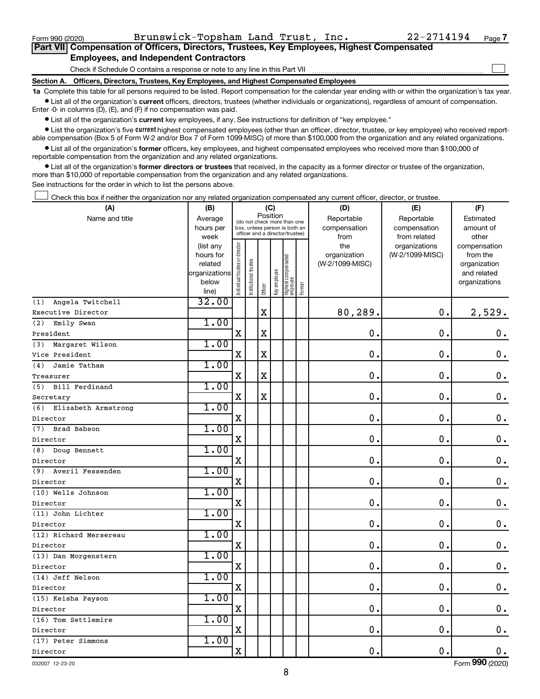$\Box$ 

| Part VII Compensation of Officers, Directors, Trustees, Key Employees, Highest Compensated |
|--------------------------------------------------------------------------------------------|
| <b>Employees, and Independent Contractors</b>                                              |

Check if Schedule O contains a response or note to any line in this Part VII

**Section A. Officers, Directors, Trustees, Key Employees, and Highest Compensated Employees**

**1a**  Complete this table for all persons required to be listed. Report compensation for the calendar year ending with or within the organization's tax year.  $\bullet$  List all of the organization's current officers, directors, trustees (whether individuals or organizations), regardless of amount of compensation.

Enter -0- in columns (D), (E), and (F) if no compensation was paid.

**•** List all of the organization's current key employees, if any. See instructions for definition of "key employee."

• List the organization's five *current* highest compensated employees (other than an officer, director, trustee, or key employee) who received reportable compensation (Box 5 of Form W-2 and/or Box 7 of Form 1099-MISC) of more than \$100,000 from the organization and any related organizations.

 $\bullet$  List all of the organization's former officers, key employees, and highest compensated employees who received more than \$100,000 of reportable compensation from the organization and any related organizations.

**•** List all of the organization's former directors or trustees that received, in the capacity as a former director or trustee of the organization, more than \$10,000 of reportable compensation from the organization and any related organizations.

See instructions for the order in which to list the persons above.

Check this box if neither the organization nor any related organization compensated any current officer, director, or trustee.  $\Box$ 

| (A)                     | (B)            |                                                                                                                          |                       | (C)         |              |                                   |        | (D)                        | (E)                        | (F)                    |
|-------------------------|----------------|--------------------------------------------------------------------------------------------------------------------------|-----------------------|-------------|--------------|-----------------------------------|--------|----------------------------|----------------------------|------------------------|
| Name and title          | Average        | Position<br>(do not check more than one<br>hours per<br>box, unless person is both an<br>officer and a director/trustee) |                       |             |              |                                   |        | Reportable<br>compensation | Reportable<br>compensation | Estimated<br>amount of |
|                         | week           |                                                                                                                          |                       |             |              |                                   |        | from                       | from related               | other                  |
|                         | (list any      |                                                                                                                          |                       |             |              |                                   |        | the                        | organizations              | compensation           |
|                         | hours for      |                                                                                                                          |                       |             |              |                                   |        | organization               | (W-2/1099-MISC)            | from the               |
|                         | related        |                                                                                                                          |                       |             |              |                                   |        | (W-2/1099-MISC)            |                            | organization           |
|                         | organizations  |                                                                                                                          |                       |             |              |                                   |        |                            |                            | and related            |
|                         | below<br>line) | Individual trustee or director                                                                                           | Institutional trustee | Officer     | Key employee | Highest compensated<br>  employee | Former |                            |                            | organizations          |
| Angela Twitchell<br>(1) | 32.00          |                                                                                                                          |                       |             |              |                                   |        |                            |                            |                        |
| Executive Director      |                |                                                                                                                          |                       | $\mathbf x$ |              |                                   |        | 80,289.                    | $\mathbf 0$ .              | 2,529.                 |
| Emily Swan<br>(2)       | 1.00           |                                                                                                                          |                       |             |              |                                   |        |                            |                            |                        |
| President               |                | $\mathbf X$                                                                                                              |                       | X           |              |                                   |        | $\mathbf 0$ .              | $\mathbf 0$ .              | 0.                     |
| Margaret Wilson<br>(3)  | 1.00           |                                                                                                                          |                       |             |              |                                   |        |                            |                            |                        |
| Vice President          |                | $\mathbf X$                                                                                                              |                       | $\mathbf X$ |              |                                   |        | $\mathbf 0$ .              | $\mathbf 0$ .              | $\mathbf 0$ .          |
| Jamie Tatham<br>(4)     | 1.00           |                                                                                                                          |                       |             |              |                                   |        |                            |                            |                        |
| Treasurer               |                | $\mathbf x$                                                                                                              |                       | X           |              |                                   |        | $\mathbf 0$ .              | $\mathbf 0$ .              | $\mathbf 0$ .          |
| (5) Bill Ferdinand      | 1.00           |                                                                                                                          |                       |             |              |                                   |        |                            |                            |                        |
| Secretary               |                | $\mathbf X$                                                                                                              |                       | $\mathbf X$ |              |                                   |        | 0.                         | $\mathbf 0$ .              | $\mathbf 0$ .          |
| (6) Elizabeth Armstrong | 1.00           |                                                                                                                          |                       |             |              |                                   |        |                            |                            |                        |
| Director                |                | $\mathbf x$                                                                                                              |                       |             |              |                                   |        | $\mathbf 0$ .              | $\mathbf 0$ .              | $\mathbf 0$ .          |
| (7)<br>Brad Babson      | 1.00           |                                                                                                                          |                       |             |              |                                   |        |                            |                            |                        |
| Director                |                | $\mathbf x$                                                                                                              |                       |             |              |                                   |        | 0.                         | $\mathbf 0$ .              | $\mathbf 0$ .          |
| (8) Doug Bennett        | 1.00           |                                                                                                                          |                       |             |              |                                   |        |                            |                            |                        |
| Director                |                | $\mathbf x$                                                                                                              |                       |             |              |                                   |        | 0.                         | $\mathbf 0$ .              | $0$ .                  |
| (9) Averil Fessenden    | 1.00           |                                                                                                                          |                       |             |              |                                   |        |                            |                            |                        |
| Director                |                | $\mathbf x$                                                                                                              |                       |             |              |                                   |        | 0.                         | $\mathbf 0$ .              | $\mathbf 0$ .          |
| (10) Wells Johnson      | 1.00           |                                                                                                                          |                       |             |              |                                   |        |                            |                            |                        |
| Director                |                | $\mathbf x$                                                                                                              |                       |             |              |                                   |        | $\mathbf 0$ .              | $\mathbf 0$ .              | $\mathbf 0$ .          |
| (11) John Lichter       | 1.00           |                                                                                                                          |                       |             |              |                                   |        |                            |                            |                        |
| Director                |                | $\mathbf X$                                                                                                              |                       |             |              |                                   |        | 0.                         | $\mathbf 0$ .              | $\mathbf 0$ .          |
| (12) Richard Mersereau  | 1.00           |                                                                                                                          |                       |             |              |                                   |        |                            |                            |                        |
| Director                |                | $\mathbf x$                                                                                                              |                       |             |              |                                   |        | 0.                         | $\mathbf 0$ .              | $\mathbf 0$ .          |
| (13) Dan Morgenstern    | 1.00           |                                                                                                                          |                       |             |              |                                   |        |                            |                            |                        |
| Director                |                | X                                                                                                                        |                       |             |              |                                   |        | $\mathbf 0$ .              | $\mathbf 0$ .              | $\boldsymbol{0}$ .     |
| (14) Jeff Nelson        | 1.00           |                                                                                                                          |                       |             |              |                                   |        |                            |                            |                        |
| Director                |                | $\mathbf X$                                                                                                              |                       |             |              |                                   |        | $\mathbf 0$ .              | $\mathbf 0$ .              | $\boldsymbol{0}$ .     |
| (15) Keisha Payson      | 1.00           |                                                                                                                          |                       |             |              |                                   |        |                            |                            |                        |
| Director                |                | $\mathbf X$                                                                                                              |                       |             |              |                                   |        | $\mathbf 0$ .              | $\mathbf 0$ .              | $\boldsymbol{0}$ .     |
| (16) Tom Settlemire     | 1.00           |                                                                                                                          |                       |             |              |                                   |        |                            |                            |                        |
| Director                |                | $\mathbf X$                                                                                                              |                       |             |              |                                   |        | $\mathbf 0$ .              | $\mathbf 0$ .              | $\mathbf 0$ .          |
| (17) Peter Simmons      | 1.00           |                                                                                                                          |                       |             |              |                                   |        |                            |                            |                        |
| Director                |                | $\mathbf X$                                                                                                              |                       |             |              |                                   |        | $\mathbf 0$ .              | $\mathbf 0$ .              | $\mathbf 0$ .          |

032007 12-23-20

Form (2020) **990**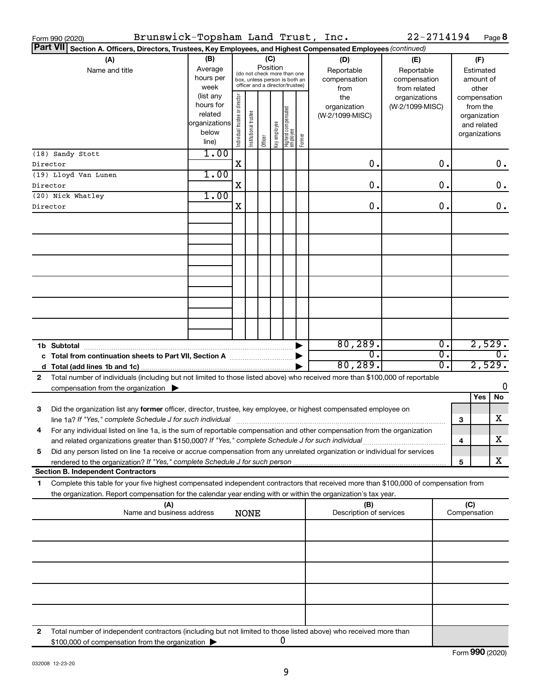| Brunswick-Topsham Land Trust, Inc.<br>Form 990 (2020)                                                                                                                                                                                                       |                                                         |                                |                       |         |                                                                                                                    |                                   |        |                                                  | 22-2714194                                                         |          |                     |                                                          | Page 8                     |
|-------------------------------------------------------------------------------------------------------------------------------------------------------------------------------------------------------------------------------------------------------------|---------------------------------------------------------|--------------------------------|-----------------------|---------|--------------------------------------------------------------------------------------------------------------------|-----------------------------------|--------|--------------------------------------------------|--------------------------------------------------------------------|----------|---------------------|----------------------------------------------------------|----------------------------|
| <b>Part VII</b><br>Section A. Officers, Directors, Trustees, Key Employees, and Highest Compensated Employees (continued)                                                                                                                                   |                                                         |                                |                       |         |                                                                                                                    |                                   |        |                                                  |                                                                    |          |                     |                                                          |                            |
| (A)<br>Name and title                                                                                                                                                                                                                                       | (B)<br>Average<br>hours per<br>week<br>(list any        |                                |                       |         | (C)<br>Position<br>(do not check more than one<br>box, unless person is both an<br>officer and a director/trustee) |                                   |        | (D)<br>Reportable<br>compensation<br>from<br>the | (E)<br>Reportable<br>compensation<br>from related<br>organizations |          |                     | (F)<br>Estimated<br>amount of<br>other<br>compensation   |                            |
|                                                                                                                                                                                                                                                             | hours for<br>related<br>organizations<br>below<br>line) | Individual trustee or director | Institutional trustee | Officer | Key employee                                                                                                       | Highest compensated<br>  employee | Former | organization<br>(W-2/1099-MISC)                  | (W-2/1099-MISC)                                                    |          |                     | from the<br>organization<br>and related<br>organizations |                            |
| (18) Sandy Stott                                                                                                                                                                                                                                            | 1.00                                                    | X                              |                       |         |                                                                                                                    |                                   |        | 0.                                               |                                                                    | 0.       |                     |                                                          | 0.                         |
| Director<br>(19) Lloyd Van Lunen                                                                                                                                                                                                                            | 1.00                                                    |                                |                       |         |                                                                                                                    |                                   |        |                                                  |                                                                    |          |                     |                                                          |                            |
| Director                                                                                                                                                                                                                                                    |                                                         | X                              |                       |         |                                                                                                                    |                                   |        | 0.                                               |                                                                    | 0.       |                     |                                                          | 0.                         |
| (20) Nick Whatley<br>Director                                                                                                                                                                                                                               | 1.00                                                    | X                              |                       |         |                                                                                                                    |                                   |        | 0.                                               |                                                                    | 0.       |                     |                                                          | 0.                         |
|                                                                                                                                                                                                                                                             |                                                         |                                |                       |         |                                                                                                                    |                                   |        |                                                  |                                                                    |          |                     |                                                          |                            |
|                                                                                                                                                                                                                                                             |                                                         |                                |                       |         |                                                                                                                    |                                   |        |                                                  |                                                                    |          |                     |                                                          |                            |
|                                                                                                                                                                                                                                                             |                                                         |                                |                       |         |                                                                                                                    |                                   |        |                                                  |                                                                    |          |                     |                                                          |                            |
|                                                                                                                                                                                                                                                             |                                                         |                                |                       |         |                                                                                                                    |                                   |        |                                                  |                                                                    |          |                     |                                                          |                            |
|                                                                                                                                                                                                                                                             |                                                         |                                |                       |         |                                                                                                                    |                                   |        |                                                  |                                                                    |          |                     |                                                          |                            |
| 1b Subtotal                                                                                                                                                                                                                                                 |                                                         |                                |                       |         |                                                                                                                    |                                   |        | 80, 289.                                         |                                                                    | 0.       |                     |                                                          | 2,529.                     |
| c Total from continuation sheets to Part VII, Section A                                                                                                                                                                                                     |                                                         |                                |                       |         |                                                                                                                    |                                   |        | $\overline{0}$ .<br>80, 289.                     |                                                                    | σ.<br>0. |                     |                                                          | $\overline{0}$ .<br>2,529. |
| Total number of individuals (including but not limited to those listed above) who received more than \$100,000 of reportable<br>2<br>compensation from the organization $\blacktriangleright$                                                               |                                                         |                                |                       |         |                                                                                                                    |                                   |        |                                                  |                                                                    |          |                     |                                                          | 0                          |
|                                                                                                                                                                                                                                                             |                                                         |                                |                       |         |                                                                                                                    |                                   |        |                                                  |                                                                    |          |                     | Yes                                                      | No                         |
| Did the organization list any former officer, director, trustee, key employee, or highest compensated employee on<br>3<br>line 1a? If "Yes," complete Schedule J for such individual manufacture content to the content of the complete                     |                                                         |                                |                       |         |                                                                                                                    |                                   |        |                                                  |                                                                    |          | 3                   |                                                          | х                          |
| For any individual listed on line 1a, is the sum of reportable compensation and other compensation from the organization<br>and related organizations greater than \$150,000? If "Yes," complete Schedule J for such individual                             |                                                         |                                |                       |         |                                                                                                                    |                                   |        |                                                  |                                                                    |          | 4                   |                                                          | х                          |
| Did any person listed on line 1a receive or accrue compensation from any unrelated organization or individual for services<br>5                                                                                                                             |                                                         |                                |                       |         |                                                                                                                    |                                   |        |                                                  |                                                                    |          | 5                   |                                                          | х                          |
| <b>Section B. Independent Contractors</b>                                                                                                                                                                                                                   |                                                         |                                |                       |         |                                                                                                                    |                                   |        |                                                  |                                                                    |          |                     |                                                          |                            |
| Complete this table for your five highest compensated independent contractors that received more than \$100,000 of compensation from<br>1<br>the organization. Report compensation for the calendar year ending with or within the organization's tax year. |                                                         |                                |                       |         |                                                                                                                    |                                   |        |                                                  |                                                                    |          |                     |                                                          |                            |
| (A)<br>Name and business address                                                                                                                                                                                                                            |                                                         |                                | <b>NONE</b>           |         |                                                                                                                    |                                   |        | (B)<br>Description of services                   |                                                                    |          | (C)<br>Compensation |                                                          |                            |
|                                                                                                                                                                                                                                                             |                                                         |                                |                       |         |                                                                                                                    |                                   |        |                                                  |                                                                    |          |                     |                                                          |                            |
|                                                                                                                                                                                                                                                             |                                                         |                                |                       |         |                                                                                                                    |                                   |        |                                                  |                                                                    |          |                     |                                                          |                            |
|                                                                                                                                                                                                                                                             |                                                         |                                |                       |         |                                                                                                                    |                                   |        |                                                  |                                                                    |          |                     |                                                          |                            |
|                                                                                                                                                                                                                                                             |                                                         |                                |                       |         |                                                                                                                    |                                   |        |                                                  |                                                                    |          |                     |                                                          |                            |
| Total number of independent contractors (including but not limited to those listed above) who received more than<br>2                                                                                                                                       |                                                         |                                |                       |         |                                                                                                                    |                                   |        |                                                  |                                                                    |          |                     |                                                          |                            |
| \$100,000 of compensation from the organization                                                                                                                                                                                                             |                                                         |                                |                       |         | 0                                                                                                                  |                                   |        |                                                  |                                                                    |          |                     |                                                          |                            |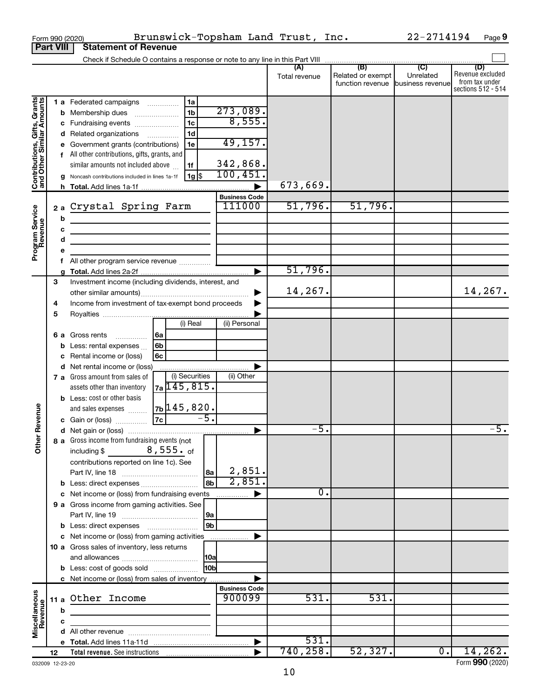|                                                           |                  | Brunswick-Topsham Land Trust, Inc.<br>Form 990 (2020)                           |                      |               |                   | 22-2714194       | Page 9                               |
|-----------------------------------------------------------|------------------|---------------------------------------------------------------------------------|----------------------|---------------|-------------------|------------------|--------------------------------------|
|                                                           | <b>Part VIII</b> | <b>Statement of Revenue</b>                                                     |                      |               |                   |                  |                                      |
|                                                           |                  |                                                                                 |                      | (A)           | (B)               | (C)              | (D)                                  |
|                                                           |                  |                                                                                 |                      | Total revenue | Related or exempt | Unrelated        | Revenue excluded                     |
|                                                           |                  |                                                                                 |                      |               | function revenue  | business revenue | from tax under<br>sections 512 - 514 |
|                                                           |                  | 1a                                                                              |                      |               |                   |                  |                                      |
|                                                           |                  | 1 a Federated campaigns<br>1 <sub>b</sub><br><b>b</b> Membership dues           | 273,089.             |               |                   |                  |                                      |
|                                                           |                  | 1 <sub>c</sub><br>c Fundraising events                                          | 8,555.               |               |                   |                  |                                      |
|                                                           |                  | 1 <sub>d</sub><br>d Related organizations                                       |                      |               |                   |                  |                                      |
|                                                           |                  | e Government grants (contributions)<br>1e                                       | 49, 157.             |               |                   |                  |                                      |
|                                                           |                  | f All other contributions, gifts, grants, and                                   |                      |               |                   |                  |                                      |
|                                                           |                  | similar amounts not included above<br>1f                                        | 342,868.             |               |                   |                  |                                      |
| Contributions, Gifts, Grants<br>and Other Similar Amounts |                  | 1g   \$<br>g Noncash contributions included in lines 1a-1f                      | 100,451.             |               |                   |                  |                                      |
|                                                           |                  |                                                                                 |                      | 673,669.      |                   |                  |                                      |
|                                                           |                  |                                                                                 | <b>Business Code</b> |               |                   |                  |                                      |
|                                                           |                  | 2a Crystal Spring Farm                                                          | 111000               | 51,796.       | 51,796.           |                  |                                      |
|                                                           | b                | <u> 1989 - Johann John Stein, mars an de British (b. 1989)</u>                  |                      |               |                   |                  |                                      |
|                                                           | c                | the control of the control of the control of the control of the control of      |                      |               |                   |                  |                                      |
|                                                           | d                | the contract of the contract of the contract of the contract of the contract of |                      |               |                   |                  |                                      |
| Program Service<br>Revenue                                | е                |                                                                                 |                      |               |                   |                  |                                      |
|                                                           | 1.               | All other program service revenue                                               | ▶                    | 51,796.       |                   |                  |                                      |
|                                                           | 3                | Investment income (including dividends, interest, and                           |                      |               |                   |                  |                                      |
|                                                           |                  |                                                                                 | ▶                    | 14,267.       |                   |                  | 14,267.                              |
|                                                           | 4                | Income from investment of tax-exempt bond proceeds                              | ▶                    |               |                   |                  |                                      |
|                                                           | 5                |                                                                                 |                      |               |                   |                  |                                      |
|                                                           |                  | (i) Real                                                                        | (ii) Personal        |               |                   |                  |                                      |
|                                                           |                  | 6 a Gross rents<br>l 6a<br>.                                                    |                      |               |                   |                  |                                      |
|                                                           |                  | <b>b</b> Less: rental expenses<br>6b                                            |                      |               |                   |                  |                                      |
|                                                           |                  | c Rental income or (loss)<br>6с                                                 |                      |               |                   |                  |                                      |
|                                                           |                  | d Net rental income or (loss)                                                   |                      |               |                   |                  |                                      |
|                                                           |                  | (i) Securities<br>7 a Gross amount from sales of                                | (ii) Other           |               |                   |                  |                                      |
|                                                           |                  | $7a$ 145, 815.<br>assets other than inventory                                   |                      |               |                   |                  |                                      |
|                                                           |                  | <b>b</b> Less: cost or other basis<br>7b 145,820.                               |                      |               |                   |                  |                                      |
| wenue                                                     |                  | and sales expenses<br>$-5.$<br>7c                                               |                      |               |                   |                  |                                      |
| č                                                         |                  | c Gain or (loss)                                                                |                      | -5.           |                   |                  | $-5.$                                |
|                                                           |                  | 8 a Gross income from fundraising events (not                                   |                      |               |                   |                  |                                      |
| Other                                                     |                  | including $$$ 8, 555. of                                                        |                      |               |                   |                  |                                      |
|                                                           |                  | contributions reported on line 1c). See                                         |                      |               |                   |                  |                                      |
|                                                           |                  | l 8a                                                                            | 2,851.               |               |                   |                  |                                      |
|                                                           |                  | l 8b<br><b>b</b> Less: direct expenses                                          | 2,851                |               |                   |                  |                                      |
|                                                           |                  | c Net income or (loss) from fundraising events                                  | .                    | ο.            |                   |                  |                                      |
|                                                           |                  | 9 a Gross income from gaming activities. See                                    |                      |               |                   |                  |                                      |
|                                                           |                  | 9a                                                                              |                      |               |                   |                  |                                      |
|                                                           |                  | l 9b                                                                            |                      |               |                   |                  |                                      |
|                                                           |                  | c Net income or (loss) from gaming activities                                   | Þ                    |               |                   |                  |                                      |
|                                                           |                  | 10 a Gross sales of inventory, less returns                                     |                      |               |                   |                  |                                      |
|                                                           |                  | <b>10a</b><br>l10bl<br><b>b</b> Less: cost of goods sold                        |                      |               |                   |                  |                                      |
|                                                           |                  | c Net income or (loss) from sales of inventory                                  |                      |               |                   |                  |                                      |
|                                                           |                  |                                                                                 | <b>Business Code</b> |               |                   |                  |                                      |
|                                                           | 11 a             | Other Income                                                                    | 900099               | 531.          | 531.              |                  |                                      |
| Miscellaneous<br>Revenue                                  | b                |                                                                                 |                      |               |                   |                  |                                      |
|                                                           | c                |                                                                                 |                      |               |                   |                  |                                      |
|                                                           |                  | d                                                                               |                      |               |                   |                  |                                      |
|                                                           |                  |                                                                                 | ▶                    | 531.          |                   |                  |                                      |
|                                                           | 12               |                                                                                 |                      | 740, 258.     | 52,327.           | $\overline{0}$ . | 14, 262.                             |

032009 12-23-20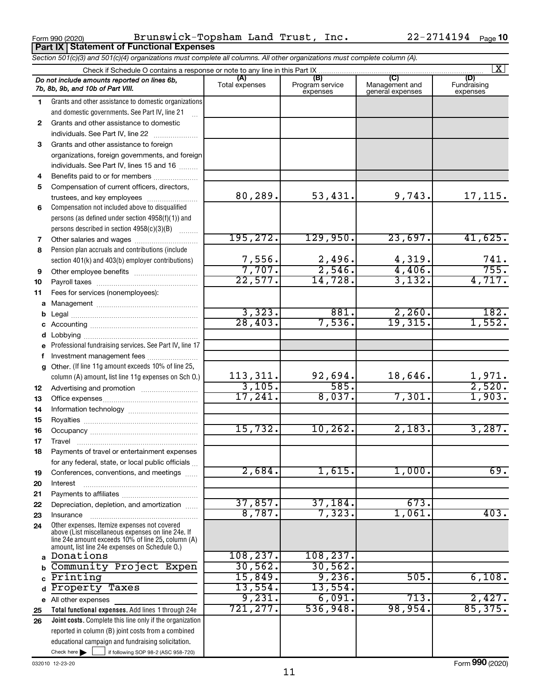Form 990 (2020)  ${\tt Brunswick-Topsham\ Land\ Trust\,,\ Inc.}$  22-2714194  $_{\tt Page}$ **Part IX Statement of Functional Expenses**

|    | Section 501(c)(3) and 501(c)(4) organizations must complete all columns. All other organizations must complete column (A).                                                                                 |                       |                                    |                                           |                                |
|----|------------------------------------------------------------------------------------------------------------------------------------------------------------------------------------------------------------|-----------------------|------------------------------------|-------------------------------------------|--------------------------------|
|    | Check if Schedule O contains a response or note to any line in this Part IX                                                                                                                                |                       |                                    |                                           | $\mathbf{X}$                   |
|    | Do not include amounts reported on lines 6b,<br>7b, 8b, 9b, and 10b of Part VIII.                                                                                                                          | (A)<br>Total expenses | (B)<br>Program service<br>expenses | (C)<br>Management and<br>general expenses | (D)<br>Fundraising<br>expenses |
| 1. | Grants and other assistance to domestic organizations<br>and domestic governments. See Part IV, line 21                                                                                                    |                       |                                    |                                           |                                |
| 2  | Grants and other assistance to domestic                                                                                                                                                                    |                       |                                    |                                           |                                |
|    | individuals. See Part IV, line 22                                                                                                                                                                          |                       |                                    |                                           |                                |
| 3  | Grants and other assistance to foreign                                                                                                                                                                     |                       |                                    |                                           |                                |
|    | organizations, foreign governments, and foreign<br>individuals. See Part IV, lines 15 and 16                                                                                                               |                       |                                    |                                           |                                |
| 4  | Benefits paid to or for members                                                                                                                                                                            |                       |                                    |                                           |                                |
| 5  | Compensation of current officers, directors,                                                                                                                                                               |                       |                                    |                                           |                                |
|    | trustees, and key employees                                                                                                                                                                                | 80, 289.              | 53,431.                            | 9,743.                                    | 17,115.                        |
| 6  | Compensation not included above to disqualified                                                                                                                                                            |                       |                                    |                                           |                                |
|    | persons (as defined under section 4958(f)(1)) and                                                                                                                                                          |                       |                                    |                                           |                                |
|    | persons described in section 4958(c)(3)(B)                                                                                                                                                                 |                       |                                    |                                           |                                |
| 7  | Other salaries and wages                                                                                                                                                                                   | 195, 272.             | 129,950.                           | 23,697.                                   | 41,625.                        |
| 8  | Pension plan accruals and contributions (include                                                                                                                                                           |                       |                                    |                                           |                                |
|    | section 401(k) and 403(b) employer contributions)                                                                                                                                                          |                       |                                    | 4,319.                                    |                                |
| 9  |                                                                                                                                                                                                            | 7,556.<br>7,707.      | $\frac{2,496}{2,546}$              | 4,406.                                    | $\frac{741}{755}$ .            |
| 10 |                                                                                                                                                                                                            | 22,577.               | 14,728.                            | 3,132.                                    | 4,717.                         |
| 11 | Fees for services (nonemployees):                                                                                                                                                                          |                       |                                    |                                           |                                |
|    |                                                                                                                                                                                                            |                       |                                    |                                           |                                |
|    |                                                                                                                                                                                                            | 3,323.                | 881.                               | 2,260.                                    | 182.                           |
|    |                                                                                                                                                                                                            | 28,403.               | 7,536.                             | 19,315.                                   | 1,552.                         |
| d  |                                                                                                                                                                                                            |                       |                                    |                                           |                                |
|    | e Professional fundraising services. See Part IV, line 17                                                                                                                                                  |                       |                                    |                                           |                                |
| f  | Investment management fees                                                                                                                                                                                 |                       |                                    |                                           |                                |
|    | g Other. (If line 11g amount exceeds 10% of line 25,                                                                                                                                                       |                       |                                    |                                           |                                |
|    | column (A) amount, list line 11g expenses on Sch O.)                                                                                                                                                       | 113,311.              | 92,694.                            | 18,646.                                   |                                |
| 12 |                                                                                                                                                                                                            | 3,105.                | 585.                               |                                           | $\frac{1,971}{2,520}$          |
| 13 |                                                                                                                                                                                                            | 17,241.               | 8,037.                             | 7,301.                                    | 1,903.                         |
| 14 |                                                                                                                                                                                                            |                       |                                    |                                           |                                |
| 15 |                                                                                                                                                                                                            |                       |                                    |                                           |                                |
| 16 |                                                                                                                                                                                                            | 15,732.               | 10, 262.                           | 2,183.                                    | 3,287.                         |
| 17 |                                                                                                                                                                                                            |                       |                                    |                                           |                                |
| 18 | Payments of travel or entertainment expenses                                                                                                                                                               |                       |                                    |                                           |                                |
|    | for any federal, state, or local public officials                                                                                                                                                          |                       |                                    |                                           |                                |
| 19 | Conferences, conventions, and meetings                                                                                                                                                                     | 2,684.                | 1,615.                             | 1,000.                                    | 69.                            |
| 20 | Interest                                                                                                                                                                                                   |                       |                                    |                                           |                                |
| 21 |                                                                                                                                                                                                            |                       |                                    |                                           |                                |
| 22 | Depreciation, depletion, and amortization                                                                                                                                                                  | 37,857.               | 37,184.                            | 673.                                      |                                |
| 23 | Insurance                                                                                                                                                                                                  | 8,787.                | 7,323.                             | 1,061.                                    | 403.                           |
| 24 | Other expenses. Itemize expenses not covered<br>above (List miscellaneous expenses on line 24e. If<br>line 24e amount exceeds 10% of line 25, column (A)<br>amount, list line 24e expenses on Schedule O.) |                       |                                    |                                           |                                |
| a  | Donations                                                                                                                                                                                                  | 108, 237.             | 108, 237.                          |                                           |                                |
|    | Community Project Expen                                                                                                                                                                                    | 30, 562.              | 30, 562.                           |                                           |                                |
| с  | Printing                                                                                                                                                                                                   | 15,849.               | 9,236.                             | 505.                                      | 6,108.                         |
| d  | Property Taxes                                                                                                                                                                                             | 13,554.               | 13,554.                            |                                           |                                |
|    | e All other expenses                                                                                                                                                                                       | 9,231.                | 6,091.                             | 713.                                      | 2,427.                         |
| 25 | Total functional expenses. Add lines 1 through 24e                                                                                                                                                         | 721,277.              | 536,948.                           | 98,954.                                   | 85,375.                        |
| 26 | Joint costs. Complete this line only if the organization                                                                                                                                                   |                       |                                    |                                           |                                |
|    | reported in column (B) joint costs from a combined                                                                                                                                                         |                       |                                    |                                           |                                |
|    | educational campaign and fundraising solicitation.                                                                                                                                                         |                       |                                    |                                           |                                |
|    | Check here $\blacktriangleright$<br>if following SOP 98-2 (ASC 958-720)                                                                                                                                    |                       |                                    |                                           |                                |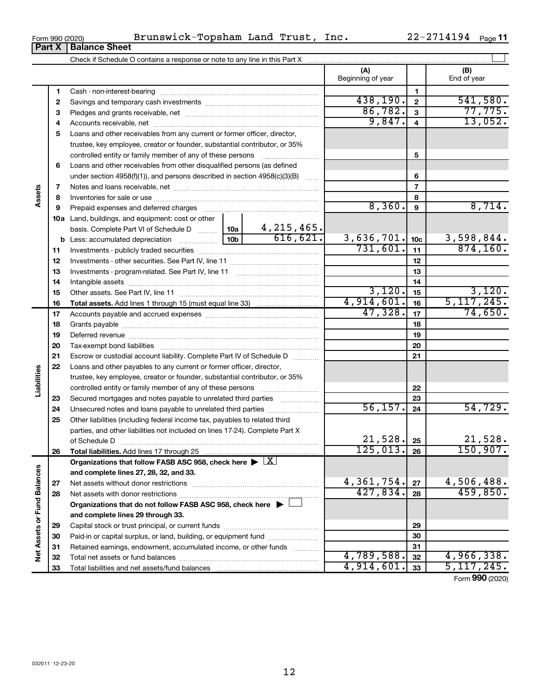| ' 1 9 4<br>ה ה<br>.<br>Brunswick-Topsham<br>Trust<br>ב14 י'<br>Land<br>Inc.<br>Form 990 (2020)<br>. . | Page |
|-------------------------------------------------------------------------------------------------------|------|
|-------------------------------------------------------------------------------------------------------|------|

|                             |    |                                                                                                                                                                                                                                |                   |                        | (A)<br>Beginning of year |                | (B)<br>End of year |
|-----------------------------|----|--------------------------------------------------------------------------------------------------------------------------------------------------------------------------------------------------------------------------------|-------------------|------------------------|--------------------------|----------------|--------------------|
|                             | 1  |                                                                                                                                                                                                                                |                   |                        |                          | 1              |                    |
|                             | 2  |                                                                                                                                                                                                                                |                   |                        | 438,190.                 | $\mathbf{2}$   | 541,580.           |
|                             | з  |                                                                                                                                                                                                                                |                   |                        | 86,782.                  | $\mathbf{3}$   | 77,775.            |
|                             | 4  |                                                                                                                                                                                                                                |                   | 9,847.                 | 4                        | 13,052.        |                    |
|                             | 5  | Loans and other receivables from any current or former officer, director,                                                                                                                                                      |                   |                        |                          |                |                    |
|                             |    | trustee, key employee, creator or founder, substantial contributor, or 35%                                                                                                                                                     |                   |                        |                          |                |                    |
|                             |    | controlled entity or family member of any of these persons                                                                                                                                                                     |                   |                        |                          | 5              |                    |
|                             | 6  | Loans and other receivables from other disqualified persons (as defined                                                                                                                                                        |                   |                        |                          |                |                    |
|                             |    | under section $4958(f)(1)$ , and persons described in section $4958(c)(3)(B)$                                                                                                                                                  |                   | $\ldots$               |                          | 6              |                    |
|                             | 7  |                                                                                                                                                                                                                                |                   |                        |                          | $\overline{7}$ |                    |
| Assets                      | 8  |                                                                                                                                                                                                                                |                   |                        |                          | 8              |                    |
|                             | 9  | Prepaid expenses and deferred charges                                                                                                                                                                                          |                   |                        | 8,360.                   | 9              | 8,714.             |
|                             |    | <b>10a</b> Land, buildings, and equipment: cost or other                                                                                                                                                                       |                   |                        |                          |                |                    |
|                             |    | basis. Complete Part VI of Schedule D  10a                                                                                                                                                                                     | 10 <sub>b</sub>   | 4,215,465.<br>616,621. |                          |                |                    |
|                             |    | <b>b</b> Less: accumulated depreciation                                                                                                                                                                                        | $3,636,701$ . 10c |                        | 3,598,844.               |                |                    |
|                             | 11 |                                                                                                                                                                                                                                | 731,601.          | 11                     | 874, 160.                |                |                    |
|                             | 12 |                                                                                                                                                                                                                                |                   | 12                     |                          |                |                    |
|                             | 13 |                                                                                                                                                                                                                                |                   | 13                     |                          |                |                    |
|                             | 14 |                                                                                                                                                                                                                                | 3,120.            | 14                     |                          |                |                    |
|                             | 15 |                                                                                                                                                                                                                                | 4,914,601.        | 15                     | 3,120.<br>5, 117, 245.   |                |                    |
|                             | 16 |                                                                                                                                                                                                                                |                   |                        | 47,328.                  | 16             | 74,650.            |
|                             | 17 |                                                                                                                                                                                                                                |                   | 17                     |                          |                |                    |
|                             | 18 |                                                                                                                                                                                                                                |                   | 18                     |                          |                |                    |
|                             | 19 | Deferred revenue manual contracts and contracts are all the manual contracts and contracts are contracted and contracts are contracted and contract are contracted and contract are contracted and contract are contracted and |                   |                        |                          | 19             |                    |
|                             | 20 |                                                                                                                                                                                                                                |                   |                        |                          | 20             |                    |
|                             | 21 | Escrow or custodial account liability. Complete Part IV of Schedule D                                                                                                                                                          |                   |                        |                          | 21             |                    |
| Liabilities                 | 22 | Loans and other payables to any current or former officer, director,                                                                                                                                                           |                   |                        |                          |                |                    |
|                             |    | trustee, key employee, creator or founder, substantial contributor, or 35%                                                                                                                                                     |                   |                        |                          | 22             |                    |
|                             | 23 | Secured mortgages and notes payable to unrelated third parties                                                                                                                                                                 |                   |                        |                          | 23             |                    |
|                             | 24 | Unsecured notes and loans payable to unrelated third parties                                                                                                                                                                   |                   |                        | 56, 157.                 | 24             | 54,729.            |
|                             | 25 | Other liabilities (including federal income tax, payables to related third                                                                                                                                                     |                   |                        |                          |                |                    |
|                             |    | parties, and other liabilities not included on lines 17-24). Complete Part X                                                                                                                                                   |                   |                        |                          |                |                    |
|                             |    |                                                                                                                                                                                                                                |                   |                        | 21,528.                  | 25             | 21,528.            |
|                             | 26 |                                                                                                                                                                                                                                |                   |                        | 125,013.                 | 26             | 150,907.           |
|                             |    | Organizations that follow FASB ASC 958, check here $\blacktriangleright \lfloor \underline{X} \rfloor$                                                                                                                         |                   |                        |                          |                |                    |
|                             |    | and complete lines 27, 28, 32, and 33.                                                                                                                                                                                         |                   |                        |                          |                |                    |
|                             | 27 |                                                                                                                                                                                                                                |                   |                        | 4,361,754.               | 27             | 4,506,488.         |
|                             | 28 |                                                                                                                                                                                                                                |                   |                        | 427,834.                 | 28             | 459,850.           |
|                             |    | Organizations that do not follow FASB ASC 958, check here $\blacktriangleright$                                                                                                                                                |                   |                        |                          |                |                    |
|                             |    | and complete lines 29 through 33.                                                                                                                                                                                              |                   |                        |                          |                |                    |
|                             | 29 |                                                                                                                                                                                                                                |                   |                        |                          | 29             |                    |
| Net Assets or Fund Balances | 30 | Paid-in or capital surplus, or land, building, or equipment fund                                                                                                                                                               |                   |                        |                          | 30             |                    |
|                             | 31 | Retained earnings, endowment, accumulated income, or other funds                                                                                                                                                               |                   |                        |                          | 31             |                    |
|                             | 32 |                                                                                                                                                                                                                                |                   |                        | 4,789,588.               | 32             | 4,966,338.         |
|                             | 33 |                                                                                                                                                                                                                                |                   |                        | 4,914,601.               | 33             | 5,117,245.         |
|                             |    |                                                                                                                                                                                                                                |                   |                        |                          |                |                    |

Form (2020) **990**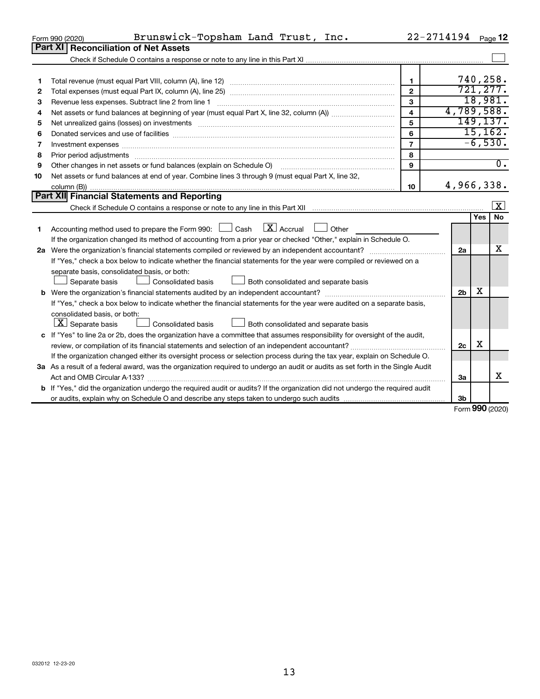|    | Brunswick-Topsham Land Trust, Inc.<br>Form 990 (2020)                                                                           |                         | 22-2714194 Page 12 |            |                         |  |  |
|----|---------------------------------------------------------------------------------------------------------------------------------|-------------------------|--------------------|------------|-------------------------|--|--|
|    | Part XI   Reconciliation of Net Assets                                                                                          |                         |                    |            |                         |  |  |
|    |                                                                                                                                 |                         |                    |            |                         |  |  |
|    |                                                                                                                                 |                         |                    |            |                         |  |  |
| 1  |                                                                                                                                 | 1                       |                    |            | 740,258.                |  |  |
| 2  |                                                                                                                                 | $\mathbf{2}$            |                    |            | 721, 277.<br>18,981.    |  |  |
| З  | 3<br>Revenue less expenses. Subtract line 2 from line 1                                                                         |                         |                    |            |                         |  |  |
| 4  |                                                                                                                                 | $\overline{\mathbf{4}}$ | 4,789,588.         |            |                         |  |  |
| 5  |                                                                                                                                 | 5                       |                    |            | 149, 137.               |  |  |
| 6  |                                                                                                                                 | 6                       |                    |            | 15, 162.                |  |  |
| 7  |                                                                                                                                 | $\overline{7}$          |                    |            | $-6,530.$               |  |  |
| 8  | Prior period adjustments www.communication.communication.communication.com/                                                     | 8                       |                    |            |                         |  |  |
| 9  |                                                                                                                                 | 9                       |                    |            | $\overline{0}$ .        |  |  |
| 10 | Net assets or fund balances at end of year. Combine lines 3 through 9 (must equal Part X, line 32,                              |                         |                    |            |                         |  |  |
|    |                                                                                                                                 | 10                      | 4,966,338.         |            |                         |  |  |
|    | Part XII Financial Statements and Reporting                                                                                     |                         |                    |            |                         |  |  |
|    |                                                                                                                                 |                         |                    |            | $\overline{\mathbf{x}}$ |  |  |
|    |                                                                                                                                 |                         |                    | <b>Yes</b> | No                      |  |  |
| 1  | Accounting method used to prepare the Form 990: $\Box$ Cash $\Box$ Accrual<br>$\Box$ Other                                      |                         |                    |            |                         |  |  |
|    | If the organization changed its method of accounting from a prior year or checked "Other," explain in Schedule O.               |                         |                    |            |                         |  |  |
|    |                                                                                                                                 |                         | 2a                 |            | х                       |  |  |
|    | If "Yes," check a box below to indicate whether the financial statements for the year were compiled or reviewed on a            |                         |                    |            |                         |  |  |
|    | separate basis, consolidated basis, or both:                                                                                    |                         |                    |            |                         |  |  |
|    | Both consolidated and separate basis<br>Separate basis<br>Consolidated basis                                                    |                         |                    |            |                         |  |  |
|    |                                                                                                                                 |                         | 2 <sub>b</sub>     | х          |                         |  |  |
|    | If "Yes," check a box below to indicate whether the financial statements for the year were audited on a separate basis,         |                         |                    |            |                         |  |  |
|    | consolidated basis, or both:                                                                                                    |                         |                    |            |                         |  |  |
|    | $\lfloor x \rfloor$ Separate basis<br><b>Consolidated basis</b><br>Both consolidated and separate basis                         |                         |                    |            |                         |  |  |
|    | c If "Yes" to line 2a or 2b, does the organization have a committee that assumes responsibility for oversight of the audit,     |                         |                    |            |                         |  |  |
|    |                                                                                                                                 |                         | 2c                 | х          |                         |  |  |
|    | If the organization changed either its oversight process or selection process during the tax year, explain on Schedule O.       |                         |                    |            |                         |  |  |
|    | 3a As a result of a federal award, was the organization required to undergo an audit or audits as set forth in the Single Audit |                         |                    |            |                         |  |  |
|    |                                                                                                                                 |                         | За                 |            | X                       |  |  |
|    | b If "Yes," did the organization undergo the required audit or audits? If the organization did not undergo the required audit   |                         |                    |            |                         |  |  |
|    |                                                                                                                                 |                         | 3 <sub>b</sub>     |            |                         |  |  |

Form (2020) **990**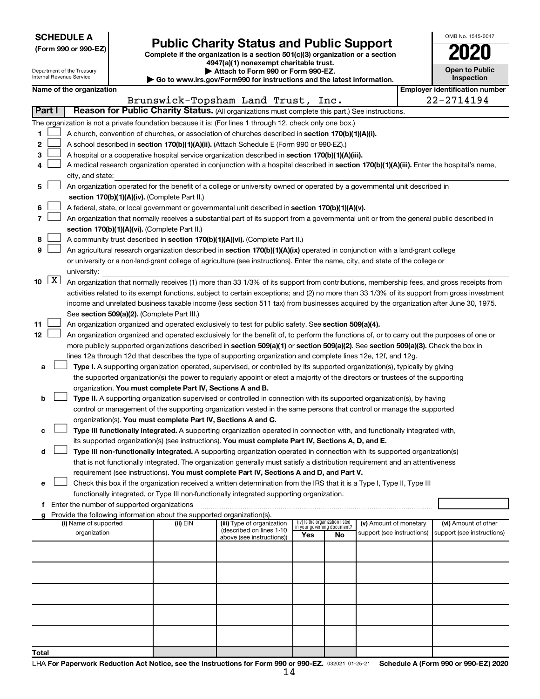| <b>SCHEDULE A</b> |  |
|-------------------|--|
|-------------------|--|

|  |  | (Form 990 or 990-EZ) |
|--|--|----------------------|
|  |  |                      |

## Form 990 or 990-EZ) **Public Charity Status and Public Support**<br>
Complete if the organization is a section 501(c)(3) organization or a section<br> **2020**

**4947(a)(1) nonexempt charitable trust.**

**| Attach to Form 990 or Form 990-EZ.** 

| OMB No 1545-0047                    |
|-------------------------------------|
| $\mathbf{U}$                        |
| <b>Open to Public</b><br>Inspection |

| Department of the Treasury<br>Internal Revenue Service |                    |                                                                                                   |  | Attach to Form 990 or Form 990-EZ.<br>$\blacktriangleright$ Go to www.irs.gov/Form990 for instructions and the latest information. | <b>Open to Public</b><br>Inspection                                                                                                          |                                 |      |                                                      |  |                                                    |
|--------------------------------------------------------|--------------------|---------------------------------------------------------------------------------------------------|--|------------------------------------------------------------------------------------------------------------------------------------|----------------------------------------------------------------------------------------------------------------------------------------------|---------------------------------|------|------------------------------------------------------|--|----------------------------------------------------|
|                                                        |                    | Name of the organization                                                                          |  |                                                                                                                                    |                                                                                                                                              |                                 |      |                                                      |  | <b>Employer identification number</b>              |
|                                                        |                    |                                                                                                   |  |                                                                                                                                    | Brunswick-Topsham Land Trust,                                                                                                                |                                 | Inc. |                                                      |  | 22-2714194                                         |
|                                                        | Part I             |                                                                                                   |  |                                                                                                                                    | Reason for Public Charity Status. (All organizations must complete this part.) See instructions.                                             |                                 |      |                                                      |  |                                                    |
|                                                        |                    |                                                                                                   |  |                                                                                                                                    | The organization is not a private foundation because it is: (For lines 1 through 12, check only one box.)                                    |                                 |      |                                                      |  |                                                    |
| 1                                                      |                    |                                                                                                   |  |                                                                                                                                    | A church, convention of churches, or association of churches described in section 170(b)(1)(A)(i).                                           |                                 |      |                                                      |  |                                                    |
| 2                                                      |                    | A school described in section 170(b)(1)(A)(ii). (Attach Schedule E (Form 990 or 990-EZ).)         |  |                                                                                                                                    |                                                                                                                                              |                                 |      |                                                      |  |                                                    |
| 3                                                      |                    | A hospital or a cooperative hospital service organization described in section 170(b)(1)(A)(iii). |  |                                                                                                                                    |                                                                                                                                              |                                 |      |                                                      |  |                                                    |
| 4                                                      |                    |                                                                                                   |  |                                                                                                                                    | A medical research organization operated in conjunction with a hospital described in section 170(b)(1)(A)(iii). Enter the hospital's name,   |                                 |      |                                                      |  |                                                    |
|                                                        |                    | city, and state:                                                                                  |  |                                                                                                                                    |                                                                                                                                              |                                 |      |                                                      |  |                                                    |
| 5                                                      |                    |                                                                                                   |  |                                                                                                                                    | An organization operated for the benefit of a college or university owned or operated by a governmental unit described in                    |                                 |      |                                                      |  |                                                    |
|                                                        |                    |                                                                                                   |  | section 170(b)(1)(A)(iv). (Complete Part II.)                                                                                      |                                                                                                                                              |                                 |      |                                                      |  |                                                    |
| 6                                                      |                    |                                                                                                   |  |                                                                                                                                    | A federal, state, or local government or governmental unit described in section 170(b)(1)(A)(v).                                             |                                 |      |                                                      |  |                                                    |
| 7                                                      |                    |                                                                                                   |  |                                                                                                                                    | An organization that normally receives a substantial part of its support from a governmental unit or from the general public described in    |                                 |      |                                                      |  |                                                    |
|                                                        |                    |                                                                                                   |  | section 170(b)(1)(A)(vi). (Complete Part II.)                                                                                      |                                                                                                                                              |                                 |      |                                                      |  |                                                    |
| 8                                                      |                    |                                                                                                   |  |                                                                                                                                    | A community trust described in section 170(b)(1)(A)(vi). (Complete Part II.)                                                                 |                                 |      |                                                      |  |                                                    |
| 9                                                      |                    |                                                                                                   |  |                                                                                                                                    | An agricultural research organization described in section 170(b)(1)(A)(ix) operated in conjunction with a land-grant college                |                                 |      |                                                      |  |                                                    |
|                                                        |                    |                                                                                                   |  |                                                                                                                                    | or university or a non-land-grant college of agriculture (see instructions). Enter the name, city, and state of the college or               |                                 |      |                                                      |  |                                                    |
|                                                        |                    | university:                                                                                       |  |                                                                                                                                    |                                                                                                                                              |                                 |      |                                                      |  |                                                    |
| 10                                                     | $\boxed{\text{X}}$ |                                                                                                   |  |                                                                                                                                    | An organization that normally receives (1) more than 33 1/3% of its support from contributions, membership fees, and gross receipts from     |                                 |      |                                                      |  |                                                    |
|                                                        |                    |                                                                                                   |  |                                                                                                                                    | activities related to its exempt functions, subject to certain exceptions; and (2) no more than 33 1/3% of its support from gross investment |                                 |      |                                                      |  |                                                    |
|                                                        |                    |                                                                                                   |  |                                                                                                                                    | income and unrelated business taxable income (less section 511 tax) from businesses acquired by the organization after June 30, 1975.        |                                 |      |                                                      |  |                                                    |
|                                                        |                    |                                                                                                   |  | See section 509(a)(2). (Complete Part III.)                                                                                        |                                                                                                                                              |                                 |      |                                                      |  |                                                    |
| 11                                                     |                    |                                                                                                   |  |                                                                                                                                    | An organization organized and operated exclusively to test for public safety. See section 509(a)(4).                                         |                                 |      |                                                      |  |                                                    |
| 12                                                     |                    |                                                                                                   |  |                                                                                                                                    | An organization organized and operated exclusively for the benefit of, to perform the functions of, or to carry out the purposes of one or   |                                 |      |                                                      |  |                                                    |
|                                                        |                    |                                                                                                   |  |                                                                                                                                    | more publicly supported organizations described in section 509(a)(1) or section 509(a)(2). See section 509(a)(3). Check the box in           |                                 |      |                                                      |  |                                                    |
|                                                        |                    |                                                                                                   |  |                                                                                                                                    | lines 12a through 12d that describes the type of supporting organization and complete lines 12e, 12f, and 12g.                               |                                 |      |                                                      |  |                                                    |
| а                                                      |                    |                                                                                                   |  |                                                                                                                                    | Type I. A supporting organization operated, supervised, or controlled by its supported organization(s), typically by giving                  |                                 |      |                                                      |  |                                                    |
|                                                        |                    |                                                                                                   |  |                                                                                                                                    | the supported organization(s) the power to regularly appoint or elect a majority of the directors or trustees of the supporting              |                                 |      |                                                      |  |                                                    |
|                                                        |                    |                                                                                                   |  | organization. You must complete Part IV, Sections A and B.                                                                         |                                                                                                                                              |                                 |      |                                                      |  |                                                    |
| b                                                      |                    |                                                                                                   |  |                                                                                                                                    | Type II. A supporting organization supervised or controlled in connection with its supported organization(s), by having                      |                                 |      |                                                      |  |                                                    |
|                                                        |                    |                                                                                                   |  |                                                                                                                                    | control or management of the supporting organization vested in the same persons that control or manage the supported                         |                                 |      |                                                      |  |                                                    |
|                                                        |                    |                                                                                                   |  | organization(s). You must complete Part IV, Sections A and C.                                                                      |                                                                                                                                              |                                 |      |                                                      |  |                                                    |
| с                                                      |                    |                                                                                                   |  |                                                                                                                                    | Type III functionally integrated. A supporting organization operated in connection with, and functionally integrated with,                   |                                 |      |                                                      |  |                                                    |
|                                                        |                    |                                                                                                   |  |                                                                                                                                    | its supported organization(s) (see instructions). You must complete Part IV, Sections A, D, and E.                                           |                                 |      |                                                      |  |                                                    |
| d                                                      |                    |                                                                                                   |  |                                                                                                                                    | Type III non-functionally integrated. A supporting organization operated in connection with its supported organization(s)                    |                                 |      |                                                      |  |                                                    |
|                                                        |                    |                                                                                                   |  |                                                                                                                                    | that is not functionally integrated. The organization generally must satisfy a distribution requirement and an attentiveness                 |                                 |      |                                                      |  |                                                    |
|                                                        |                    |                                                                                                   |  |                                                                                                                                    | requirement (see instructions). You must complete Part IV, Sections A and D, and Part V.                                                     |                                 |      |                                                      |  |                                                    |
| е                                                      |                    |                                                                                                   |  |                                                                                                                                    | Check this box if the organization received a written determination from the IRS that it is a Type I, Type II, Type III                      |                                 |      |                                                      |  |                                                    |
|                                                        |                    |                                                                                                   |  |                                                                                                                                    | functionally integrated, or Type III non-functionally integrated supporting organization.                                                    |                                 |      |                                                      |  |                                                    |
|                                                        |                    |                                                                                                   |  |                                                                                                                                    |                                                                                                                                              |                                 |      |                                                      |  |                                                    |
| g                                                      |                    |                                                                                                   |  | Provide the following information about the supported organization(s).                                                             |                                                                                                                                              | (iv) Is the organization listed |      |                                                      |  |                                                    |
|                                                        |                    | (i) Name of supported<br>organization                                                             |  | (ii) EIN                                                                                                                           | (iii) Type of organization<br>(described on lines 1-10                                                                                       | in your governing document?     |      | (v) Amount of monetary<br>support (see instructions) |  | (vi) Amount of other<br>support (see instructions) |
|                                                        |                    |                                                                                                   |  |                                                                                                                                    | above (see instructions))                                                                                                                    | Yes                             | No   |                                                      |  |                                                    |
|                                                        |                    |                                                                                                   |  |                                                                                                                                    |                                                                                                                                              |                                 |      |                                                      |  |                                                    |
|                                                        |                    |                                                                                                   |  |                                                                                                                                    |                                                                                                                                              |                                 |      |                                                      |  |                                                    |
|                                                        |                    |                                                                                                   |  |                                                                                                                                    |                                                                                                                                              |                                 |      |                                                      |  |                                                    |
|                                                        |                    |                                                                                                   |  |                                                                                                                                    |                                                                                                                                              |                                 |      |                                                      |  |                                                    |
|                                                        |                    |                                                                                                   |  |                                                                                                                                    |                                                                                                                                              |                                 |      |                                                      |  |                                                    |
|                                                        |                    |                                                                                                   |  |                                                                                                                                    |                                                                                                                                              |                                 |      |                                                      |  |                                                    |
|                                                        |                    |                                                                                                   |  |                                                                                                                                    |                                                                                                                                              |                                 |      |                                                      |  |                                                    |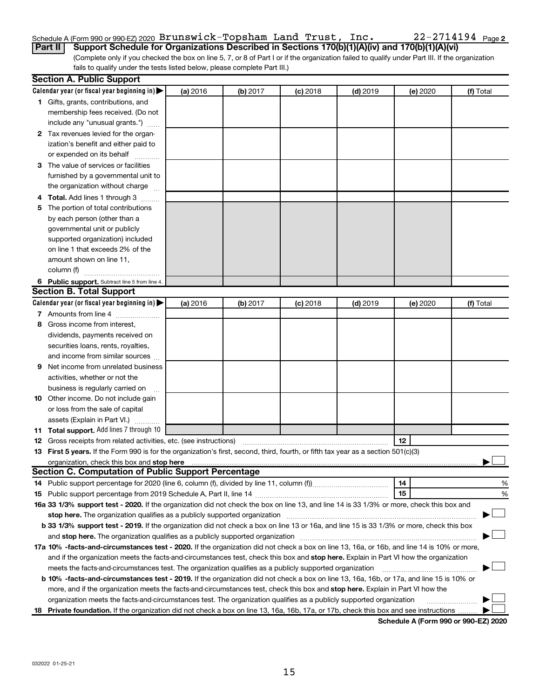### Schedule A (Form 990 or 990-EZ) 2020  ${\tt Brunswick-Topsham\_Land\_Trust}$  ,  ${\tt Inc.}$   $22\text{--}2714194$   ${\tt Page}$

(Complete only if you checked the box on line 5, 7, or 8 of Part I or if the organization failed to qualify under Part III. If the organization **Part II Support Schedule for Organizations Described in Sections 170(b)(1)(A)(iv) and 170(b)(1)(A)(vi)**

fails to qualify under the tests listed below, please complete Part III.)

|   | <b>Section A. Public Support</b>                                                                                                                                                                                                    |          |          |            |            |          |           |
|---|-------------------------------------------------------------------------------------------------------------------------------------------------------------------------------------------------------------------------------------|----------|----------|------------|------------|----------|-----------|
|   | Calendar year (or fiscal year beginning in)                                                                                                                                                                                         | (a) 2016 | (b) 2017 | $(c)$ 2018 | $(d)$ 2019 | (e) 2020 | (f) Total |
|   | 1 Gifts, grants, contributions, and                                                                                                                                                                                                 |          |          |            |            |          |           |
|   | membership fees received. (Do not                                                                                                                                                                                                   |          |          |            |            |          |           |
|   | include any "unusual grants.")                                                                                                                                                                                                      |          |          |            |            |          |           |
|   | 2 Tax revenues levied for the organ-                                                                                                                                                                                                |          |          |            |            |          |           |
|   | ization's benefit and either paid to                                                                                                                                                                                                |          |          |            |            |          |           |
|   | or expended on its behalf                                                                                                                                                                                                           |          |          |            |            |          |           |
|   | 3 The value of services or facilities                                                                                                                                                                                               |          |          |            |            |          |           |
|   | furnished by a governmental unit to                                                                                                                                                                                                 |          |          |            |            |          |           |
|   | the organization without charge                                                                                                                                                                                                     |          |          |            |            |          |           |
|   | 4 Total. Add lines 1 through 3                                                                                                                                                                                                      |          |          |            |            |          |           |
| 5 | The portion of total contributions                                                                                                                                                                                                  |          |          |            |            |          |           |
|   | by each person (other than a                                                                                                                                                                                                        |          |          |            |            |          |           |
|   | governmental unit or publicly                                                                                                                                                                                                       |          |          |            |            |          |           |
|   | supported organization) included                                                                                                                                                                                                    |          |          |            |            |          |           |
|   | on line 1 that exceeds 2% of the                                                                                                                                                                                                    |          |          |            |            |          |           |
|   | amount shown on line 11,                                                                                                                                                                                                            |          |          |            |            |          |           |
|   | column (f)                                                                                                                                                                                                                          |          |          |            |            |          |           |
|   | 6 Public support. Subtract line 5 from line 4.                                                                                                                                                                                      |          |          |            |            |          |           |
|   | <b>Section B. Total Support</b>                                                                                                                                                                                                     |          |          |            |            |          |           |
|   | Calendar year (or fiscal year beginning in)                                                                                                                                                                                         | (a) 2016 | (b) 2017 | $(c)$ 2018 | $(d)$ 2019 | (e) 2020 | (f) Total |
|   | 7 Amounts from line 4                                                                                                                                                                                                               |          |          |            |            |          |           |
| 8 | Gross income from interest,                                                                                                                                                                                                         |          |          |            |            |          |           |
|   | dividends, payments received on                                                                                                                                                                                                     |          |          |            |            |          |           |
|   | securities loans, rents, royalties,                                                                                                                                                                                                 |          |          |            |            |          |           |
|   | and income from similar sources                                                                                                                                                                                                     |          |          |            |            |          |           |
| 9 | Net income from unrelated business                                                                                                                                                                                                  |          |          |            |            |          |           |
|   | activities, whether or not the                                                                                                                                                                                                      |          |          |            |            |          |           |
|   | business is regularly carried on                                                                                                                                                                                                    |          |          |            |            |          |           |
|   | 10 Other income. Do not include gain                                                                                                                                                                                                |          |          |            |            |          |           |
|   | or loss from the sale of capital                                                                                                                                                                                                    |          |          |            |            |          |           |
|   | assets (Explain in Part VI.)                                                                                                                                                                                                        |          |          |            |            |          |           |
|   | <b>11 Total support.</b> Add lines 7 through 10                                                                                                                                                                                     |          |          |            |            |          |           |
|   | <b>12</b> Gross receipts from related activities, etc. (see instructions)                                                                                                                                                           |          |          |            |            | 12       |           |
|   | 13 First 5 years. If the Form 990 is for the organization's first, second, third, fourth, or fifth tax year as a section 501(c)(3)                                                                                                  |          |          |            |            |          |           |
|   | organization, check this box and stop here <b>construction and construction</b> construction of the state of the state of the state of the state of the state of the state of the state of the state of the state of the state of t |          |          |            |            |          |           |
|   | <b>Section C. Computation of Public Support Percentage</b>                                                                                                                                                                          |          |          |            |            |          |           |
|   |                                                                                                                                                                                                                                     |          |          |            |            | 14       | %         |
|   |                                                                                                                                                                                                                                     |          |          |            |            | 15       | %         |
|   | 16a 33 1/3% support test - 2020. If the organization did not check the box on line 13, and line 14 is 33 1/3% or more, check this box and                                                                                           |          |          |            |            |          |           |
|   | stop here. The organization qualifies as a publicly supported organization                                                                                                                                                          |          |          |            |            |          |           |
|   | b 33 1/3% support test - 2019. If the organization did not check a box on line 13 or 16a, and line 15 is 33 1/3% or more, check this box                                                                                            |          |          |            |            |          |           |
|   |                                                                                                                                                                                                                                     |          |          |            |            |          |           |
|   | 17a 10% -facts-and-circumstances test - 2020. If the organization did not check a box on line 13, 16a, or 16b, and line 14 is 10% or more,                                                                                          |          |          |            |            |          |           |
|   | and if the organization meets the facts-and-circumstances test, check this box and stop here. Explain in Part VI how the organization                                                                                               |          |          |            |            |          |           |
|   | meets the facts-and-circumstances test. The organization qualifies as a publicly supported organization                                                                                                                             |          |          |            |            |          |           |
|   | <b>b 10%</b> -facts-and-circumstances test - 2019. If the organization did not check a box on line 13, 16a, 16b, or 17a, and line 15 is 10% or                                                                                      |          |          |            |            |          |           |
|   | more, and if the organization meets the facts-and-circumstances test, check this box and stop here. Explain in Part VI how the                                                                                                      |          |          |            |            |          |           |
|   | organization meets the facts-and-circumstances test. The organization qualifies as a publicly supported organization                                                                                                                |          |          |            |            |          |           |
|   | 18 Private foundation. If the organization did not check a box on line 13, 16a, 16b, 17a, or 17b, check this box and see instructions                                                                                               |          |          |            |            |          |           |

**Schedule A (Form 990 or 990-EZ) 2020**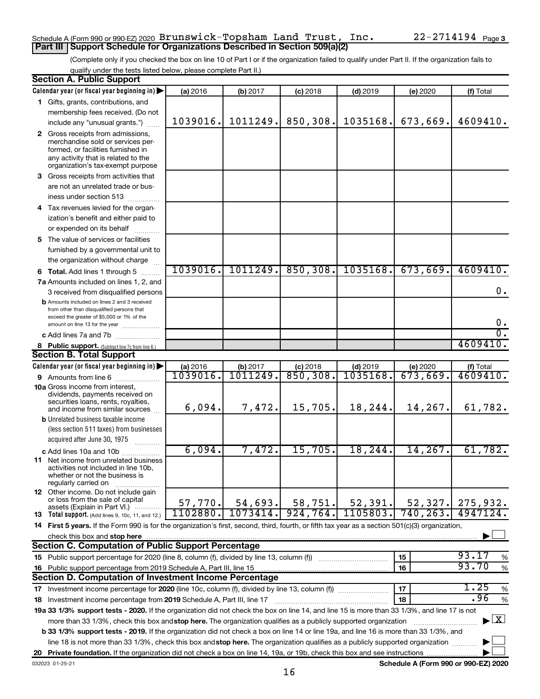#### Schedule A (Form 990 or 990-EZ) 2020  ${\tt Brunswick-Topsham\_Land\_Trust}$  ,  ${\tt Inc.}$   $22\text{--}2714194$   ${\tt Page}$ **Part III Support Schedule for Organizations Described in Section 509(a)(2)**

(Complete only if you checked the box on line 10 of Part I or if the organization failed to qualify under Part II. If the organization fails to qualify under the tests listed below, please complete Part II.)

| <b>Section A. Public Support</b>                                                                                                                 |          |          |            |            |           |                                    |
|--------------------------------------------------------------------------------------------------------------------------------------------------|----------|----------|------------|------------|-----------|------------------------------------|
| Calendar year (or fiscal year beginning in)                                                                                                      | (a) 2016 | (b) 2017 | $(c)$ 2018 | $(d)$ 2019 | (e) 2020  | (f) Total                          |
| 1 Gifts, grants, contributions, and                                                                                                              |          |          |            |            |           |                                    |
| membership fees received. (Do not                                                                                                                |          |          |            |            |           |                                    |
| include any "unusual grants.")                                                                                                                   | 1039016. | 1011249. | 850,308.   | 1035168.   | 673,669.  | 4609410.                           |
| 2 Gross receipts from admissions,                                                                                                                |          |          |            |            |           |                                    |
| merchandise sold or services per-                                                                                                                |          |          |            |            |           |                                    |
| formed, or facilities furnished in                                                                                                               |          |          |            |            |           |                                    |
| any activity that is related to the<br>organization's tax-exempt purpose                                                                         |          |          |            |            |           |                                    |
| 3 Gross receipts from activities that                                                                                                            |          |          |            |            |           |                                    |
| are not an unrelated trade or bus-                                                                                                               |          |          |            |            |           |                                    |
| iness under section 513                                                                                                                          |          |          |            |            |           |                                    |
| 4 Tax revenues levied for the organ-                                                                                                             |          |          |            |            |           |                                    |
| ization's benefit and either paid to                                                                                                             |          |          |            |            |           |                                    |
|                                                                                                                                                  |          |          |            |            |           |                                    |
| or expended on its behalf                                                                                                                        |          |          |            |            |           |                                    |
| 5 The value of services or facilities                                                                                                            |          |          |            |            |           |                                    |
| furnished by a governmental unit to                                                                                                              |          |          |            |            |           |                                    |
| the organization without charge                                                                                                                  | 1039016. | 1011249. | 850, 308.  | 1035168.   | 673,669.  | 4609410.                           |
| 6 Total. Add lines 1 through 5                                                                                                                   |          |          |            |            |           |                                    |
| 7a Amounts included on lines 1, 2, and                                                                                                           |          |          |            |            |           |                                    |
| 3 received from disqualified persons                                                                                                             |          |          |            |            |           | 0.                                 |
| <b>b</b> Amounts included on lines 2 and 3 received<br>from other than disqualified persons that                                                 |          |          |            |            |           |                                    |
| exceed the greater of \$5,000 or 1% of the                                                                                                       |          |          |            |            |           |                                    |
| amount on line 13 for the year                                                                                                                   |          |          |            |            |           | 0.                                 |
| c Add lines 7a and 7b                                                                                                                            |          |          |            |            |           | $\overline{0}$ .                   |
| 8 Public support. (Subtract line 7c from line 6.)                                                                                                |          |          |            |            |           | 4609410.                           |
| <b>Section B. Total Support</b>                                                                                                                  |          |          |            |            |           |                                    |
| Calendar year (or fiscal year beginning in)                                                                                                      | (a) 2016 | (b) 2017 | $(c)$ 2018 | $(d)$ 2019 | (e) 2020  | (f) Total                          |
| 9 Amounts from line 6                                                                                                                            | 1039016. | 1011249. | 850,308.   | 1035168.   | 673,669.  | 4609410.                           |
| <b>10a</b> Gross income from interest,                                                                                                           |          |          |            |            |           |                                    |
| dividends, payments received on<br>securities loans, rents, royalties,                                                                           |          |          |            |            |           |                                    |
| and income from similar sources                                                                                                                  | 6,094.   | 7,472.   | 15,705.    | 18,244.    | 14,267.   | 61,782.                            |
| <b>b</b> Unrelated business taxable income                                                                                                       |          |          |            |            |           |                                    |
| (less section 511 taxes) from businesses                                                                                                         |          |          |            |            |           |                                    |
| acquired after June 30, 1975<br>and and control and a                                                                                            |          |          |            |            |           |                                    |
| c Add lines 10a and 10b                                                                                                                          | 6,094.   | 7,472.   | 15,705.    | 18,244.    | 14,267.   | 61,782.                            |
| <b>11</b> Net income from unrelated business                                                                                                     |          |          |            |            |           |                                    |
| activities not included in line 10b.<br>whether or not the business is                                                                           |          |          |            |            |           |                                    |
| regularly carried on                                                                                                                             |          |          |            |            |           |                                    |
| <b>12</b> Other income. Do not include gain                                                                                                      |          |          |            |            |           |                                    |
| or loss from the sale of capital                                                                                                                 | 57,770.  | 54,693.  | 58,751.    | 52,391.    | 52, 327.  | 275,932.                           |
| assets (Explain in Part VI.)<br>13 Total support. (Add lines 9, 10c, 11, and 12.)                                                                | 1102880. | 1073414. | 924,764.   | 1105803.   | 740, 263. | 49471<br>24.                       |
| 14 First 5 years. If the Form 990 is for the organization's first, second, third, fourth, or fifth tax year as a section 501(c)(3) organization, |          |          |            |            |           |                                    |
| check this box and stop here                                                                                                                     |          |          |            |            |           |                                    |
| <b>Section C. Computation of Public Support Percentage</b>                                                                                       |          |          |            |            |           |                                    |
| 15 Public support percentage for 2020 (line 8, column (f), divided by line 13, column (f))                                                       |          |          |            |            | 15        | 93.17<br>%                         |
| 16 Public support percentage from 2019 Schedule A, Part III, line 15                                                                             |          |          |            |            | 16        | 93.70<br>$\%$                      |
| Section D. Computation of Investment Income Percentage                                                                                           |          |          |            |            |           |                                    |
| 17 Investment income percentage for 2020 (line 10c, column (f), divided by line 13, column (f))                                                  |          |          |            |            | 17        | 1.25<br>$\%$                       |
| 18 Investment income percentage from 2019 Schedule A, Part III, line 17                                                                          |          |          |            |            | 18        | .96<br>%                           |
| 19a 33 1/3% support tests - 2020. If the organization did not check the box on line 14, and line 15 is more than 33 1/3%, and line 17 is not     |          |          |            |            |           |                                    |
|                                                                                                                                                  |          |          |            |            |           | $\blacktriangleright$ $\mathbf{X}$ |
| more than 33 1/3%, check this box and stop here. The organization qualifies as a publicly supported organization                                 |          |          |            |            |           |                                    |
| b 33 1/3% support tests - 2019. If the organization did not check a box on line 14 or line 19a, and line 16 is more than 33 1/3%, and            |          |          |            |            |           |                                    |
| line 18 is not more than 33 1/3%, check this box and stop here. The organization qualifies as a publicly supported organization                  |          |          |            |            |           |                                    |
|                                                                                                                                                  |          |          |            |            |           |                                    |

**Schedule A (Form 990 or 990-EZ) 2020**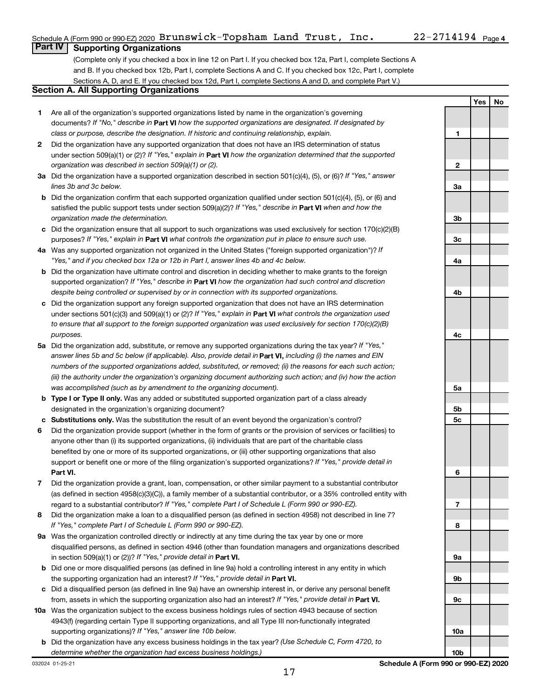**Yes No**

#### **Part IV Supporting Organizations**

(Complete only if you checked a box in line 12 on Part I. If you checked box 12a, Part I, complete Sections A and B. If you checked box 12b, Part I, complete Sections A and C. If you checked box 12c, Part I, complete Sections A, D, and E. If you checked box 12d, Part I, complete Sections A and D, and complete Part V.)

#### **Section A. All Supporting Organizations**

- **1** Are all of the organization's supported organizations listed by name in the organization's governing documents? If "No," describe in Part VI how the supported organizations are designated. If designated by *class or purpose, describe the designation. If historic and continuing relationship, explain.*
- **2** Did the organization have any supported organization that does not have an IRS determination of status under section 509(a)(1) or (2)? If "Yes," explain in Part **VI** how the organization determined that the supported *organization was described in section 509(a)(1) or (2).*
- **3a** Did the organization have a supported organization described in section 501(c)(4), (5), or (6)? If "Yes," answer *lines 3b and 3c below.*
- **b** Did the organization confirm that each supported organization qualified under section 501(c)(4), (5), or (6) and satisfied the public support tests under section 509(a)(2)? If "Yes," describe in Part VI when and how the *organization made the determination.*
- **c** Did the organization ensure that all support to such organizations was used exclusively for section 170(c)(2)(B) purposes? If "Yes," explain in Part VI what controls the organization put in place to ensure such use.
- **4 a** *If* Was any supported organization not organized in the United States ("foreign supported organization")? *"Yes," and if you checked box 12a or 12b in Part I, answer lines 4b and 4c below.*
- **b** Did the organization have ultimate control and discretion in deciding whether to make grants to the foreign supported organization? If "Yes," describe in Part VI how the organization had such control and discretion *despite being controlled or supervised by or in connection with its supported organizations.*
- **c** Did the organization support any foreign supported organization that does not have an IRS determination under sections 501(c)(3) and 509(a)(1) or (2)? If "Yes," explain in Part VI what controls the organization used *to ensure that all support to the foreign supported organization was used exclusively for section 170(c)(2)(B) purposes.*
- **5a** Did the organization add, substitute, or remove any supported organizations during the tax year? If "Yes," answer lines 5b and 5c below (if applicable). Also, provide detail in **Part VI,** including (i) the names and EIN *numbers of the supported organizations added, substituted, or removed; (ii) the reasons for each such action; (iii) the authority under the organization's organizing document authorizing such action; and (iv) how the action was accomplished (such as by amendment to the organizing document).*
- **b Type I or Type II only.** Was any added or substituted supported organization part of a class already designated in the organization's organizing document?
- **c Substitutions only.**  Was the substitution the result of an event beyond the organization's control?
- **6** Did the organization provide support (whether in the form of grants or the provision of services or facilities) to **Part VI.** support or benefit one or more of the filing organization's supported organizations? If "Yes," provide detail in anyone other than (i) its supported organizations, (ii) individuals that are part of the charitable class benefited by one or more of its supported organizations, or (iii) other supporting organizations that also
- **7** Did the organization provide a grant, loan, compensation, or other similar payment to a substantial contributor regard to a substantial contributor? If "Yes," complete Part I of Schedule L (Form 990 or 990-EZ). (as defined in section 4958(c)(3)(C)), a family member of a substantial contributor, or a 35% controlled entity with
- **8** Did the organization make a loan to a disqualified person (as defined in section 4958) not described in line 7? *If "Yes," complete Part I of Schedule L (Form 990 or 990-EZ).*
- **9 a** Was the organization controlled directly or indirectly at any time during the tax year by one or more in section 509(a)(1) or (2))? If "Yes," provide detail in **Part VI.** disqualified persons, as defined in section 4946 (other than foundation managers and organizations described
- **b** Did one or more disqualified persons (as defined in line 9a) hold a controlling interest in any entity in which the supporting organization had an interest? If "Yes," provide detail in Part VI.
- **c** Did a disqualified person (as defined in line 9a) have an ownership interest in, or derive any personal benefit from, assets in which the supporting organization also had an interest? If "Yes," provide detail in Part VI.
- **10 a** Was the organization subject to the excess business holdings rules of section 4943 because of section supporting organizations)? If "Yes," answer line 10b below. 4943(f) (regarding certain Type II supporting organizations, and all Type III non-functionally integrated
- **b** Did the organization have any excess business holdings in the tax year? (Use Schedule C, Form 4720, to *determine whether the organization had excess business holdings.)*

**1 2 3a 3b 3c 4a 4b 4c 5a 5b 5c 6 7 8 9a 9b 9c**

032024 01-25-21

**10a**

**10b**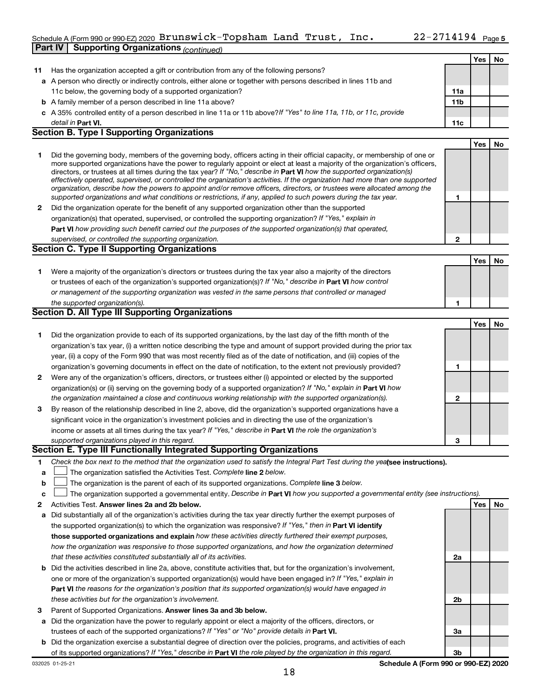#### Schedule A (Form 990 or 990-EZ) 2020  ${\tt Brunswick-Topsham\_Land\_Trust}$  ,  ${\tt Inc.}$   $22\text{--}2714194$   ${\tt Page}$ **Part IV Supporting Organizations** *(continued)*

|    |                                                                                                                                                                                                                                                             |                 | Yes | No  |
|----|-------------------------------------------------------------------------------------------------------------------------------------------------------------------------------------------------------------------------------------------------------------|-----------------|-----|-----|
| 11 | Has the organization accepted a gift or contribution from any of the following persons?                                                                                                                                                                     |                 |     |     |
|    | a A person who directly or indirectly controls, either alone or together with persons described in lines 11b and                                                                                                                                            |                 |     |     |
|    | 11c below, the governing body of a supported organization?                                                                                                                                                                                                  | 11a             |     |     |
|    | <b>b</b> A family member of a person described in line 11a above?                                                                                                                                                                                           | 11 <sub>b</sub> |     |     |
|    | c A 35% controlled entity of a person described in line 11a or 11b above?If "Yes" to line 11a, 11b, or 11c, provide                                                                                                                                         |                 |     |     |
|    | detail in Part VI.<br><b>Section B. Type I Supporting Organizations</b>                                                                                                                                                                                     | 11c             |     |     |
|    |                                                                                                                                                                                                                                                             |                 |     |     |
|    |                                                                                                                                                                                                                                                             |                 | Yes | No. |
| 1  | Did the governing body, members of the governing body, officers acting in their official capacity, or membership of one or<br>more supported organizations have the power to regularly appoint or elect at least a majority of the organization's officers, |                 |     |     |
|    | directors, or trustees at all times during the tax year? If "No," describe in Part VI how the supported organization(s)                                                                                                                                     |                 |     |     |
|    | effectively operated, supervised, or controlled the organization's activities. If the organization had more than one supported                                                                                                                              |                 |     |     |
|    | organization, describe how the powers to appoint and/or remove officers, directors, or trustees were allocated among the                                                                                                                                    |                 |     |     |
|    | supported organizations and what conditions or restrictions, if any, applied to such powers during the tax year.                                                                                                                                            | 1               |     |     |
| 2  | Did the organization operate for the benefit of any supported organization other than the supported<br>organization(s) that operated, supervised, or controlled the supporting organization? If "Yes," explain in                                           |                 |     |     |
|    | Part VI how providing such benefit carried out the purposes of the supported organization(s) that operated,                                                                                                                                                 |                 |     |     |
|    | supervised, or controlled the supporting organization.                                                                                                                                                                                                      | $\mathbf{2}$    |     |     |
|    | <b>Section C. Type II Supporting Organizations</b>                                                                                                                                                                                                          |                 |     |     |
|    |                                                                                                                                                                                                                                                             |                 | Yes | No. |
| 1. | Were a majority of the organization's directors or trustees during the tax year also a majority of the directors                                                                                                                                            |                 |     |     |
|    | or trustees of each of the organization's supported organization(s)? If "No," describe in Part VI how control                                                                                                                                               |                 |     |     |
|    | or management of the supporting organization was vested in the same persons that controlled or managed                                                                                                                                                      |                 |     |     |
|    | the supported organization(s).                                                                                                                                                                                                                              | 1               |     |     |
|    | <b>Section D. All Type III Supporting Organizations</b>                                                                                                                                                                                                     |                 |     |     |
|    |                                                                                                                                                                                                                                                             |                 | Yes | No. |
| 1. | Did the organization provide to each of its supported organizations, by the last day of the fifth month of the                                                                                                                                              |                 |     |     |
|    | organization's tax year, (i) a written notice describing the type and amount of support provided during the prior tax                                                                                                                                       |                 |     |     |
|    | year, (ii) a copy of the Form 990 that was most recently filed as of the date of notification, and (iii) copies of the                                                                                                                                      |                 |     |     |
|    | organization's governing documents in effect on the date of notification, to the extent not previously provided?                                                                                                                                            | 1               |     |     |
| 2  | Were any of the organization's officers, directors, or trustees either (i) appointed or elected by the supported                                                                                                                                            |                 |     |     |
|    | organization(s) or (ii) serving on the governing body of a supported organization? If "No," explain in <b>Part VI</b> how                                                                                                                                   |                 |     |     |
|    | the organization maintained a close and continuous working relationship with the supported organization(s).                                                                                                                                                 | $\mathbf{2}$    |     |     |
| 3  | By reason of the relationship described in line 2, above, did the organization's supported organizations have a                                                                                                                                             |                 |     |     |
|    | significant voice in the organization's investment policies and in directing the use of the organization's                                                                                                                                                  |                 |     |     |
|    | income or assets at all times during the tax year? If "Yes," describe in Part VI the role the organization's                                                                                                                                                |                 |     |     |
|    | supported organizations played in this regard.                                                                                                                                                                                                              | 3               |     |     |
|    | Section E. Type III Functionally Integrated Supporting Organizations                                                                                                                                                                                        |                 |     |     |
| 1  | Check the box next to the method that the organization used to satisfy the Integral Part Test during the yealsee instructions).                                                                                                                             |                 |     |     |
| a  | The organization satisfied the Activities Test. Complete line 2 below.                                                                                                                                                                                      |                 |     |     |
| b  | The organization is the parent of each of its supported organizations. Complete line 3 below.                                                                                                                                                               |                 |     |     |
| с  | The organization supported a governmental entity. Describe in Part VI how you supported a governmental entity (see instructions).                                                                                                                           |                 |     |     |
| 2  | Activities Test. Answer lines 2a and 2b below.                                                                                                                                                                                                              |                 | Yes | No  |
| а  | Did substantially all of the organization's activities during the tax year directly further the exempt purposes of                                                                                                                                          |                 |     |     |
|    | the supported organization(s) to which the organization was responsive? If "Yes," then in Part VI identify                                                                                                                                                  |                 |     |     |
|    | those supported organizations and explain how these activities directly furthered their exempt purposes,                                                                                                                                                    |                 |     |     |
|    | how the organization was responsive to those supported organizations, and how the organization determined                                                                                                                                                   |                 |     |     |
|    | that these activities constituted substantially all of its activities.                                                                                                                                                                                      | 2a              |     |     |
|    | <b>b</b> Did the activities described in line 2a, above, constitute activities that, but for the organization's involvement,                                                                                                                                |                 |     |     |
|    | one or more of the organization's supported organization(s) would have been engaged in? If "Yes," explain in                                                                                                                                                |                 |     |     |
|    | <b>Part VI</b> the reasons for the organization's position that its supported organization(s) would have engaged in                                                                                                                                         |                 |     |     |
|    | these activities but for the organization's involvement.                                                                                                                                                                                                    | 2 <sub>b</sub>  |     |     |
| 3  | Parent of Supported Organizations. Answer lines 3a and 3b below.                                                                                                                                                                                            |                 |     |     |
| а  | Did the organization have the power to regularly appoint or elect a majority of the officers, directors, or                                                                                                                                                 |                 |     |     |
|    | trustees of each of the supported organizations? If "Yes" or "No" provide details in Part VI.                                                                                                                                                               | За              |     |     |
|    | <b>b</b> Did the organization exercise a substantial degree of direction over the policies, programs, and activities of each                                                                                                                                |                 |     |     |

of its supported organizations? If "Yes," describe in Part VI the role played by the organization in this regard. Did the organization exercise a substantial degree of direction over the policies, programs, and activities of each

**Schedule A (Form 990 or 990-EZ) 2020**

**3b**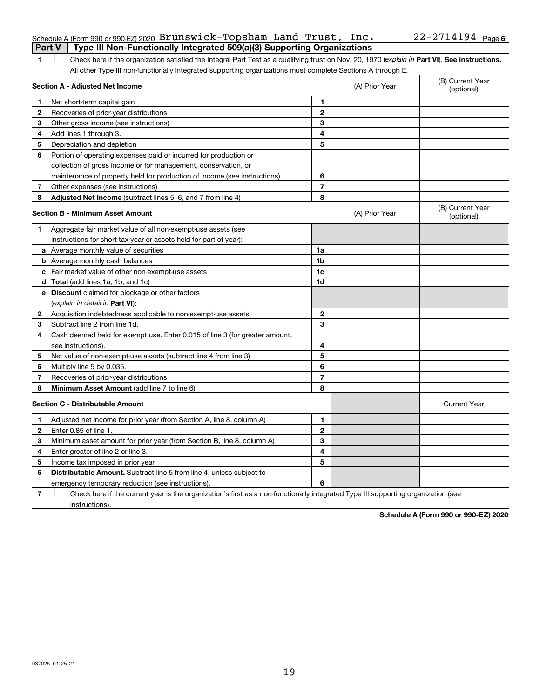| Schedule A (Form 990 or 990-EZ) 2020 Brunswick-Topsham Land Trust, Inc.          |  |  | $22 - 2714194$ Page 6 |  |
|----------------------------------------------------------------------------------|--|--|-----------------------|--|
| Part V   Type III Non-Functionally Integrated 509(a)(3) Supporting Organizations |  |  |                       |  |

1 **Letter See instructions.** Check here if the organization satisfied the Integral Part Test as a qualifying trust on Nov. 20, 1970 (*explain in* Part **VI**). See instructions. All other Type III non-functionally integrated supporting organizations must complete Sections A through E.

| Section A - Adjusted Net Income |                                                                             | (A) Prior Year | (B) Current Year<br>(optional) |                                |
|---------------------------------|-----------------------------------------------------------------------------|----------------|--------------------------------|--------------------------------|
| 1                               | Net short-term capital gain                                                 | 1              |                                |                                |
| 2                               | Recoveries of prior-year distributions                                      | $\mathbf{2}$   |                                |                                |
| 3                               | Other gross income (see instructions)                                       | 3              |                                |                                |
| 4                               | Add lines 1 through 3.                                                      | 4              |                                |                                |
| 5                               | Depreciation and depletion                                                  | 5              |                                |                                |
| 6                               | Portion of operating expenses paid or incurred for production or            |                |                                |                                |
|                                 | collection of gross income or for management, conservation, or              |                |                                |                                |
|                                 | maintenance of property held for production of income (see instructions)    | 6              |                                |                                |
| 7                               | Other expenses (see instructions)                                           | $\overline{7}$ |                                |                                |
| 8                               | Adjusted Net Income (subtract lines 5, 6, and 7 from line 4)                | 8              |                                |                                |
|                                 | <b>Section B - Minimum Asset Amount</b>                                     |                | (A) Prior Year                 | (B) Current Year<br>(optional) |
| 1.                              | Aggregate fair market value of all non-exempt-use assets (see               |                |                                |                                |
|                                 | instructions for short tax year or assets held for part of year):           |                |                                |                                |
|                                 | a Average monthly value of securities                                       | 1a             |                                |                                |
|                                 | <b>b</b> Average monthly cash balances                                      | 1 <sub>b</sub> |                                |                                |
|                                 | <b>c</b> Fair market value of other non-exempt-use assets                   | 1 <sub>c</sub> |                                |                                |
|                                 | d Total (add lines 1a, 1b, and 1c)                                          | 1d             |                                |                                |
|                                 | <b>e</b> Discount claimed for blockage or other factors                     |                |                                |                                |
|                                 | (explain in detail in <b>Part VI</b> ):                                     |                |                                |                                |
| 2                               | Acquisition indebtedness applicable to non-exempt-use assets                | $\mathbf{2}$   |                                |                                |
| З                               | Subtract line 2 from line 1d.                                               | 3              |                                |                                |
| 4                               | Cash deemed held for exempt use. Enter 0.015 of line 3 (for greater amount, |                |                                |                                |
|                                 | see instructions).                                                          | 4              |                                |                                |
| 5                               | Net value of non-exempt-use assets (subtract line 4 from line 3)            | 5              |                                |                                |
| 6                               | Multiply line 5 by 0.035.                                                   | 6              |                                |                                |
| 7                               | Recoveries of prior-year distributions                                      | 7              |                                |                                |
| 8                               | Minimum Asset Amount (add line 7 to line 6)                                 | 8              |                                |                                |
|                                 | <b>Section C - Distributable Amount</b>                                     |                |                                | <b>Current Year</b>            |
| 1                               | Adjusted net income for prior year (from Section A, line 8, column A)       | 1              |                                |                                |
| $\mathbf{2}$                    | Enter 0.85 of line 1.                                                       | $\overline{2}$ |                                |                                |
| з                               | Minimum asset amount for prior year (from Section B, line 8, column A)      | 3              |                                |                                |
| 4                               | Enter greater of line 2 or line 3.                                          | 4              |                                |                                |
| 5                               | Income tax imposed in prior year                                            | 5              |                                |                                |
| 6                               | Distributable Amount. Subtract line 5 from line 4, unless subject to        |                |                                |                                |
|                                 | emergency temporary reduction (see instructions).                           | 6              |                                |                                |
|                                 |                                                                             |                |                                |                                |

**7** Check here if the current year is the organization's first as a non-functionally integrated Type III supporting organization (see † instructions).

**Schedule A (Form 990 or 990-EZ) 2020**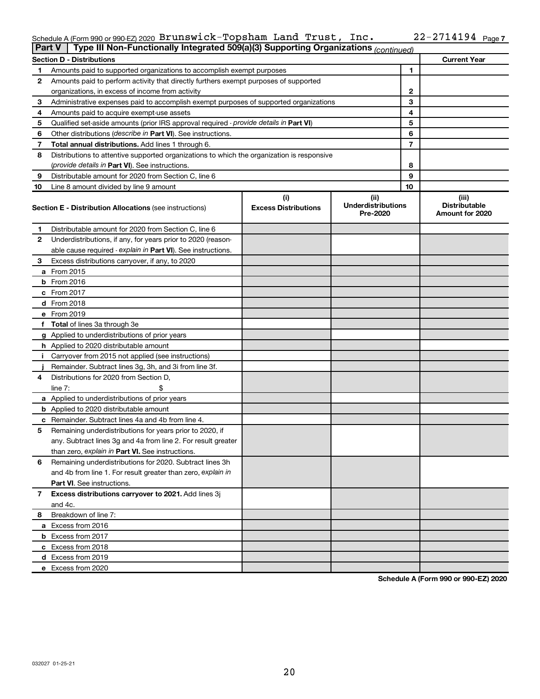#### Schedule A (Form 990 or 990-EZ) 2020 <code>Brunswick-Topsnam Land Trust, Inc.</code>  $22-2714194$   $Page$ Brunswick-Topsham Land Trust, Inc. 22-2714194

| <b>Part V</b> | Type III Non-Functionally Integrated 509(a)(3) Supporting Organizations (continued)        |                                    |                                               |    |                                                  |
|---------------|--------------------------------------------------------------------------------------------|------------------------------------|-----------------------------------------------|----|--------------------------------------------------|
|               | <b>Section D - Distributions</b>                                                           |                                    |                                               |    | <b>Current Year</b>                              |
| 1             | Amounts paid to supported organizations to accomplish exempt purposes                      |                                    |                                               | 1  |                                                  |
| 2             | Amounts paid to perform activity that directly furthers exempt purposes of supported       |                                    |                                               |    |                                                  |
|               | organizations, in excess of income from activity                                           |                                    |                                               | 2  |                                                  |
| 3             | Administrative expenses paid to accomplish exempt purposes of supported organizations      |                                    |                                               | 3  |                                                  |
| 4             | Amounts paid to acquire exempt-use assets                                                  |                                    |                                               | 4  |                                                  |
| 5             | Qualified set-aside amounts (prior IRS approval required - provide details in Part VI)     |                                    |                                               | 5  |                                                  |
| 6             | Other distributions ( <i>describe in Part VI</i> ). See instructions.                      |                                    |                                               | 6  |                                                  |
| 7             | Total annual distributions. Add lines 1 through 6.                                         |                                    |                                               | 7  |                                                  |
| 8             | Distributions to attentive supported organizations to which the organization is responsive |                                    |                                               |    |                                                  |
|               | (provide details in Part VI). See instructions.                                            |                                    |                                               | 8  |                                                  |
| 9             | Distributable amount for 2020 from Section C, line 6                                       |                                    |                                               | 9  |                                                  |
| 10            | Line 8 amount divided by line 9 amount                                                     |                                    |                                               | 10 |                                                  |
|               | <b>Section E - Distribution Allocations (see instructions)</b>                             | (i)<br><b>Excess Distributions</b> | (ii)<br><b>Underdistributions</b><br>Pre-2020 |    | (iii)<br><b>Distributable</b><br>Amount for 2020 |
| 1             | Distributable amount for 2020 from Section C, line 6                                       |                                    |                                               |    |                                                  |
| 2             | Underdistributions, if any, for years prior to 2020 (reason-                               |                                    |                                               |    |                                                  |
|               | able cause required - explain in Part VI). See instructions.                               |                                    |                                               |    |                                                  |
| 3             | Excess distributions carryover, if any, to 2020                                            |                                    |                                               |    |                                                  |
|               | a From 2015                                                                                |                                    |                                               |    |                                                  |
|               | <b>b</b> From 2016                                                                         |                                    |                                               |    |                                                  |
|               | c From 2017                                                                                |                                    |                                               |    |                                                  |
|               | d From 2018                                                                                |                                    |                                               |    |                                                  |
|               | e From 2019                                                                                |                                    |                                               |    |                                                  |
|               | f Total of lines 3a through 3e                                                             |                                    |                                               |    |                                                  |
|               | g Applied to underdistributions of prior years                                             |                                    |                                               |    |                                                  |
|               | <b>h</b> Applied to 2020 distributable amount                                              |                                    |                                               |    |                                                  |
| Ť.            | Carryover from 2015 not applied (see instructions)                                         |                                    |                                               |    |                                                  |
|               | Remainder. Subtract lines 3g, 3h, and 3i from line 3f.                                     |                                    |                                               |    |                                                  |
| 4             | Distributions for 2020 from Section D,                                                     |                                    |                                               |    |                                                  |
|               | line $7:$                                                                                  |                                    |                                               |    |                                                  |
|               | a Applied to underdistributions of prior years                                             |                                    |                                               |    |                                                  |
|               | <b>b</b> Applied to 2020 distributable amount                                              |                                    |                                               |    |                                                  |
|               | c Remainder. Subtract lines 4a and 4b from line 4.                                         |                                    |                                               |    |                                                  |
| 5             | Remaining underdistributions for years prior to 2020, if                                   |                                    |                                               |    |                                                  |
|               | any. Subtract lines 3g and 4a from line 2. For result greater                              |                                    |                                               |    |                                                  |
|               | than zero, explain in Part VI. See instructions.                                           |                                    |                                               |    |                                                  |
| 6             | Remaining underdistributions for 2020. Subtract lines 3h                                   |                                    |                                               |    |                                                  |
|               | and 4b from line 1. For result greater than zero, explain in                               |                                    |                                               |    |                                                  |
|               | <b>Part VI.</b> See instructions.                                                          |                                    |                                               |    |                                                  |
| 7             | Excess distributions carryover to 2021. Add lines 3j                                       |                                    |                                               |    |                                                  |
|               | and 4c.                                                                                    |                                    |                                               |    |                                                  |
| 8             | Breakdown of line 7:                                                                       |                                    |                                               |    |                                                  |
|               | a Excess from 2016                                                                         |                                    |                                               |    |                                                  |
|               | <b>b</b> Excess from 2017                                                                  |                                    |                                               |    |                                                  |
|               | c Excess from 2018                                                                         |                                    |                                               |    |                                                  |
|               | d Excess from 2019                                                                         |                                    |                                               |    |                                                  |
|               | e Excess from 2020                                                                         |                                    |                                               |    |                                                  |

**Schedule A (Form 990 or 990-EZ) 2020**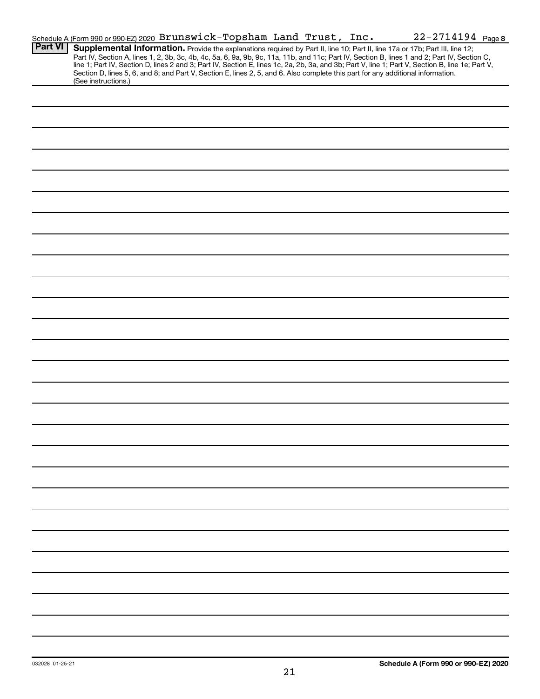|                | Schedule A (Form 990 or 990-EZ) 2020 Brunswick-Topsham Land Trust, Inc.                                                                                                                                                                                          |  | 22-2714194 Page 8                                                                                                                                                                                                                                                                                |
|----------------|------------------------------------------------------------------------------------------------------------------------------------------------------------------------------------------------------------------------------------------------------------------|--|--------------------------------------------------------------------------------------------------------------------------------------------------------------------------------------------------------------------------------------------------------------------------------------------------|
| <b>Part VI</b> | Supplemental Information. Provide the explanations required by Part II, line 10; Part II, line 17a or 17b; Part III, line 12;<br>Section D, lines 5, 6, and 8; and Part V, Section E, lines 2, 5, and 6. Also complete this part for any additional information. |  | Part IV, Section A, lines 1, 2, 3b, 3c, 4b, 4c, 5a, 6, 9a, 9b, 9c, 11a, 11b, and 11c; Part IV, Section B, lines 1 and 2; Part IV, Section C,<br>line 1; Part IV, Section D, lines 2 and 3; Part IV, Section E, lines 1c, 2a, 2b, 3a, and 3b; Part V, line 1; Part V, Section B, line 1e; Part V, |
|                | (See instructions.)                                                                                                                                                                                                                                              |  |                                                                                                                                                                                                                                                                                                  |
|                |                                                                                                                                                                                                                                                                  |  |                                                                                                                                                                                                                                                                                                  |
|                |                                                                                                                                                                                                                                                                  |  |                                                                                                                                                                                                                                                                                                  |
|                |                                                                                                                                                                                                                                                                  |  |                                                                                                                                                                                                                                                                                                  |
|                |                                                                                                                                                                                                                                                                  |  |                                                                                                                                                                                                                                                                                                  |
|                |                                                                                                                                                                                                                                                                  |  |                                                                                                                                                                                                                                                                                                  |
|                |                                                                                                                                                                                                                                                                  |  |                                                                                                                                                                                                                                                                                                  |
|                |                                                                                                                                                                                                                                                                  |  |                                                                                                                                                                                                                                                                                                  |
|                |                                                                                                                                                                                                                                                                  |  |                                                                                                                                                                                                                                                                                                  |
|                |                                                                                                                                                                                                                                                                  |  |                                                                                                                                                                                                                                                                                                  |
|                |                                                                                                                                                                                                                                                                  |  |                                                                                                                                                                                                                                                                                                  |
|                |                                                                                                                                                                                                                                                                  |  |                                                                                                                                                                                                                                                                                                  |
|                |                                                                                                                                                                                                                                                                  |  |                                                                                                                                                                                                                                                                                                  |
|                |                                                                                                                                                                                                                                                                  |  |                                                                                                                                                                                                                                                                                                  |
|                |                                                                                                                                                                                                                                                                  |  |                                                                                                                                                                                                                                                                                                  |
|                |                                                                                                                                                                                                                                                                  |  |                                                                                                                                                                                                                                                                                                  |
|                |                                                                                                                                                                                                                                                                  |  |                                                                                                                                                                                                                                                                                                  |
|                |                                                                                                                                                                                                                                                                  |  |                                                                                                                                                                                                                                                                                                  |
|                |                                                                                                                                                                                                                                                                  |  |                                                                                                                                                                                                                                                                                                  |
|                |                                                                                                                                                                                                                                                                  |  |                                                                                                                                                                                                                                                                                                  |
|                |                                                                                                                                                                                                                                                                  |  |                                                                                                                                                                                                                                                                                                  |
|                |                                                                                                                                                                                                                                                                  |  |                                                                                                                                                                                                                                                                                                  |
|                |                                                                                                                                                                                                                                                                  |  |                                                                                                                                                                                                                                                                                                  |
|                |                                                                                                                                                                                                                                                                  |  |                                                                                                                                                                                                                                                                                                  |
|                |                                                                                                                                                                                                                                                                  |  |                                                                                                                                                                                                                                                                                                  |
|                |                                                                                                                                                                                                                                                                  |  |                                                                                                                                                                                                                                                                                                  |
|                |                                                                                                                                                                                                                                                                  |  |                                                                                                                                                                                                                                                                                                  |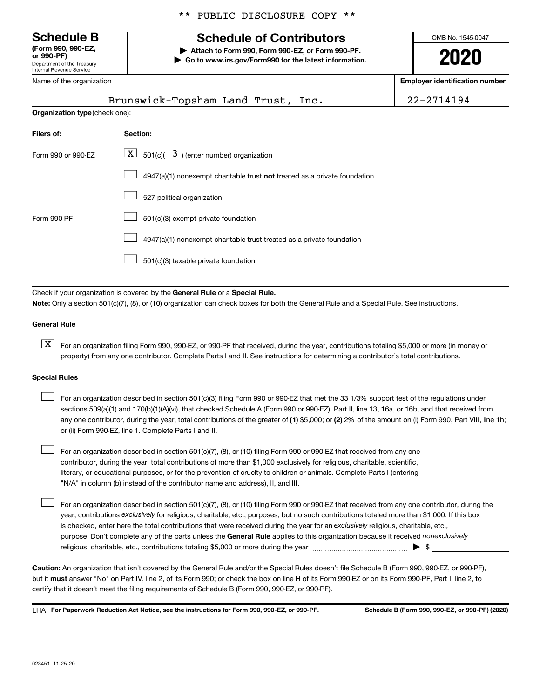# **(Form 990, 990-EZ,**

Department of the Treasury Internal Revenue Service

Name of the organization

#### \*\* PUBLIC DISCLOSURE COPY \*\*

### **Schedule B Schedule of Contributors**

**or 990-PF) | Attach to Form 990, Form 990-EZ, or Form 990-PF. | Go to www.irs.gov/Form990 for the latest information.** OMB No. 1545-0047

**2020**

**Employer identification number**

| $\frac{1}{2}$                  | Linployer lueritilication number                                                   |            |
|--------------------------------|------------------------------------------------------------------------------------|------------|
|                                | Brunswick-Topsham Land Trust, Inc.                                                 | 22-2714194 |
| Organization type (check one): |                                                                                    |            |
| Filers of:                     | Section:                                                                           |            |
| Form 990 or 990-EZ             | $\lfloor \mathbf{X} \rfloor$ 501(c)( 3) (enter number) organization                |            |
|                                | $4947(a)(1)$ nonexempt charitable trust <b>not</b> treated as a private foundation |            |
|                                | 527 political organization                                                         |            |
| Form 990-PF                    | 501(c)(3) exempt private foundation                                                |            |
|                                | 4947(a)(1) nonexempt charitable trust treated as a private foundation              |            |
|                                | 501(c)(3) taxable private foundation                                               |            |

Check if your organization is covered by the General Rule or a Special Rule.

**Note:**  Only a section 501(c)(7), (8), or (10) organization can check boxes for both the General Rule and a Special Rule. See instructions.

#### **General Rule**

**K** For an organization filing Form 990, 990-EZ, or 990-PF that received, during the year, contributions totaling \$5,000 or more (in money or property) from any one contributor. Complete Parts I and II. See instructions for determining a contributor's total contributions.

#### **Special Rules**

 $\Box$ 

any one contributor, during the year, total contributions of the greater of (1) \$5,000; or (2) 2% of the amount on (i) Form 990, Part VIII, line 1h; For an organization described in section 501(c)(3) filing Form 990 or 990-EZ that met the 33 1/3% support test of the regulations under sections 509(a)(1) and 170(b)(1)(A)(vi), that checked Schedule A (Form 990 or 990-EZ), Part II, line 13, 16a, or 16b, and that received from or (ii) Form 990-EZ, line 1. Complete Parts I and II.  $\Box$ 

For an organization described in section 501(c)(7), (8), or (10) filing Form 990 or 990-EZ that received from any one contributor, during the year, total contributions of more than \$1,000 exclusively for religious, charitable, scientific, literary, or educational purposes, or for the prevention of cruelty to children or animals. Complete Parts I (entering "N/A" in column (b) instead of the contributor name and address), II, and III.  $\Box$ 

purpose. Don't complete any of the parts unless the General Rule applies to this organization because it received nonexclusively year, contributions exclusively for religious, charitable, etc., purposes, but no such contributions totaled more than \$1,000. If this box is checked, enter here the total contributions that were received during the year for an exclusively religious, charitable, etc., For an organization described in section 501(c)(7), (8), or (10) filing Form 990 or 990-EZ that received from any one contributor, during the religious, charitable, etc., contributions totaling \$5,000 or more during the year  $\ldots$  $\ldots$  $\ldots$  $\ldots$  $\ldots$  $\ldots$ 

**Caution:**  An organization that isn't covered by the General Rule and/or the Special Rules doesn't file Schedule B (Form 990, 990-EZ, or 990-PF),  **must** but it answer "No" on Part IV, line 2, of its Form 990; or check the box on line H of its Form 990-EZ or on its Form 990-PF, Part I, line 2, to certify that it doesn't meet the filing requirements of Schedule B (Form 990, 990-EZ, or 990-PF).

**For Paperwork Reduction Act Notice, see the instructions for Form 990, 990-EZ, or 990-PF. Schedule B (Form 990, 990-EZ, or 990-PF) (2020)** LHA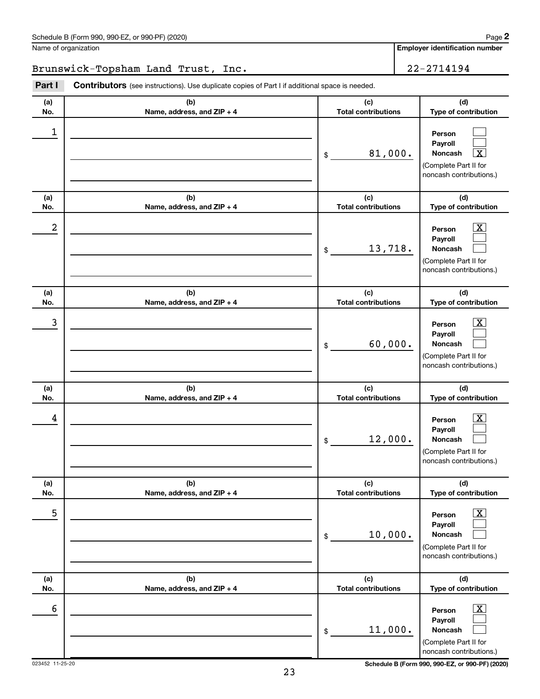**Employer identification number**

Brunswick-Topsham Land Trust, Inc. 22-2714194

**Part I** Contributors (see instructions). Use duplicate copies of Part I if additional space is needed.

| (a)<br>No. | (b)<br>Name, address, and ZIP + 4 | (c)<br><b>Total contributions</b> | (d)<br>Type of contribution                                                                                        |
|------------|-----------------------------------|-----------------------------------|--------------------------------------------------------------------------------------------------------------------|
| 1          |                                   | 81,000.<br>\$                     | Person<br>Payroll<br><b>Noncash</b><br>$\overline{\textbf{x}}$<br>(Complete Part II for<br>noncash contributions.) |
| (a)<br>No. | (b)<br>Name, address, and ZIP + 4 | (c)<br><b>Total contributions</b> | (d)<br>Type of contribution                                                                                        |
| 2          |                                   | 13,718.<br>\$                     | $\boxed{\mathbf{X}}$<br>Person<br>Payroll<br>Noncash<br>(Complete Part II for<br>noncash contributions.)           |
| (a)<br>No. | (b)<br>Name, address, and ZIP + 4 | (c)<br><b>Total contributions</b> | (d)<br>Type of contribution                                                                                        |
| 3          |                                   | 60,000.<br>\$                     | $\boxed{\mathbf{X}}$<br>Person<br>Payroll<br>Noncash<br>(Complete Part II for<br>noncash contributions.)           |
| (a)<br>No. | (b)<br>Name, address, and ZIP + 4 | (c)<br><b>Total contributions</b> | (d)<br>Type of contribution                                                                                        |
| 4          |                                   | 12,000.<br>\$                     | $\boxed{\mathbf{X}}$<br>Person<br>Payroll<br><b>Noncash</b><br>(Complete Part II for<br>noncash contributions.)    |
| (a)<br>No. | (b)<br>Name, address, and ZIP + 4 | (c)<br><b>Total contributions</b> | (d)<br>Type of contribution                                                                                        |
| 5          |                                   | 10,000.<br>\$                     | $\boxed{\textbf{X}}$<br>Person<br>Payroll<br>Noncash<br>(Complete Part II for<br>noncash contributions.)           |
| (a)<br>No. | (b)<br>Name, address, and ZIP + 4 | (c)<br><b>Total contributions</b> | (d)<br>Type of contribution                                                                                        |
| 6          |                                   | 11,000.<br>\$                     | $\boxed{\text{X}}$<br>Person<br>Payroll<br>Noncash<br>(Complete Part II for<br>noncash contributions.)             |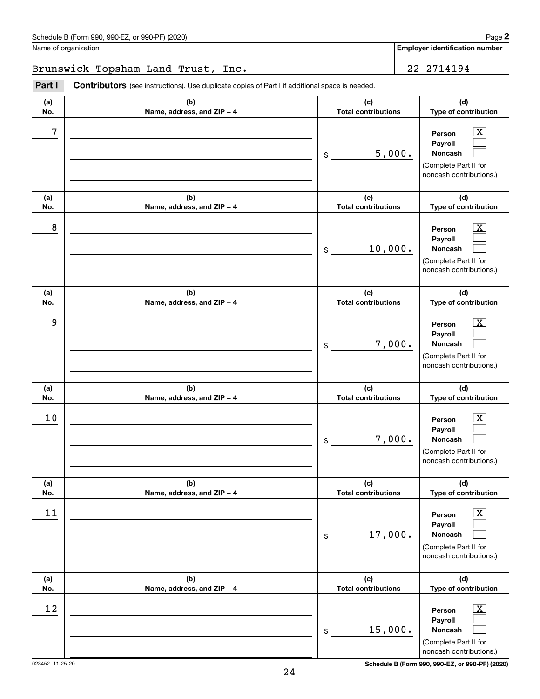Brunswick-Topsham Land Trust, Inc. 22-2714194

**Part I** Contributors (see instructions). Use duplicate copies of Part I if additional space is needed.

| (a)<br>No. | (b)<br>Name, address, and ZIP + 4 | (c)<br><b>Total contributions</b> | (d)<br>Type of contribution                                                                                        |
|------------|-----------------------------------|-----------------------------------|--------------------------------------------------------------------------------------------------------------------|
| 7          |                                   | 5,000.<br>\$                      | $\overline{\mathbf{X}}$<br>Person<br>Payroll<br><b>Noncash</b><br>(Complete Part II for<br>noncash contributions.) |
| (a)<br>No. | (b)<br>Name, address, and ZIP + 4 | (c)<br><b>Total contributions</b> | (d)<br>Type of contribution                                                                                        |
| 8          |                                   | 10,000.<br>\$                     | $\mathbf{X}$<br>Person<br>Payroll<br>Noncash<br>(Complete Part II for<br>noncash contributions.)                   |
| (a)<br>No. | (b)<br>Name, address, and ZIP + 4 | (c)<br><b>Total contributions</b> | (d)<br>Type of contribution                                                                                        |
| 9          |                                   | 7,000.<br>\$                      | $\overline{\mathbf{X}}$<br>Person<br>Payroll<br><b>Noncash</b><br>(Complete Part II for<br>noncash contributions.) |
| (a)<br>No. | (b)<br>Name, address, and ZIP + 4 | (c)<br><b>Total contributions</b> | (d)<br>Type of contribution                                                                                        |
| 10         |                                   | 7,000.<br>\$                      | $\overline{\mathbf{X}}$<br>Person<br>Payroll<br>Noncash<br>(Complete Part II for<br>noncash contributions.)        |
| (a)<br>No. | (b)<br>Name, address, and ZIP + 4 | (c)<br><b>Total contributions</b> | (d)<br>Type of contribution                                                                                        |
| 11         |                                   | 17,000.<br>\$                     | $\boxed{\text{X}}$<br>Person<br>Payroll<br>Noncash<br>(Complete Part II for<br>noncash contributions.)             |
| (a)<br>No. | (b)<br>Name, address, and ZIP + 4 | (c)<br><b>Total contributions</b> | (d)<br>Type of contribution                                                                                        |
| 12         |                                   | 15,000.<br>\$                     | $\boxed{\text{X}}$<br>Person<br>Payroll<br>Noncash<br>(Complete Part II for<br>noncash contributions.)             |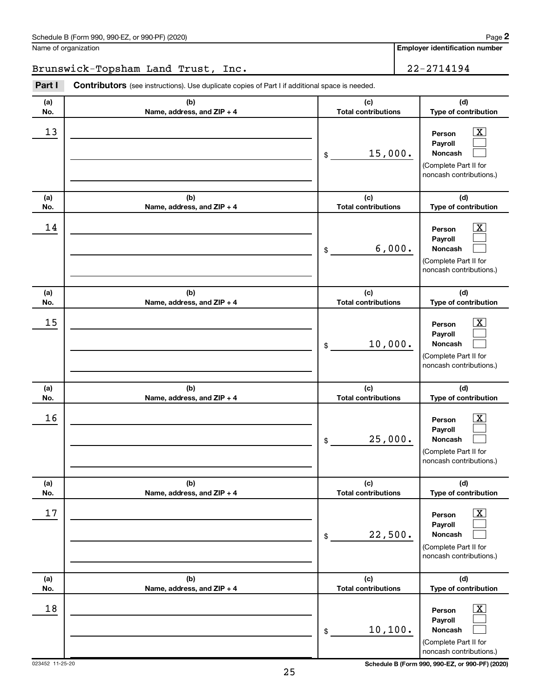**Employer identification number**

Brunswick-Topsham Land Trust, Inc. 22-2714194

**Part I** Contributors (see instructions). Use duplicate copies of Part I if additional space is needed.

| (a)<br>No. | (b)<br>Name, address, and ZIP + 4 | (c)<br><b>Total contributions</b> | (d)<br>Type of contribution                                                                                        |
|------------|-----------------------------------|-----------------------------------|--------------------------------------------------------------------------------------------------------------------|
| 13         |                                   | 15,000.<br>\$                     | $\overline{\mathbf{x}}$<br>Person<br>Payroll<br>Noncash<br>(Complete Part II for<br>noncash contributions.)        |
| (a)<br>No. | (b)<br>Name, address, and ZIP + 4 | (c)<br><b>Total contributions</b> | (d)<br>Type of contribution                                                                                        |
| 14         |                                   | 6,000.<br>\$                      | $\overline{\mathbf{x}}$<br>Person<br>Payroll<br>Noncash<br>(Complete Part II for<br>noncash contributions.)        |
| (a)<br>No. | (b)<br>Name, address, and ZIP + 4 | (c)<br><b>Total contributions</b> | (d)<br>Type of contribution                                                                                        |
| 15         |                                   | 10,000.<br>\$                     | $\overline{\mathbf{X}}$<br>Person<br>Payroll<br><b>Noncash</b><br>(Complete Part II for<br>noncash contributions.) |
| (a)<br>No. | (b)<br>Name, address, and ZIP + 4 | (c)<br><b>Total contributions</b> | (d)<br>Type of contribution                                                                                        |
| 16         |                                   | 25,000.<br>\$                     | $\overline{\mathbf{X}}$<br>Person<br>Payroll<br>Noncash<br>(Complete Part II for<br>noncash contributions.)        |
| (a)<br>No. | (b)<br>Name, address, and ZIP + 4 | (c)<br><b>Total contributions</b> | (d)<br>Type of contribution                                                                                        |
| 17         |                                   | 22,500.<br>\$                     | $\boxed{\mathbf{X}}$<br>Person<br>Payroll<br>Noncash<br>(Complete Part II for<br>noncash contributions.)           |
| (a)<br>No. | (b)<br>Name, address, and ZIP + 4 | (c)<br><b>Total contributions</b> | (d)<br>Type of contribution                                                                                        |
| 18         |                                   | 10, 100.<br>\$                    | $\boxed{\mathbf{X}}$<br>Person<br>Payroll<br>Noncash<br>(Complete Part II for<br>noncash contributions.)           |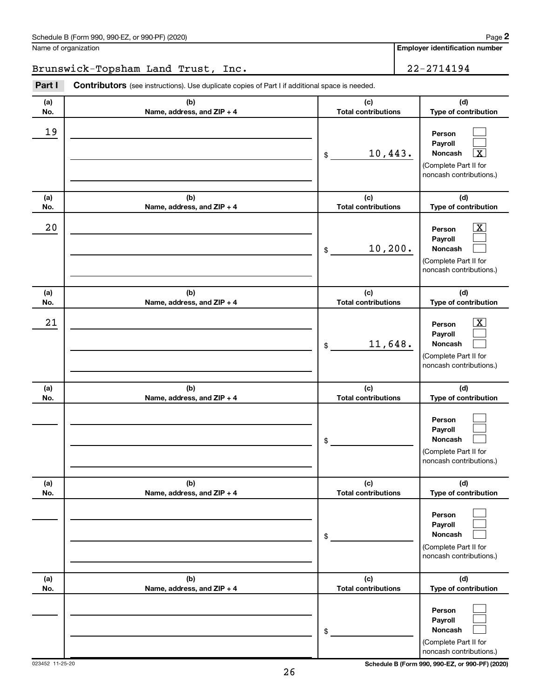**Employer identification number**

Brunswick-Topsham Land Trust, Inc. 22-2714194

**Part I** Contributors (see instructions). Use duplicate copies of Part I if additional space is needed.

| (a)<br>No. | (b)<br>Name, address, and ZIP + 4 | (c)<br><b>Total contributions</b> | (d)<br>Type of contribution                                                                                      |
|------------|-----------------------------------|-----------------------------------|------------------------------------------------------------------------------------------------------------------|
| 19         |                                   | 10,443.<br>\$                     | Person<br>Payroll<br>Noncash<br>х<br>(Complete Part II for<br>noncash contributions.)                            |
| (a)<br>No. | (b)<br>Name, address, and ZIP + 4 | (c)<br><b>Total contributions</b> | (d)<br>Type of contribution                                                                                      |
| 20         |                                   | 10, 200.<br>\$                    | $\overline{\text{X}}$<br>Person<br>Payroll<br>Noncash<br>(Complete Part II for<br>noncash contributions.)        |
| (a)<br>No. | (b)<br>Name, address, and ZIP + 4 | (c)<br><b>Total contributions</b> | (d)<br>Type of contribution                                                                                      |
| 21         |                                   | 11,648.<br>\$                     | $\overline{\text{X}}$<br>Person<br>Payroll<br><b>Noncash</b><br>(Complete Part II for<br>noncash contributions.) |
| (a)<br>No. | (b)<br>Name, address, and ZIP + 4 | (c)<br><b>Total contributions</b> | (d)<br>Type of contribution                                                                                      |
|            |                                   | \$                                | Person<br>Payroll<br>Noncash<br>(Complete Part II for<br>noncash contributions.)                                 |
| (a)<br>No. | (b)<br>Name, address, and ZIP + 4 | (c)<br><b>Total contributions</b> | (d)<br>Type of contribution                                                                                      |
|            |                                   | \$                                | Person<br>Payroll<br><b>Noncash</b><br>(Complete Part II for<br>noncash contributions.)                          |
| (a)<br>No. | (b)<br>Name, address, and ZIP + 4 | (c)<br><b>Total contributions</b> | (d)<br>Type of contribution                                                                                      |
|            |                                   | \$                                | Person<br>Payroll<br>Noncash<br>(Complete Part II for<br>noncash contributions.)                                 |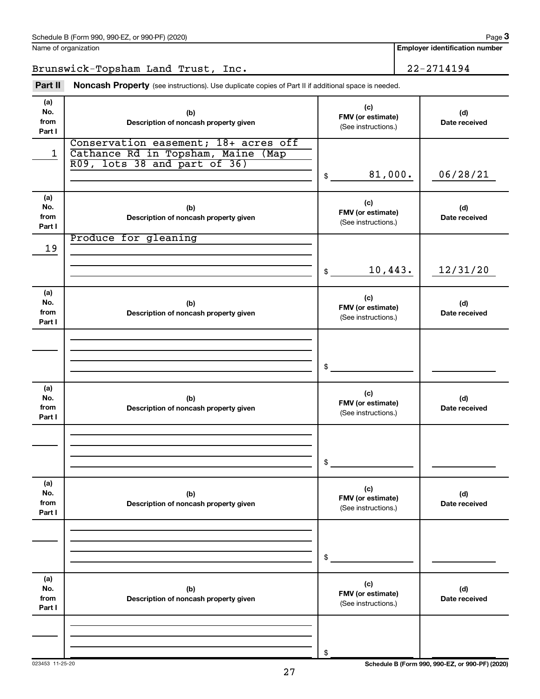**Employer identification number**

Brunswick-Topsham Land Trust, Inc. 22-2714194

Part II Noncash Property (see instructions). Use duplicate copies of Part II if additional space is needed.

| (a)<br>No.<br>from<br>Part I | (b)<br>Description of noncash property given                                                               | (c)<br>FMV (or estimate)<br>(See instructions.) | (d)<br>Date received |
|------------------------------|------------------------------------------------------------------------------------------------------------|-------------------------------------------------|----------------------|
| 1                            | Conservation easement; 18+ acres off<br>Cathance Rd in Topsham, Maine (Map<br>R09, lots 38 and part of 36) | 81,000.<br>$\frac{1}{2}$                        | 06/28/21             |
| (a)<br>No.<br>from<br>Part I | (b)<br>Description of noncash property given                                                               | (c)<br>FMV (or estimate)<br>(See instructions.) | (d)<br>Date received |
| 19                           | Produce for gleaning                                                                                       |                                                 |                      |
|                              |                                                                                                            | 10,443.<br>$\frac{1}{2}$                        | 12/31/20             |
| (a)<br>No.<br>from<br>Part I | (b)<br>Description of noncash property given                                                               | (c)<br>FMV (or estimate)<br>(See instructions.) | (d)<br>Date received |
|                              |                                                                                                            | \$                                              |                      |
| (a)<br>No.<br>from<br>Part I | (b)<br>Description of noncash property given                                                               | (c)<br>FMV (or estimate)<br>(See instructions.) | (d)<br>Date received |
|                              |                                                                                                            | \$                                              |                      |
| (a)<br>No.<br>from<br>Part I | (b)<br>Description of noncash property given                                                               | (c)<br>FMV (or estimate)<br>(See instructions.) | (d)<br>Date received |
|                              |                                                                                                            | \$                                              |                      |
| (a)<br>No.<br>from<br>Part I | (b)<br>Description of noncash property given                                                               | (c)<br>FMV (or estimate)<br>(See instructions.) | (d)<br>Date received |
|                              |                                                                                                            | \$                                              |                      |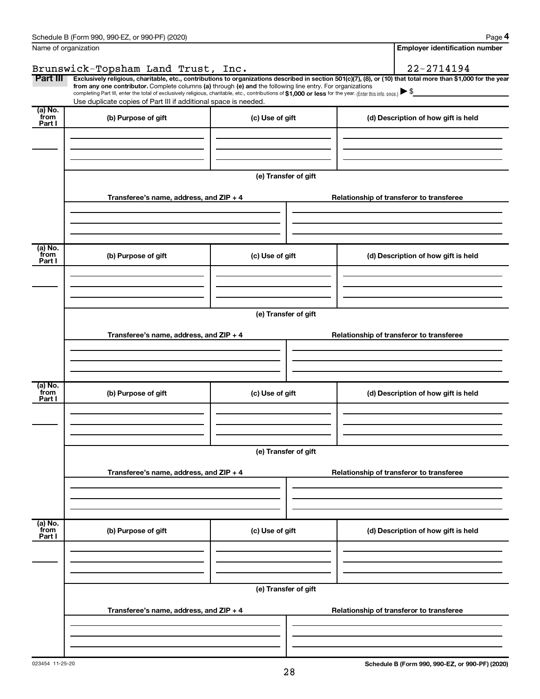|                           | Schedule B (Form 990, 990-EZ, or 990-PF) (2020)                                                                                                                                                                                                                        |                      | Page 4                                                                                                                                                         |  |  |  |
|---------------------------|------------------------------------------------------------------------------------------------------------------------------------------------------------------------------------------------------------------------------------------------------------------------|----------------------|----------------------------------------------------------------------------------------------------------------------------------------------------------------|--|--|--|
|                           | Name of organization                                                                                                                                                                                                                                                   |                      | <b>Employer identification number</b>                                                                                                                          |  |  |  |
|                           | Brunswick-Topsham Land Trust, Inc.                                                                                                                                                                                                                                     |                      | 22-2714194                                                                                                                                                     |  |  |  |
| <b>Part III</b>           | from any one contributor. Complete columns (a) through (e) and the following line entry. For organizations<br>completing Part III, enter the total of exclusively religious, charitable, etc., contributions of \$1,000 or less for the year. (Enter this info. once.) |                      | Exclusively religious, charitable, etc., contributions to organizations described in section 501(c)(7), (8), or (10) that total more than \$1,000 for the year |  |  |  |
|                           | Use duplicate copies of Part III if additional space is needed.                                                                                                                                                                                                        |                      |                                                                                                                                                                |  |  |  |
| (a) No.<br>from<br>Part I | (b) Purpose of gift                                                                                                                                                                                                                                                    | (c) Use of gift      | (d) Description of how gift is held                                                                                                                            |  |  |  |
|                           |                                                                                                                                                                                                                                                                        |                      |                                                                                                                                                                |  |  |  |
|                           |                                                                                                                                                                                                                                                                        | (e) Transfer of gift |                                                                                                                                                                |  |  |  |
|                           | Transferee's name, address, and ZIP + 4                                                                                                                                                                                                                                |                      | Relationship of transferor to transferee                                                                                                                       |  |  |  |
|                           |                                                                                                                                                                                                                                                                        |                      |                                                                                                                                                                |  |  |  |
| (a) No.<br>from           | (b) Purpose of gift                                                                                                                                                                                                                                                    | (c) Use of gift      | (d) Description of how gift is held                                                                                                                            |  |  |  |
| Part I                    |                                                                                                                                                                                                                                                                        |                      |                                                                                                                                                                |  |  |  |
|                           |                                                                                                                                                                                                                                                                        |                      |                                                                                                                                                                |  |  |  |
|                           | (e) Transfer of gift                                                                                                                                                                                                                                                   |                      |                                                                                                                                                                |  |  |  |
|                           | Transferee's name, address, and ZIP + 4                                                                                                                                                                                                                                |                      | Relationship of transferor to transferee                                                                                                                       |  |  |  |
|                           |                                                                                                                                                                                                                                                                        |                      |                                                                                                                                                                |  |  |  |
| (a) No.<br>from<br>Part I | (b) Purpose of gift                                                                                                                                                                                                                                                    | (c) Use of gift      | (d) Description of how gift is held                                                                                                                            |  |  |  |
|                           |                                                                                                                                                                                                                                                                        |                      |                                                                                                                                                                |  |  |  |
|                           | (e) Transfer of gift                                                                                                                                                                                                                                                   |                      |                                                                                                                                                                |  |  |  |
|                           | Transferee's name, address, and ZIP + 4                                                                                                                                                                                                                                |                      | Relationship of transferor to transferee                                                                                                                       |  |  |  |
|                           |                                                                                                                                                                                                                                                                        |                      |                                                                                                                                                                |  |  |  |
| (a) No.<br>from           | (b) Purpose of gift                                                                                                                                                                                                                                                    | (c) Use of gift      | (d) Description of how gift is held                                                                                                                            |  |  |  |
| Part I                    |                                                                                                                                                                                                                                                                        |                      |                                                                                                                                                                |  |  |  |
|                           |                                                                                                                                                                                                                                                                        |                      |                                                                                                                                                                |  |  |  |
|                           |                                                                                                                                                                                                                                                                        | (e) Transfer of gift |                                                                                                                                                                |  |  |  |
|                           | Transferee's name, address, and ZIP + 4                                                                                                                                                                                                                                |                      | Relationship of transferor to transferee                                                                                                                       |  |  |  |
|                           |                                                                                                                                                                                                                                                                        |                      |                                                                                                                                                                |  |  |  |
|                           |                                                                                                                                                                                                                                                                        |                      |                                                                                                                                                                |  |  |  |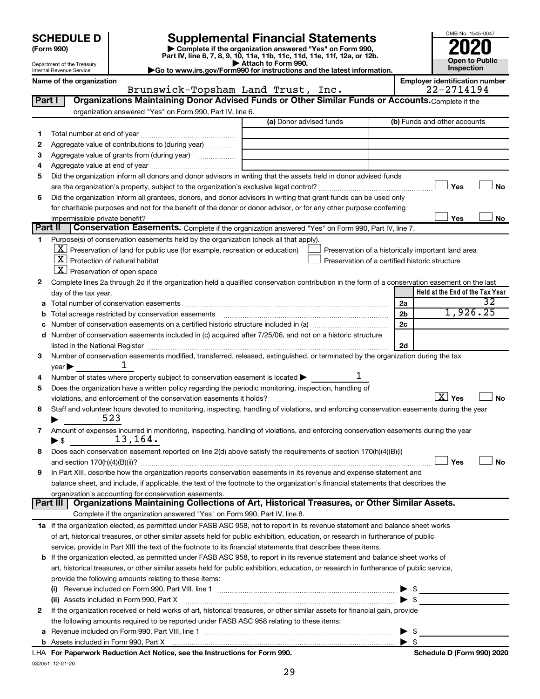| <b>SCHEDULE D</b> |  |
|-------------------|--|
|-------------------|--|

| (Form 990) |  |
|------------|--|
|------------|--|

## **SCHEDULE D Supplemental Financial Statements**<br> **Form 990 2020**<br> **Part IV** line 6.7.8.9.10, 11a, 11b, 11d, 11d, 11d, 11d, 11d, 12a, 0r, 12b

**(Form 990) | Complete if the organization answered "Yes" on Form 990, Part IV, line 6, 7, 8, 9, 10, 11a, 11b, 11c, 11d, 11e, 11f, 12a, or 12b.**

**| Attach to Form 990. |Go to www.irs.gov/Form990 for instructions and the latest information.**



Department of the Treasury Internal Revenue Service

**Name of the organization**<br>**Brunswick-Topsham Land Trust. The. Employer identification number**<br>22-2714194

|         | Brunswick-Topsham Land Trust, Inc.                                                                                                             |                         |                          | $22 - 2714194$                                     |
|---------|------------------------------------------------------------------------------------------------------------------------------------------------|-------------------------|--------------------------|----------------------------------------------------|
| Part I  | Organizations Maintaining Donor Advised Funds or Other Similar Funds or Accounts. Complete if the                                              |                         |                          |                                                    |
|         | organization answered "Yes" on Form 990, Part IV, line 6.                                                                                      |                         |                          |                                                    |
|         |                                                                                                                                                | (a) Donor advised funds |                          | (b) Funds and other accounts                       |
| 1.      |                                                                                                                                                |                         |                          |                                                    |
| 2       | Aggregate value of contributions to (during year)                                                                                              |                         |                          |                                                    |
| З       | Aggregate value of grants from (during year)                                                                                                   |                         |                          |                                                    |
| 4       |                                                                                                                                                |                         |                          |                                                    |
| 5       | Did the organization inform all donors and donor advisors in writing that the assets held in donor advised funds                               |                         |                          |                                                    |
|         |                                                                                                                                                |                         |                          | Yes<br>No                                          |
| 6       | Did the organization inform all grantees, donors, and donor advisors in writing that grant funds can be used only                              |                         |                          |                                                    |
|         | for charitable purposes and not for the benefit of the donor or donor advisor, or for any other purpose conferring                             |                         |                          |                                                    |
|         | impermissible private benefit?                                                                                                                 |                         |                          | Yes<br>No                                          |
| Part II | <b>Conservation Easements.</b> Complete if the organization answered "Yes" on Form 990, Part IV, line 7.                                       |                         |                          |                                                    |
| 1.      | Purpose(s) of conservation easements held by the organization (check all that apply).                                                          |                         |                          |                                                    |
|         | $X$ Preservation of land for public use (for example, recreation or education)                                                                 |                         |                          | Preservation of a historically important land area |
|         | $X$ Protection of natural habitat                                                                                                              |                         |                          | Preservation of a certified historic structure     |
|         | $X$ Preservation of open space                                                                                                                 |                         |                          |                                                    |
| 2       | Complete lines 2a through 2d if the organization held a qualified conservation contribution in the form of a conservation easement on the last |                         |                          |                                                    |
|         | day of the tax year.                                                                                                                           |                         |                          | Held at the End of the Tax Year                    |
| a       |                                                                                                                                                |                         | 2a                       | 32                                                 |
|         | Total acreage restricted by conservation easements                                                                                             |                         | 2 <sub>b</sub>           | 1,926.25                                           |
|         |                                                                                                                                                |                         | 2c                       |                                                    |
| d       | Number of conservation easements included in (c) acquired after 7/25/06, and not on a historic structure                                       |                         |                          |                                                    |
|         |                                                                                                                                                |                         | 2d                       |                                                    |
| 3       | Number of conservation easements modified, transferred, released, extinguished, or terminated by the organization during the tax               |                         |                          |                                                    |
|         | $\vee$ ear $\blacktriangleright$                                                                                                               |                         |                          |                                                    |
| 4       | Number of states where property subject to conservation easement is located >                                                                  |                         |                          |                                                    |
| 5       | Does the organization have a written policy regarding the periodic monitoring, inspection, handling of                                         |                         |                          |                                                    |
|         | violations, and enforcement of the conservation easements it holds?                                                                            |                         |                          | $\boxed{\text{X}}$ Yes<br>No                       |
| 6       | Staff and volunteer hours devoted to monitoring, inspecting, handling of violations, and enforcing conservation easements during the year      |                         |                          |                                                    |
|         | 523                                                                                                                                            |                         |                          |                                                    |
| 7       | Amount of expenses incurred in monitoring, inspecting, handling of violations, and enforcing conservation easements during the year            |                         |                          |                                                    |
|         | 13, 164.<br>$\blacktriangleright$ \$                                                                                                           |                         |                          |                                                    |
| 8       | Does each conservation easement reported on line 2(d) above satisfy the requirements of section 170(h)(4)(B)(i)                                |                         |                          |                                                    |
|         |                                                                                                                                                |                         |                          | Yes<br>No                                          |
| 9       | In Part XIII, describe how the organization reports conservation easements in its revenue and expense statement and                            |                         |                          |                                                    |
|         | balance sheet, and include, if applicable, the text of the footnote to the organization's financial statements that describes the              |                         |                          |                                                    |
|         | organization's accounting for conservation easements.                                                                                          |                         |                          |                                                    |
|         | Organizations Maintaining Collections of Art, Historical Treasures, or Other Similar Assets.<br>Part III                                       |                         |                          |                                                    |
|         | Complete if the organization answered "Yes" on Form 990, Part IV, line 8.                                                                      |                         |                          |                                                    |
|         | 1a If the organization elected, as permitted under FASB ASC 958, not to report in its revenue statement and balance sheet works                |                         |                          |                                                    |
|         | of art, historical treasures, or other similar assets held for public exhibition, education, or research in furtherance of public              |                         |                          |                                                    |
|         | service, provide in Part XIII the text of the footnote to its financial statements that describes these items.                                 |                         |                          |                                                    |
|         | b If the organization elected, as permitted under FASB ASC 958, to report in its revenue statement and balance sheet works of                  |                         |                          |                                                    |
|         | art, historical treasures, or other similar assets held for public exhibition, education, or research in furtherance of public service,        |                         |                          |                                                    |
|         | provide the following amounts relating to these items:                                                                                         |                         |                          |                                                    |
|         |                                                                                                                                                |                         |                          | \$                                                 |
|         | (ii) Assets included in Form 990, Part X                                                                                                       |                         | $\blacktriangleright$ \$ |                                                    |
| 2       | If the organization received or held works of art, historical treasures, or other similar assets for financial gain, provide                   |                         |                          |                                                    |
|         | the following amounts required to be reported under FASB ASC 958 relating to these items:                                                      |                         |                          |                                                    |
| а       |                                                                                                                                                |                         |                          | \$                                                 |
|         |                                                                                                                                                |                         | $\blacktriangleright$ \$ |                                                    |

032051 12-01-20 **For Paperwork Reduction Act Notice, see the Instructions for Form 990. Schedule D (Form 990) 2020** LHA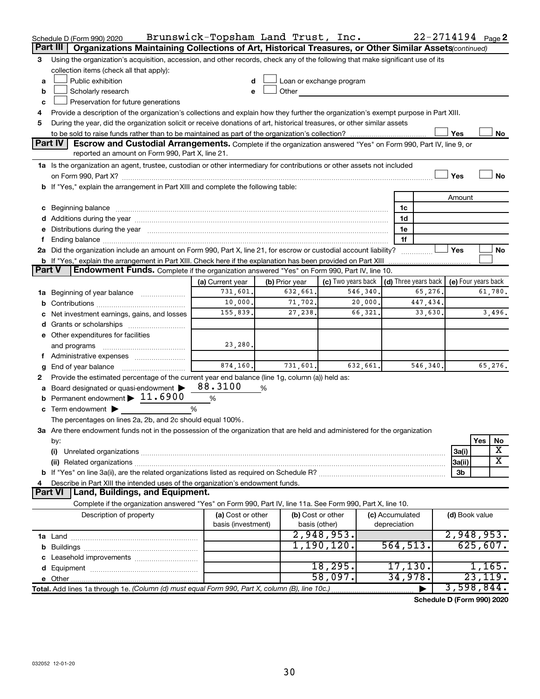|        | Schedule D (Form 990) 2020<br>Organizations Maintaining Collections of Art, Historical Treasures, or Other Similar Assets (continued)<br>Part III                                                                              | Brunswick-Topsham Land Trust, Inc.      |                |                                                                                                                                                                                                                                |                                 |                                      |                | 22-2714194 Page 2     |
|--------|--------------------------------------------------------------------------------------------------------------------------------------------------------------------------------------------------------------------------------|-----------------------------------------|----------------|--------------------------------------------------------------------------------------------------------------------------------------------------------------------------------------------------------------------------------|---------------------------------|--------------------------------------|----------------|-----------------------|
| 3      | Using the organization's acquisition, accession, and other records, check any of the following that make significant use of its                                                                                                |                                         |                |                                                                                                                                                                                                                                |                                 |                                      |                |                       |
|        | collection items (check all that apply):                                                                                                                                                                                       |                                         |                |                                                                                                                                                                                                                                |                                 |                                      |                |                       |
| a      | Public exhibition                                                                                                                                                                                                              |                                         |                | Loan or exchange program                                                                                                                                                                                                       |                                 |                                      |                |                       |
| b      | Scholarly research                                                                                                                                                                                                             |                                         |                | Other the contract of the contract of the contract of the contract of the contract of the contract of the contract of the contract of the contract of the contract of the contract of the contract of the contract of the cont |                                 |                                      |                |                       |
| c      | Preservation for future generations                                                                                                                                                                                            |                                         |                |                                                                                                                                                                                                                                |                                 |                                      |                |                       |
| 4      | Provide a description of the organization's collections and explain how they further the organization's exempt purpose in Part XIII.                                                                                           |                                         |                |                                                                                                                                                                                                                                |                                 |                                      |                |                       |
| 5      | During the year, did the organization solicit or receive donations of art, historical treasures, or other similar assets                                                                                                       |                                         |                |                                                                                                                                                                                                                                |                                 |                                      |                |                       |
|        |                                                                                                                                                                                                                                |                                         |                |                                                                                                                                                                                                                                |                                 |                                      | Yes            | No                    |
|        | <b>Part IV</b><br><b>Escrow and Custodial Arrangements.</b> Complete if the organization answered "Yes" on Form 990, Part IV, line 9, or                                                                                       |                                         |                |                                                                                                                                                                                                                                |                                 |                                      |                |                       |
|        | reported an amount on Form 990, Part X, line 21.                                                                                                                                                                               |                                         |                |                                                                                                                                                                                                                                |                                 |                                      |                |                       |
|        | 1a Is the organization an agent, trustee, custodian or other intermediary for contributions or other assets not included                                                                                                       |                                         |                |                                                                                                                                                                                                                                |                                 |                                      |                |                       |
|        |                                                                                                                                                                                                                                |                                         |                |                                                                                                                                                                                                                                |                                 |                                      | Yes            | <b>No</b>             |
|        | b If "Yes," explain the arrangement in Part XIII and complete the following table:                                                                                                                                             |                                         |                |                                                                                                                                                                                                                                |                                 |                                      |                |                       |
|        |                                                                                                                                                                                                                                |                                         |                |                                                                                                                                                                                                                                |                                 |                                      | Amount         |                       |
|        | c Beginning balance measurements and the contract of the contract of the contract of the contract of the contract of the contract of the contract of the contract of the contract of the contract of the contract of the contr |                                         |                |                                                                                                                                                                                                                                |                                 | 1c                                   |                |                       |
|        |                                                                                                                                                                                                                                |                                         |                |                                                                                                                                                                                                                                |                                 | 1d                                   |                |                       |
|        | e Distributions during the year manufactured and contained and contained and contained and contained and contained and contained and contained and contained and contained and contained and contained and contained and conta |                                         |                |                                                                                                                                                                                                                                |                                 | 1e                                   |                |                       |
| Ť.     |                                                                                                                                                                                                                                |                                         |                |                                                                                                                                                                                                                                |                                 | 1f                                   |                |                       |
|        | 2a Did the organization include an amount on Form 990, Part X, line 21, for escrow or custodial account liability?                                                                                                             |                                         |                |                                                                                                                                                                                                                                |                                 |                                      | Yes            | No                    |
|        |                                                                                                                                                                                                                                |                                         |                |                                                                                                                                                                                                                                |                                 |                                      |                |                       |
| Part V | Endowment Funds. Complete if the organization answered "Yes" on Form 990, Part IV, line 10.                                                                                                                                    |                                         |                |                                                                                                                                                                                                                                |                                 |                                      |                |                       |
|        |                                                                                                                                                                                                                                | (a) Current year                        | (b) Prior year | (c) Two years back                                                                                                                                                                                                             |                                 | $\vert$ (d) Three years back $\vert$ |                | (e) Four years back   |
|        | 1a Beginning of year balance                                                                                                                                                                                                   | 731,601.                                | 632,661.       | 546,340.                                                                                                                                                                                                                       |                                 | 65,276.                              |                | 61,780.               |
| b      |                                                                                                                                                                                                                                | 10,000.                                 | 71,702.        | 20,000.                                                                                                                                                                                                                        |                                 | 447,434.                             |                |                       |
|        | c Net investment earnings, gains, and losses                                                                                                                                                                                   | 155,839.                                | 27,238.        | 66,321.                                                                                                                                                                                                                        |                                 | 33,630.                              |                | 3,496.                |
|        | d Grants or scholarships                                                                                                                                                                                                       |                                         |                |                                                                                                                                                                                                                                |                                 |                                      |                |                       |
|        | e Other expenditures for facilities                                                                                                                                                                                            |                                         |                |                                                                                                                                                                                                                                |                                 |                                      |                |                       |
|        | and programs                                                                                                                                                                                                                   | 23,280.                                 |                |                                                                                                                                                                                                                                |                                 |                                      |                |                       |
|        | f Administrative expenses                                                                                                                                                                                                      |                                         |                |                                                                                                                                                                                                                                |                                 |                                      |                |                       |
| g      |                                                                                                                                                                                                                                | 874,160.                                | 731,601.       | 632,661.                                                                                                                                                                                                                       |                                 | 546,340.                             |                | 65,276.               |
| 2      | Provide the estimated percentage of the current year end balance (line 1g, column (a)) held as:                                                                                                                                |                                         |                |                                                                                                                                                                                                                                |                                 |                                      |                |                       |
|        | a Board designated or quasi-endowment >                                                                                                                                                                                        | 88.3100                                 | %              |                                                                                                                                                                                                                                |                                 |                                      |                |                       |
| b      | Permanent endowment $\blacktriangleright$ 11.6900                                                                                                                                                                              | $\%$                                    |                |                                                                                                                                                                                                                                |                                 |                                      |                |                       |
|        | c Term endowment $\blacktriangleright$                                                                                                                                                                                         | %                                       |                |                                                                                                                                                                                                                                |                                 |                                      |                |                       |
|        | The percentages on lines 2a, 2b, and 2c should equal 100%.                                                                                                                                                                     |                                         |                |                                                                                                                                                                                                                                |                                 |                                      |                |                       |
|        | 3a Are there endowment funds not in the possession of the organization that are held and administered for the organization                                                                                                     |                                         |                |                                                                                                                                                                                                                                |                                 |                                      |                |                       |
|        | by:                                                                                                                                                                                                                            |                                         |                |                                                                                                                                                                                                                                |                                 |                                      |                | Yes<br>No             |
|        | (i)                                                                                                                                                                                                                            |                                         |                |                                                                                                                                                                                                                                |                                 |                                      | 3a(i)          | х                     |
|        |                                                                                                                                                                                                                                |                                         |                |                                                                                                                                                                                                                                |                                 |                                      | 3a(ii)         | $\overline{\text{X}}$ |
|        |                                                                                                                                                                                                                                |                                         |                |                                                                                                                                                                                                                                |                                 |                                      | 3b             |                       |
| 4      | Describe in Part XIII the intended uses of the organization's endowment funds.                                                                                                                                                 |                                         |                |                                                                                                                                                                                                                                |                                 |                                      |                |                       |
|        | Land, Buildings, and Equipment.<br><b>Part VI</b>                                                                                                                                                                              |                                         |                |                                                                                                                                                                                                                                |                                 |                                      |                |                       |
|        | Complete if the organization answered "Yes" on Form 990, Part IV, line 11a. See Form 990, Part X, line 10.                                                                                                                     |                                         |                |                                                                                                                                                                                                                                |                                 |                                      |                |                       |
|        | Description of property                                                                                                                                                                                                        | (a) Cost or other<br>basis (investment) | basis (other)  | (b) Cost or other                                                                                                                                                                                                              | (c) Accumulated<br>depreciation |                                      | (d) Book value |                       |
|        |                                                                                                                                                                                                                                |                                         |                | 2,948,953.                                                                                                                                                                                                                     |                                 |                                      |                | 2,948,953.            |
|        |                                                                                                                                                                                                                                |                                         |                | 1,190,120.                                                                                                                                                                                                                     |                                 | 564, 513.                            |                | 625,607.              |
|        |                                                                                                                                                                                                                                |                                         |                |                                                                                                                                                                                                                                |                                 |                                      |                |                       |
|        |                                                                                                                                                                                                                                |                                         |                | 18, 295.                                                                                                                                                                                                                       |                                 | 17, 130.                             |                | 1,165.                |
|        |                                                                                                                                                                                                                                |                                         |                | 58,097.                                                                                                                                                                                                                        |                                 | 34,978.                              |                | 23, 119.              |
|        | Total. Add lines 1a through 1e. (Column (d) must equal Form 990, Part X, column (B), line 10c.)                                                                                                                                |                                         |                |                                                                                                                                                                                                                                |                                 |                                      |                | 3,598,844.            |

**Schedule D (Form 990) 2020**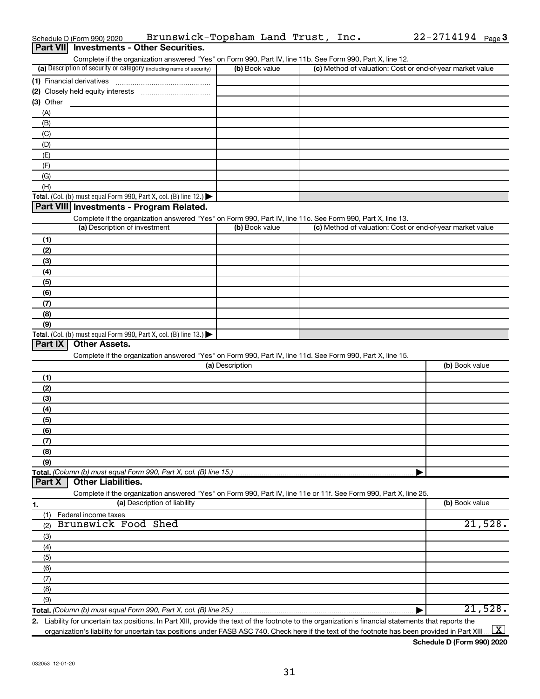|            | Part VII Investments - Other Securities.                                                                                                             |                 |                                                           |                |
|------------|------------------------------------------------------------------------------------------------------------------------------------------------------|-----------------|-----------------------------------------------------------|----------------|
|            | Complete if the organization answered "Yes" on Form 990, Part IV, line 11b. See Form 990, Part X, line 12.                                           |                 |                                                           |                |
|            | (a) Description of security or category (including name of security)                                                                                 | (b) Book value  | (c) Method of valuation: Cost or end-of-year market value |                |
|            |                                                                                                                                                      |                 |                                                           |                |
|            |                                                                                                                                                      |                 |                                                           |                |
| (3) Other  |                                                                                                                                                      |                 |                                                           |                |
| (A)<br>(B) |                                                                                                                                                      |                 |                                                           |                |
| (C)        |                                                                                                                                                      |                 |                                                           |                |
| (D)        |                                                                                                                                                      |                 |                                                           |                |
| (E)        |                                                                                                                                                      |                 |                                                           |                |
| (F)        |                                                                                                                                                      |                 |                                                           |                |
| (G)        |                                                                                                                                                      |                 |                                                           |                |
| (H)        |                                                                                                                                                      |                 |                                                           |                |
|            | Total. (Col. (b) must equal Form 990, Part X, col. (B) line 12.) $\blacktriangleright$                                                               |                 |                                                           |                |
|            | Part VIII Investments - Program Related.                                                                                                             |                 |                                                           |                |
|            | Complete if the organization answered "Yes" on Form 990, Part IV, line 11c. See Form 990, Part X, line 13.                                           |                 |                                                           |                |
|            | (a) Description of investment                                                                                                                        | (b) Book value  | (c) Method of valuation: Cost or end-of-year market value |                |
| (1)        |                                                                                                                                                      |                 |                                                           |                |
| (2)        |                                                                                                                                                      |                 |                                                           |                |
| (3)        |                                                                                                                                                      |                 |                                                           |                |
| (4)        |                                                                                                                                                      |                 |                                                           |                |
| (5)        |                                                                                                                                                      |                 |                                                           |                |
| (6)        |                                                                                                                                                      |                 |                                                           |                |
| (7)        |                                                                                                                                                      |                 |                                                           |                |
| (8)        |                                                                                                                                                      |                 |                                                           |                |
| (9)        |                                                                                                                                                      |                 |                                                           |                |
| Part IX    | Total. (Col. (b) must equal Form 990, Part X, col. (B) line 13.) $\blacktriangleright$<br><b>Other Assets.</b>                                       |                 |                                                           |                |
|            | Complete if the organization answered "Yes" on Form 990, Part IV, line 11d. See Form 990, Part X, line 15.                                           |                 |                                                           |                |
|            |                                                                                                                                                      | (a) Description |                                                           | (b) Book value |
| (1)        |                                                                                                                                                      |                 |                                                           |                |
| (2)        |                                                                                                                                                      |                 |                                                           |                |
| (3)        |                                                                                                                                                      |                 |                                                           |                |
| (4)        |                                                                                                                                                      |                 |                                                           |                |
| (5)        |                                                                                                                                                      |                 |                                                           |                |
| (6)        |                                                                                                                                                      |                 |                                                           |                |
| (7)        |                                                                                                                                                      |                 |                                                           |                |
| (8)        |                                                                                                                                                      |                 |                                                           |                |
| (9)        |                                                                                                                                                      |                 |                                                           |                |
|            | Total. (Column (b) must equal Form 990, Part X, col. (B) line 15.)                                                                                   |                 |                                                           |                |
| Part X     | <b>Other Liabilities.</b>                                                                                                                            |                 |                                                           |                |
|            | Complete if the organization answered "Yes" on Form 990, Part IV, line 11e or 11f. See Form 990, Part X, line 25.<br>(a) Description of liability    |                 |                                                           |                |
| 1.         |                                                                                                                                                      |                 |                                                           | (b) Book value |
| (1)        | Federal income taxes<br>Brunswick Food Shed                                                                                                          |                 |                                                           | 21,528.        |
| (2)        |                                                                                                                                                      |                 |                                                           |                |
| (3)        |                                                                                                                                                      |                 |                                                           |                |
| (4)<br>(5) |                                                                                                                                                      |                 |                                                           |                |
| (6)        |                                                                                                                                                      |                 |                                                           |                |
| (7)        |                                                                                                                                                      |                 |                                                           |                |
| (8)        |                                                                                                                                                      |                 |                                                           |                |
| (9)        |                                                                                                                                                      |                 |                                                           |                |
|            |                                                                                                                                                      |                 |                                                           | 21,528.        |
|            | 2. Liability for uncertain tax positions. In Part XIII, provide the text of the footnote to the organization's financial statements that reports the |                 |                                                           |                |

Schedule D (Form 990) 2020 Brunswick-Topsham Land Trust, Inc. 22-2714194 <sub>Page</sub> 3

organization's liability for uncertain tax positions under FASB ASC 740. Check here if the text of the footnote has been provided in Part XIII ...  $\fbox{\bf X}$ 

**Schedule D (Form 990) 2020**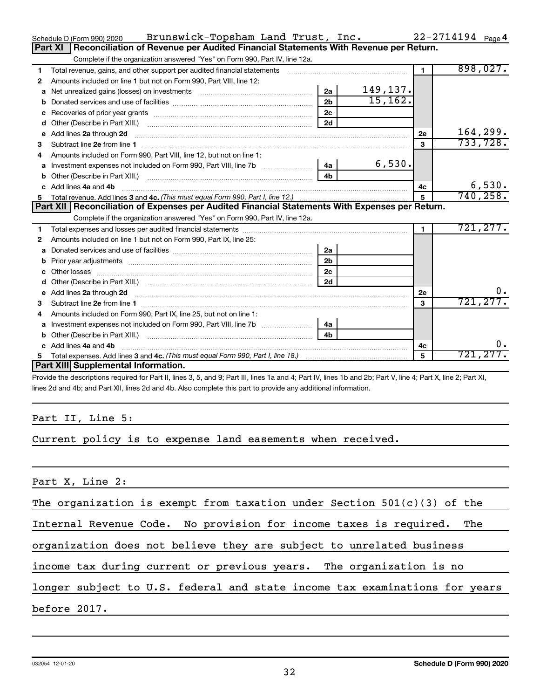|    | Brunswick-Topsham Land Trust, Inc.<br>Schedule D (Form 990) 2020                                                                                                                                                               |                |          |                | $22 - 2714194$ Page 4 |           |
|----|--------------------------------------------------------------------------------------------------------------------------------------------------------------------------------------------------------------------------------|----------------|----------|----------------|-----------------------|-----------|
|    | Reconciliation of Revenue per Audited Financial Statements With Revenue per Return.<br>Part XI                                                                                                                                 |                |          |                |                       |           |
|    | Complete if the organization answered "Yes" on Form 990, Part IV, line 12a.                                                                                                                                                    |                |          |                |                       |           |
| 1  | Total revenue, gains, and other support per audited financial statements                                                                                                                                                       |                |          | $\blacksquare$ | 898,027.              |           |
| 2  | Amounts included on line 1 but not on Form 990, Part VIII, line 12:                                                                                                                                                            |                |          |                |                       |           |
| a  |                                                                                                                                                                                                                                | 2a             | 149,137. |                |                       |           |
|    |                                                                                                                                                                                                                                | 2 <sub>b</sub> | 15, 162. |                |                       |           |
|    |                                                                                                                                                                                                                                | 2 <sub>c</sub> |          |                |                       |           |
| d  |                                                                                                                                                                                                                                | 2d             |          |                |                       |           |
| е  | Add lines 2a through 2d                                                                                                                                                                                                        |                |          | <b>2e</b>      | 164,299.              |           |
| 3  |                                                                                                                                                                                                                                |                |          | 3              | 733, 728.             |           |
| 4  | Amounts included on Form 990. Part VIII. line 12, but not on line 1:                                                                                                                                                           |                |          |                |                       |           |
|    | Investment expenses not included on Form 990, Part VIII, line 7b [100] [2006] 4a                                                                                                                                               |                | 6,530.   |                |                       |           |
|    |                                                                                                                                                                                                                                | 4 <sub>b</sub> |          |                |                       |           |
| c. | Add lines 4a and 4b                                                                                                                                                                                                            |                |          | 4c             |                       | 6,530.    |
|    |                                                                                                                                                                                                                                |                |          | 5              | 740, 258.             |           |
|    | Part XII Reconciliation of Expenses per Audited Financial Statements With Expenses per Return.                                                                                                                                 |                |          |                |                       |           |
|    | Complete if the organization answered "Yes" on Form 990, Part IV, line 12a.                                                                                                                                                    |                |          |                |                       |           |
| 1  |                                                                                                                                                                                                                                |                |          |                | 721, 277.             |           |
| 2  | Amounts included on line 1 but not on Form 990, Part IX, line 25:                                                                                                                                                              |                |          |                |                       |           |
| a  |                                                                                                                                                                                                                                | 2a             |          |                |                       |           |
| b  |                                                                                                                                                                                                                                | 2 <sub>b</sub> |          |                |                       |           |
|    |                                                                                                                                                                                                                                | 2 <sub>c</sub> |          |                |                       |           |
| d  |                                                                                                                                                                                                                                | 2d             |          |                |                       |           |
|    | e Add lines 2a through 2d [11] manual contract and a set of the Add lines 2a through 2d [11] manual contract and the Add lines 2a through 2d [11] manual contract and the Add Lines and Add and Add Add and Add and Add Add an |                |          | <b>2e</b>      |                       | $0 \cdot$ |
| з  |                                                                                                                                                                                                                                |                |          | $\mathbf{a}$   | 721, 277.             |           |
| 4  | Amounts included on Form 990, Part IX, line 25, but not on line 1:                                                                                                                                                             |                |          |                |                       |           |
| a  |                                                                                                                                                                                                                                | 4a l           |          |                |                       |           |
|    |                                                                                                                                                                                                                                | 4 <sub>h</sub> |          |                |                       |           |
|    | c Add lines 4a and 4b                                                                                                                                                                                                          |                |          | 4с             |                       | 0.        |
|    |                                                                                                                                                                                                                                |                |          | 5              | 721,277.              |           |
|    | Part XIII Supplemental Information.                                                                                                                                                                                            |                |          |                |                       |           |

Provide the descriptions required for Part II, lines 3, 5, and 9; Part III, lines 1a and 4; Part IV, lines 1b and 2b; Part V, line 4; Part X, line 2; Part XI, lines 2d and 4b; and Part XII, lines 2d and 4b. Also complete this part to provide any additional information.

#### Part II, Line 5:

Current policy is to expense land easements when received.

Part X, Line 2:

The organization is exempt from taxation under Section 501(c)(3) of the

Internal Revenue Code. No provision for income taxes is required. The

organization does not believe they are subject to unrelated business

income tax during current or previous years. The organization is no

longer subject to U.S. federal and state income tax examinations for years

before 2017.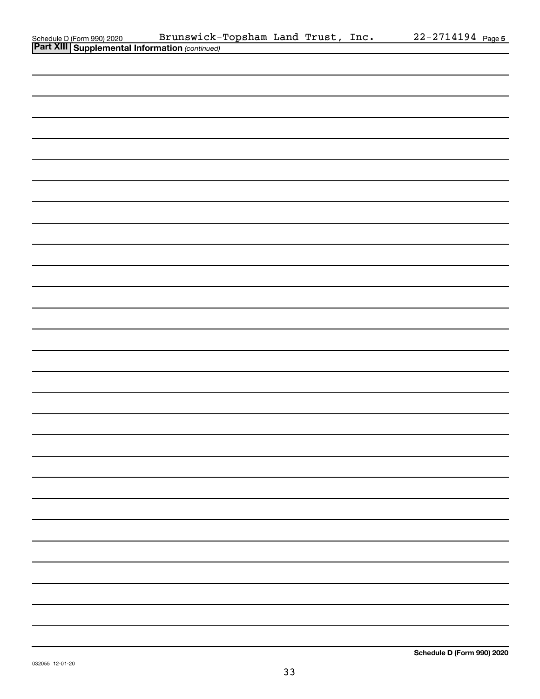|                                                                                                | Brunswick-Topsham Land Trust, Inc. |  | 22-2714194 Page 5 |
|------------------------------------------------------------------------------------------------|------------------------------------|--|-------------------|
| Schedule D (Form 990) 2020 Brunswick-<br><b>Part XIII Supplemental Information</b> (continued) |                                    |  |                   |
|                                                                                                |                                    |  |                   |
|                                                                                                |                                    |  |                   |
|                                                                                                |                                    |  |                   |
|                                                                                                |                                    |  |                   |
|                                                                                                |                                    |  |                   |
|                                                                                                |                                    |  |                   |
|                                                                                                |                                    |  |                   |
|                                                                                                |                                    |  |                   |
|                                                                                                |                                    |  |                   |
|                                                                                                |                                    |  |                   |
|                                                                                                |                                    |  |                   |
|                                                                                                |                                    |  |                   |
|                                                                                                |                                    |  |                   |
|                                                                                                |                                    |  |                   |
|                                                                                                |                                    |  |                   |
|                                                                                                |                                    |  |                   |
|                                                                                                |                                    |  |                   |
|                                                                                                |                                    |  |                   |
|                                                                                                |                                    |  |                   |
|                                                                                                |                                    |  |                   |
|                                                                                                |                                    |  |                   |
|                                                                                                |                                    |  |                   |
|                                                                                                |                                    |  |                   |
|                                                                                                |                                    |  |                   |
|                                                                                                |                                    |  |                   |
|                                                                                                |                                    |  |                   |
|                                                                                                |                                    |  |                   |
|                                                                                                |                                    |  |                   |
|                                                                                                |                                    |  |                   |
|                                                                                                |                                    |  |                   |
|                                                                                                |                                    |  |                   |
|                                                                                                |                                    |  |                   |
|                                                                                                |                                    |  |                   |
|                                                                                                |                                    |  |                   |
|                                                                                                |                                    |  |                   |
|                                                                                                |                                    |  |                   |
|                                                                                                |                                    |  |                   |
|                                                                                                |                                    |  |                   |
|                                                                                                |                                    |  |                   |
|                                                                                                |                                    |  |                   |
|                                                                                                |                                    |  |                   |
|                                                                                                |                                    |  |                   |
|                                                                                                |                                    |  |                   |
|                                                                                                |                                    |  |                   |
|                                                                                                |                                    |  |                   |
|                                                                                                |                                    |  |                   |
|                                                                                                |                                    |  |                   |
|                                                                                                |                                    |  |                   |
|                                                                                                |                                    |  |                   |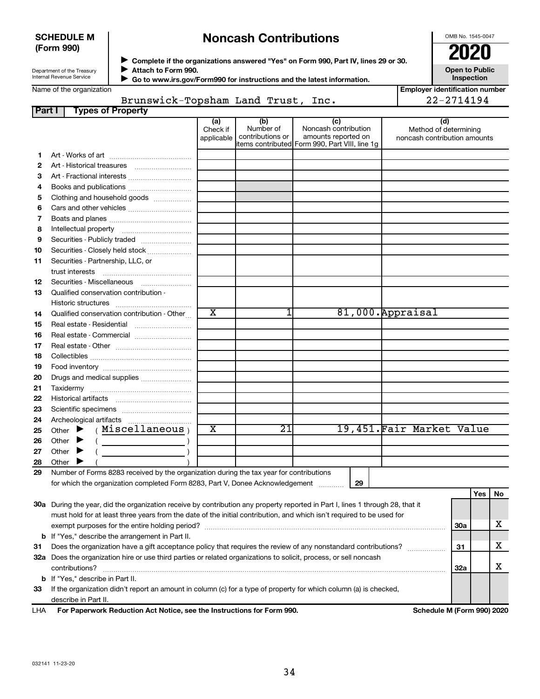#### **SCHEDULE M (Form 990)**

### **Noncash Contributions**

OMB No. 1545-0047

| Department of the Treasury |  |
|----------------------------|--|
| Internal Revenue Service   |  |

◆ Complete if the organizations answered "Yes" on Form 990, Part IV, lines 29 or 30.<br>● Complete if the organizations answered "Yes" on Form 990, Part IV, lines 29 or 30. **Attach to Form 990.**  $\blacktriangleright$ 

 **Go to www.irs.gov/Form990 for instructions and the latest information.**

**Open to Public Inspection**

| Name of the organization |
|--------------------------|
|--------------------------|

 $\blacktriangleright$ 

| ion |  |
|-----|--|

| <b>Employer identification number</b> |
|---------------------------------------|
| $22 - 2714194$                        |

|   | Brunswick-Topsham Land Trust, Inc. |                               |                                      |                                                                                                | 22-2714194                                            |  |  |  |  |
|---|------------------------------------|-------------------------------|--------------------------------------|------------------------------------------------------------------------------------------------|-------------------------------------------------------|--|--|--|--|
|   | <b>Types of Property</b><br>Part   |                               |                                      |                                                                                                |                                                       |  |  |  |  |
|   |                                    | (a)<br>Check if<br>applicable | (b)<br>Number of<br>contributions or | Noncash contribution<br>amounts reported on<br>litems contributed Form 990, Part VIII, line 1q | Method of determining<br>noncash contribution amounts |  |  |  |  |
|   | Art - Works of art                 |                               |                                      |                                                                                                |                                                       |  |  |  |  |
|   | Art - Historical treasures         |                               |                                      |                                                                                                |                                                       |  |  |  |  |
| з | Art - Fractional interests         |                               |                                      |                                                                                                |                                                       |  |  |  |  |
| 4 | Books and publications             |                               |                                      |                                                                                                |                                                       |  |  |  |  |
| 5 | Clothing and household goods<br>.  |                               |                                      |                                                                                                |                                                       |  |  |  |  |

| 6  |                                                                                         |                       |    |    |                          |            |
|----|-----------------------------------------------------------------------------------------|-----------------------|----|----|--------------------------|------------|
| 7  |                                                                                         |                       |    |    |                          |            |
| 8  |                                                                                         |                       |    |    |                          |            |
| 9  | Securities - Publicly traded                                                            |                       |    |    |                          |            |
| 10 | Securities - Closely held stock                                                         |                       |    |    |                          |            |
| 11 | Securities - Partnership, LLC, or                                                       |                       |    |    |                          |            |
|    |                                                                                         |                       |    |    |                          |            |
| 12 | Securities - Miscellaneous                                                              |                       |    |    |                          |            |
| 13 | Qualified conservation contribution -                                                   |                       |    |    |                          |            |
|    | Historic structures                                                                     |                       |    |    |                          |            |
| 14 | Qualified conservation contribution - Other                                             | $\overline{\text{x}}$ |    |    | 81,000. Appraisal        |            |
| 15 |                                                                                         |                       |    |    |                          |            |
| 16 | Real estate - Commercial                                                                |                       |    |    |                          |            |
| 17 |                                                                                         |                       |    |    |                          |            |
| 18 |                                                                                         |                       |    |    |                          |            |
| 19 |                                                                                         |                       |    |    |                          |            |
| 20 | Drugs and medical supplies                                                              |                       |    |    |                          |            |
| 21 |                                                                                         |                       |    |    |                          |            |
| 22 |                                                                                         |                       |    |    |                          |            |
| 23 |                                                                                         |                       |    |    |                          |            |
| 24 | Archeological artifacts                                                                 |                       |    |    |                          |            |
| 25 | Other $\blacktriangleright$ (Miscellaneous)                                             | $\overline{\text{x}}$ | 21 |    | 19,451.Fair Market Value |            |
| 26 | $($ $)$<br>Other $\blacktriangleright$                                                  |                       |    |    |                          |            |
| 27 | Other $\blacktriangleright$<br><u>and the state of the state of the state</u>           |                       |    |    |                          |            |
| 28 | Other                                                                                   |                       |    |    |                          |            |
| 29 | Number of Forms 8283 received by the organization during the tax year for contributions |                       |    |    |                          |            |
|    | for which the organization completed Form 8283, Part V, Donee Acknowledgement           |                       |    | 29 |                          |            |
|    |                                                                                         |                       |    |    |                          | $VaR$ $M0$ |

|                                                                                                                                                                                                                                                         |     | . | . |
|---------------------------------------------------------------------------------------------------------------------------------------------------------------------------------------------------------------------------------------------------------|-----|---|---|
| 30a During the year, did the organization receive by contribution any property reported in Part I, lines 1 through 28, that it<br>must hold for at least three years from the date of the initial contribution, and which isn't required to be used for |     |   |   |
| exempt purposes for the entire holding period?                                                                                                                                                                                                          | 30a |   |   |
| <b>b</b> If "Yes," describe the arrangement in Part II.                                                                                                                                                                                                 |     |   |   |
| Does the organization have a gift acceptance policy that requires the review of any nonstandard contributions?                                                                                                                                          | -31 |   |   |
| 32a Does the organization hire or use third parties or related organizations to solicit, process, or sell noncash<br>contributions?                                                                                                                     | 32a |   |   |
| <b>b</b> If "Yes," describe in Part II.                                                                                                                                                                                                                 |     |   |   |
| If the organization didn't report an amount in column (c) for a type of property for which column (a) is checked,<br>describe in Part II.                                                                                                               |     |   |   |
|                                                                                                                                                                                                                                                         |     |   |   |

**For Paperwork Reduction Act Notice, see the Instructions for Form 990. Schedule M (Form 990) 2020** LHA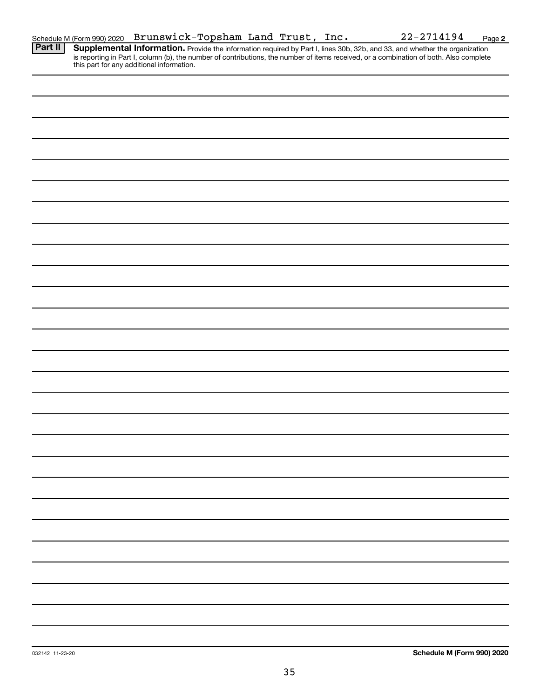| Part II |                                                                                                                                                                                                                                     |
|---------|-------------------------------------------------------------------------------------------------------------------------------------------------------------------------------------------------------------------------------------|
|         | <b>Supplemental Information.</b> Provide the information required by Part I, lines 30b, 32b, and 33, and whether the organization is reporting in Part I, column (b), the number of contributions, the number of items received, or |
|         |                                                                                                                                                                                                                                     |
|         |                                                                                                                                                                                                                                     |
|         |                                                                                                                                                                                                                                     |
|         |                                                                                                                                                                                                                                     |
|         |                                                                                                                                                                                                                                     |
|         |                                                                                                                                                                                                                                     |
|         |                                                                                                                                                                                                                                     |
|         |                                                                                                                                                                                                                                     |
|         |                                                                                                                                                                                                                                     |
|         |                                                                                                                                                                                                                                     |
|         |                                                                                                                                                                                                                                     |
|         |                                                                                                                                                                                                                                     |
|         |                                                                                                                                                                                                                                     |
|         |                                                                                                                                                                                                                                     |
|         |                                                                                                                                                                                                                                     |
|         |                                                                                                                                                                                                                                     |
|         |                                                                                                                                                                                                                                     |
|         |                                                                                                                                                                                                                                     |
|         |                                                                                                                                                                                                                                     |
|         |                                                                                                                                                                                                                                     |
|         |                                                                                                                                                                                                                                     |
|         |                                                                                                                                                                                                                                     |
|         |                                                                                                                                                                                                                                     |
|         |                                                                                                                                                                                                                                     |
|         |                                                                                                                                                                                                                                     |
|         |                                                                                                                                                                                                                                     |
|         |                                                                                                                                                                                                                                     |
|         |                                                                                                                                                                                                                                     |
|         |                                                                                                                                                                                                                                     |
|         |                                                                                                                                                                                                                                     |
|         |                                                                                                                                                                                                                                     |
|         |                                                                                                                                                                                                                                     |
|         |                                                                                                                                                                                                                                     |
|         |                                                                                                                                                                                                                                     |
|         |                                                                                                                                                                                                                                     |
|         |                                                                                                                                                                                                                                     |
|         |                                                                                                                                                                                                                                     |
|         |                                                                                                                                                                                                                                     |
|         |                                                                                                                                                                                                                                     |
|         |                                                                                                                                                                                                                                     |
|         |                                                                                                                                                                                                                                     |
|         |                                                                                                                                                                                                                                     |
|         |                                                                                                                                                                                                                                     |
|         |                                                                                                                                                                                                                                     |
|         |                                                                                                                                                                                                                                     |
|         |                                                                                                                                                                                                                                     |
|         |                                                                                                                                                                                                                                     |
|         |                                                                                                                                                                                                                                     |
|         |                                                                                                                                                                                                                                     |
|         |                                                                                                                                                                                                                                     |
|         |                                                                                                                                                                                                                                     |
|         |                                                                                                                                                                                                                                     |
|         |                                                                                                                                                                                                                                     |
|         |                                                                                                                                                                                                                                     |
|         |                                                                                                                                                                                                                                     |
|         |                                                                                                                                                                                                                                     |
|         |                                                                                                                                                                                                                                     |
|         |                                                                                                                                                                                                                                     |
|         |                                                                                                                                                                                                                                     |
|         |                                                                                                                                                                                                                                     |
|         |                                                                                                                                                                                                                                     |
|         |                                                                                                                                                                                                                                     |
|         |                                                                                                                                                                                                                                     |
|         |                                                                                                                                                                                                                                     |
|         |                                                                                                                                                                                                                                     |
|         |                                                                                                                                                                                                                                     |

Schedule M (Form 990) 2020 Brunswick-Topsham Land Trust, Inc.  $22-2114194$  Page

Brunswick-Topsham Land Trust, Inc. 22-2714194

**Schedule M (Form 990) 2020**

**2**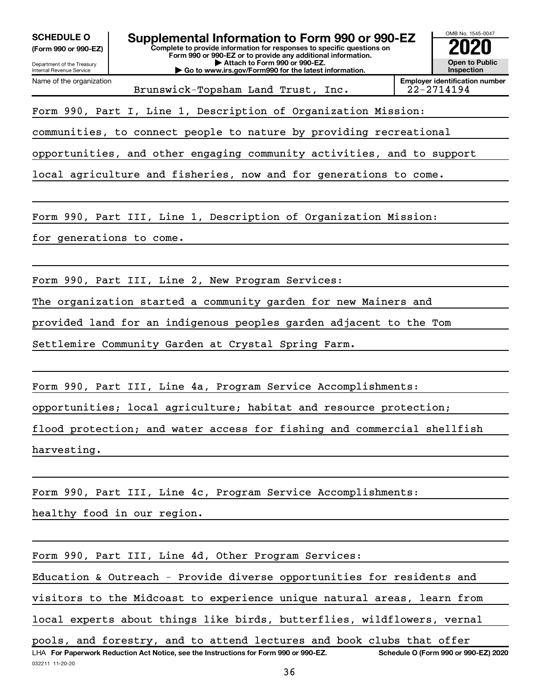| <b>SCHEDULE O</b><br>(Form 990 or 990-EZ)<br>Department of the Treasury<br>Internal Revenue Service | OMB No. 1545-0047<br><b>Open to Public</b><br>Inspection               |  |                                       |  |  |  |
|-----------------------------------------------------------------------------------------------------|------------------------------------------------------------------------|--|---------------------------------------|--|--|--|
| Name of the organization                                                                            | Go to www.irs.gov/Form990 for the latest information.                  |  | <b>Employer identification number</b> |  |  |  |
|                                                                                                     | Brunswick-Topsham Land Trust, Inc.                                     |  | 22-2714194                            |  |  |  |
|                                                                                                     | Form 990, Part I, Line 1, Description of Organization Mission:         |  |                                       |  |  |  |
|                                                                                                     | communities, to connect people to nature by providing recreational     |  |                                       |  |  |  |
|                                                                                                     | opportunities, and other engaging community activities, and to support |  |                                       |  |  |  |
|                                                                                                     | local agriculture and fisheries, now and for generations to come.      |  |                                       |  |  |  |
|                                                                                                     |                                                                        |  |                                       |  |  |  |
|                                                                                                     | Form 990, Part III, Line 1, Description of Organization Mission:       |  |                                       |  |  |  |
| for generations to come.                                                                            |                                                                        |  |                                       |  |  |  |
|                                                                                                     |                                                                        |  |                                       |  |  |  |
|                                                                                                     | Form 990, Part III, Line 2, New Program Services:                      |  |                                       |  |  |  |
|                                                                                                     | The organization started a community garden for new Mainers and        |  |                                       |  |  |  |
|                                                                                                     | provided land for an indigenous peoples garden adjacent to the Tom     |  |                                       |  |  |  |
|                                                                                                     | Settlemire Community Garden at Crystal Spring Farm.                    |  |                                       |  |  |  |
|                                                                                                     |                                                                        |  |                                       |  |  |  |
|                                                                                                     | Form 990, Part III, Line 4a, Program Service Accomplishments:          |  |                                       |  |  |  |
| opportunities; local agriculture; habitat and resource protection;                                  |                                                                        |  |                                       |  |  |  |
| flood protection; and water access for fishing and commercial shellfish                             |                                                                        |  |                                       |  |  |  |
| harvesting.                                                                                         |                                                                        |  |                                       |  |  |  |
|                                                                                                     |                                                                        |  |                                       |  |  |  |
|                                                                                                     |                                                                        |  |                                       |  |  |  |

Form 990, Part III, Line 4c, Program Service Accomplishments:

healthy food in our region.

Form 990, Part III, Line 4d, Other Program Services:

Education & Outreach - Provide diverse opportunities for residents and

visitors to the Midcoast to experience unique natural areas, learn from

local experts about things like birds, butterflies, wildflowers, vernal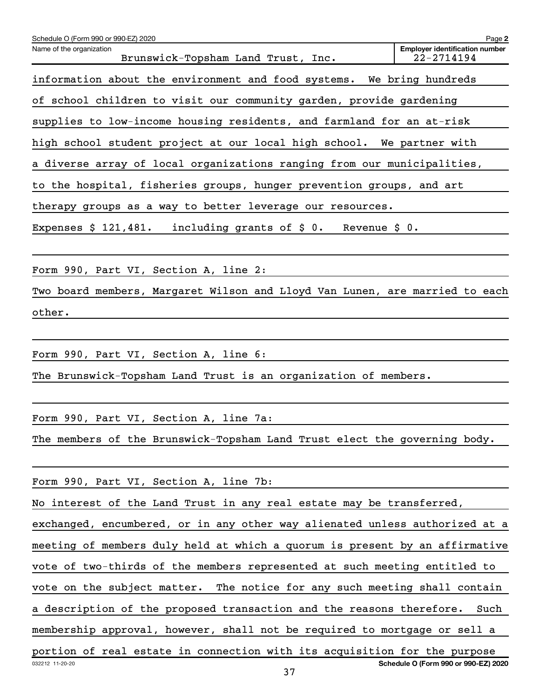| Schedule O (Form 990 or 990-EZ) 2020                                                               | Page 2                                              |
|----------------------------------------------------------------------------------------------------|-----------------------------------------------------|
| Name of the organization<br>Brunswick-Topsham Land Trust, Inc.                                     | <b>Employer identification number</b><br>22-2714194 |
| information about the environment and food systems.                                                | We bring hundreds                                   |
| of school children to visit our community garden, provide gardening                                |                                                     |
| supplies to low-income housing residents, and farmland for an at-risk                              |                                                     |
| high school student project at our local high school. We partner with                              |                                                     |
| a diverse array of local organizations ranging from our municipalities,                            |                                                     |
| to the hospital, fisheries groups, hunger prevention groups, and art                               |                                                     |
| therapy groups as a way to better leverage our resources.                                          |                                                     |
| including grants of $\sharp$ 0. Revenue $\sharp$ 0.<br>Expenses $$121,481.$                        |                                                     |
|                                                                                                    |                                                     |
| Form 990, Part VI, Section A, line 2:                                                              |                                                     |
| Two board members, Margaret Wilson and Lloyd Van Lunen, are married to each                        |                                                     |
| other.                                                                                             |                                                     |
|                                                                                                    |                                                     |
| Form 990, Part VI, Section A, line 6:                                                              |                                                     |
| The Brunswick-Topsham Land Trust is an organization of members.                                    |                                                     |
|                                                                                                    |                                                     |
| Form 990, Part VI, Section A, line 7a:                                                             |                                                     |
| The members of the Brunswick-Topsham Land Trust elect the governing body.                          |                                                     |
|                                                                                                    |                                                     |
| Form 990, Part VI, Section A, line 7b:                                                             |                                                     |
| No interest of the Land Trust in any real estate may be transferred,                               |                                                     |
| exchanged, encumbered, or in any other way alienated unless authorized at a                        |                                                     |
| meeting of members duly held at which a quorum is present by an affirmative                        |                                                     |
| vote of two-thirds of the members represented at such meeting entitled to                          |                                                     |
| vote on the subject matter. The notice for any such meeting shall contain                          |                                                     |
| a description of the proposed transaction and the reasons therefore.                               | Such                                                |
| membership approval, however, shall not be required to mortgage or sell a                          |                                                     |
| portion of real estate in connection with its acquisition for the purpose<br>032212 11-20-20<br>37 | Schedule O (Form 990 or 990-EZ) 2020                |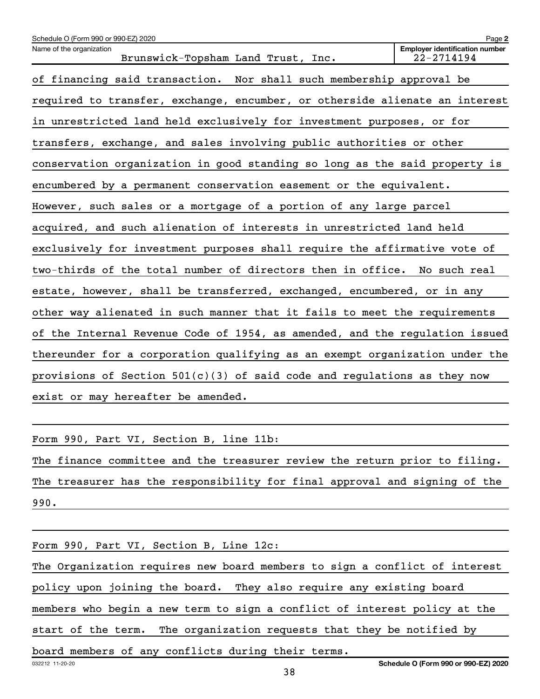| Schedule O (Form 990 or 990-EZ) 2020                                        | Page 2                                              |  |  |  |
|-----------------------------------------------------------------------------|-----------------------------------------------------|--|--|--|
| Name of the organization<br>Brunswick-Topsham Land Trust, Inc.              | <b>Employer identification number</b><br>22-2714194 |  |  |  |
| of financing said transaction. Nor shall such membership approval be        |                                                     |  |  |  |
| required to transfer, exchange, encumber, or otherside alienate an interest |                                                     |  |  |  |
| in unrestricted land held exclusively for investment purposes, or for       |                                                     |  |  |  |
| transfers, exchange, and sales involving public authorities or other        |                                                     |  |  |  |
| conservation organization in good standing so long as the said property is  |                                                     |  |  |  |
| encumbered by a permanent conservation easement or the equivalent.          |                                                     |  |  |  |
| However, such sales or a mortgage of a portion of any large parcel          |                                                     |  |  |  |
| acquired, and such alienation of interests in unrestricted land held        |                                                     |  |  |  |
| exclusively for investment purposes shall require the affirmative vote of   |                                                     |  |  |  |
| two-thirds of the total number of directors then in office. No such real    |                                                     |  |  |  |
| estate, however, shall be transferred, exchanged, encumbered, or in any     |                                                     |  |  |  |
| other way alienated in such manner that it fails to meet the requirements   |                                                     |  |  |  |
| of the Internal Revenue Code of 1954, as amended, and the regulation issued |                                                     |  |  |  |
| thereunder for a corporation qualifying as an exempt organization under the |                                                     |  |  |  |
| provisions of Section $501(c)(3)$ of said code and regulations as they now  |                                                     |  |  |  |
| exist or may hereafter be amended.                                          |                                                     |  |  |  |

Form 990, Part VI, Section B, line 11b:

The finance committee and the treasurer review the return prior to filing. The treasurer has the responsibility for final approval and signing of the 990.

Form 990, Part VI, Section B, Line 12c: The Organization requires new board members to sign a conflict of interest policy upon joining the board. They also require any existing board members who begin a new term to sign a conflict of interest policy at the start of the term. The organization requests that they be notified by board members of any conflicts during their terms.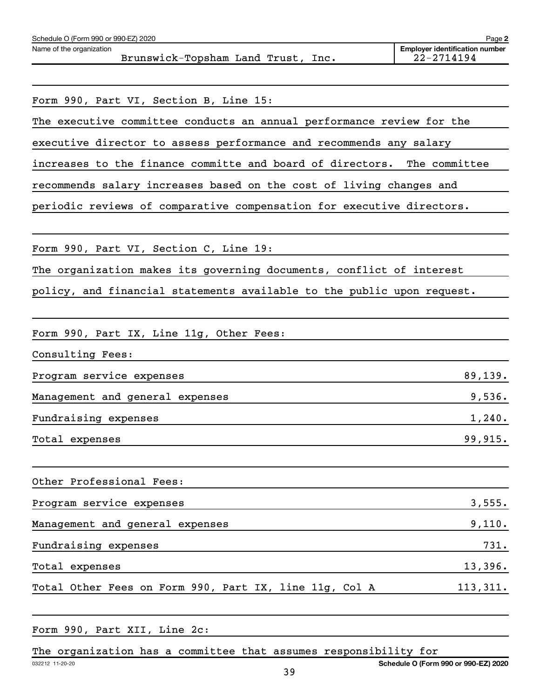| Brunswick-Topsham Land Trust, Inc.                                      | <b>Employer identification number</b><br>22-2714194                           |
|-------------------------------------------------------------------------|-------------------------------------------------------------------------------|
|                                                                         |                                                                               |
| Form 990, Part VI, Section B, Line 15:                                  |                                                                               |
| The executive committee conducts an annual performance review for the   |                                                                               |
| executive director to assess performance and recommends any salary      |                                                                               |
| increases to the finance committe and board of directors. The committee |                                                                               |
| recommends salary increases based on the cost of living changes and     |                                                                               |
| periodic reviews of comparative compensation for executive directors.   |                                                                               |
| Form 990, Part VI, Section C, Line 19:                                  |                                                                               |
| The organization makes its governing documents, conflict of interest    |                                                                               |
| policy, and financial statements available to the public upon request.  |                                                                               |
| Form 990, Part IX, Line 11g, Other Fees:<br>Consulting Fees:            |                                                                               |
|                                                                         |                                                                               |
| Program service expenses                                                |                                                                               |
| Management and general expenses                                         |                                                                               |
| Fundraising expenses                                                    |                                                                               |
| Total expenses                                                          |                                                                               |
| Other Professional Fees:                                                |                                                                               |
| Program service expenses                                                |                                                                               |
| Management and general expenses                                         |                                                                               |
| Fundraising expenses                                                    |                                                                               |
| Total expenses                                                          | 89,139.<br>9,536.<br>1,240.<br>99,915.<br>3,555.<br>9,110.<br>731.<br>13,396. |

|                 | Form 990, Part XII, Line 2c: |  |  |                                                                  |                                      |
|-----------------|------------------------------|--|--|------------------------------------------------------------------|--------------------------------------|
|                 |                              |  |  | The organization has a committee that assumes responsibility for |                                      |
| 032212 11-20-20 |                              |  |  |                                                                  | Schedule O (Form 990 or 990-EZ) 2020 |